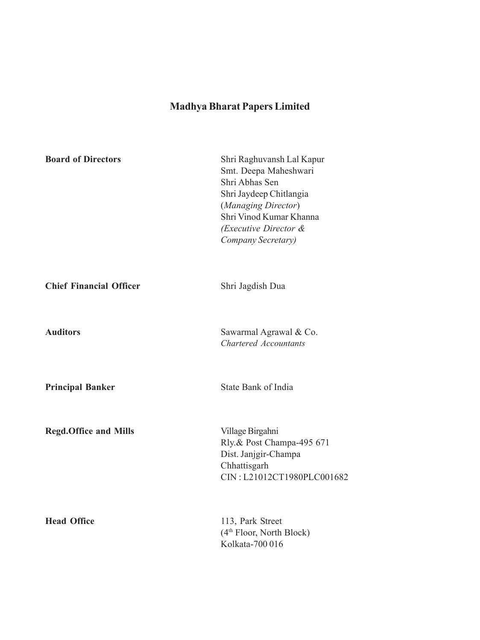| <b>Board of Directors</b>      | Shri Raghuvansh Lal Kapur<br>Smt. Deepa Maheshwari<br>Shri Abhas Sen<br>Shri Jaydeep Chitlangia<br>(Managing Director)<br>Shri Vinod Kumar Khanna<br>(Executive Director &<br>Company Secretary) |
|--------------------------------|--------------------------------------------------------------------------------------------------------------------------------------------------------------------------------------------------|
| <b>Chief Financial Officer</b> | Shri Jagdish Dua                                                                                                                                                                                 |
| <b>Auditors</b>                | Sawarmal Agrawal & Co.<br>Chartered Accountants                                                                                                                                                  |
| <b>Principal Banker</b>        | State Bank of India                                                                                                                                                                              |
| <b>Regd.Office and Mills</b>   | Village Birgahni<br>Rly.& Post Champa-495 671<br>Dist. Janjgir-Champa<br>Chhattisgarh<br>CIN: L21012CT1980PLC001682                                                                              |
| <b>Head Office</b>             | 113, Park Street<br>(4 <sup>th</sup> Floor, North Block)<br>Kolkata-700 016                                                                                                                      |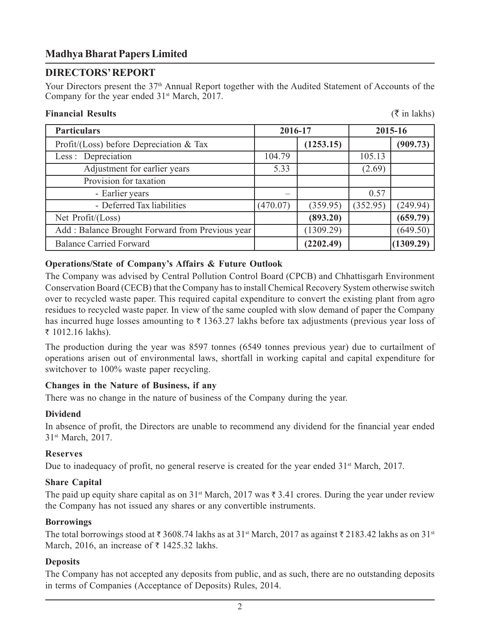# **DIRECTORS' REPORT**

Your Directors present the 37<sup>th</sup> Annual Report together with the Audited Statement of Accounts of the Company for the year ended  $31<sup>st</sup> March, 2017$ .

# **Financial Results**

|  | in lakhs) |  |
|--|-----------|--|
|  |           |  |
|  |           |  |

| <b>Particulars</b>                              | 2016-17  |           | 2015-16  |           |
|-------------------------------------------------|----------|-----------|----------|-----------|
| Profit/(Loss) before Depreciation & Tax         |          | (1253.15) |          | (909.73)  |
| Less: Depreciation                              | 104.79   |           | 105.13   |           |
| Adjustment for earlier years                    | 5.33     |           | (2.69)   |           |
| Provision for taxation                          |          |           |          |           |
| - Earlier years                                 |          |           | 0.57     |           |
| - Deferred Tax liabilities                      | (470.07) | (359.95)  | (352.95) | (249.94)  |
| Net Profit/(Loss)                               |          | (893.20)  |          | (659.79)  |
| Add: Balance Brought Forward from Previous year |          | (1309.29) |          | (649.50)  |
| <b>Balance Carried Forward</b>                  |          | (2202.49) |          | (1309.29) |

# **Operations/State of Company's Affairs & Future Outlook**

The Company was advised by Central Pollution Control Board (CPCB) and Chhattisgarh Environment Conservation Board (CECB) that the Company has to install Chemical Recovery System otherwise switch over to recycled waste paper. This required capital expenditure to convert the existing plant from agro residues to recycled waste paper. In view of the same coupled with slow demand of paper the Company has incurred huge losses amounting to  $\bar{\tau}$  1363.27 lakhs before tax adjustments (previous year loss of ₹ 1012.16 lakhs).

The production during the year was 8597 tonnes (6549 tonnes previous year) due to curtailment of operations arisen out of environmental laws, shortfall in working capital and capital expenditure for switchover to 100% waste paper recycling.

# **Changes in the Nature of Business, if any**

There was no change in the nature of business of the Company during the year.

# **Dividend**

In absence of profit, the Directors are unable to recommend any dividend for the financial year ended 31st March, 2017.

# **Reserves**

Due to inadequacy of profit, no general reserve is created for the year ended  $31<sup>st</sup>$  March, 2017.

# **Share Capital**

The paid up equity share capital as on 31<sup>st</sup> March, 2017 was  $\bar{\tau}$  3.41 crores. During the year under review the Company has not issued any shares or any convertible instruments.

# **Borrowings**

The total borrowings stood at  $\bar{\tau}$  3608.74 lakhs as at 31<sup>st</sup> March, 2017 as against  $\bar{\tau}$  2183.42 lakhs as on 31<sup>st</sup> March, 2016, an increase of  $\bar{\tau}$  1425.32 lakhs.

# **Deposits**

The Company has not accepted any deposits from public, and as such, there are no outstanding deposits in terms of Companies (Acceptance of Deposits) Rules, 2014.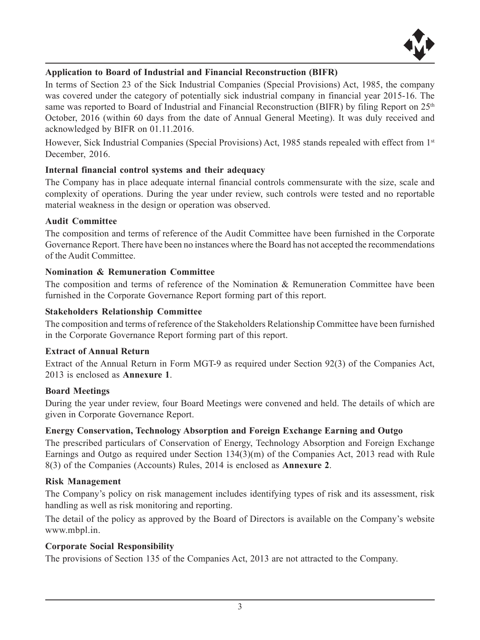

# **Application to Board of Industrial and Financial Reconstruction (BIFR)**

In terms of Section 23 of the Sick Industrial Companies (Special Provisions) Act, 1985, the company was covered under the category of potentially sick industrial company in financial year 2015-16. The same was reported to Board of Industrial and Financial Reconstruction (BIFR) by filing Report on  $25<sup>th</sup>$ October, 2016 (within 60 days from the date of Annual General Meeting). It was duly received and acknowledged by BIFR on 01.11.2016.

However, Sick Industrial Companies (Special Provisions) Act, 1985 stands repealed with effect from 1<sup>st</sup> December, 2016.

# **Internal financial control systems and their adequacy**

The Company has in place adequate internal financial controls commensurate with the size, scale and complexity of operations. During the year under review, such controls were tested and no reportable material weakness in the design or operation was observed.

## **Audit Committee**

The composition and terms of reference of the Audit Committee have been furnished in the Corporate Governance Report. There have been no instances where the Board has not accepted the recommendations of the Audit Committee.

## **Nomination & Remuneration Committee**

The composition and terms of reference of the Nomination & Remuneration Committee have been furnished in the Corporate Governance Report forming part of this report.

### **Stakeholders Relationship Committee**

The composition and terms of reference of the Stakeholders Relationship Committee have been furnished in the Corporate Governance Report forming part of this report.

#### **Extract of Annual Return**

Extract of the Annual Return in Form MGT-9 as required under Section 92(3) of the Companies Act, 2013 is enclosed as **Annexure 1**.

## **Board Meetings**

During the year under review, four Board Meetings were convened and held. The details of which are given in Corporate Governance Report.

## **Energy Conservation, Technology Absorption and Foreign Exchange Earning and Outgo**

The prescribed particulars of Conservation of Energy, Technology Absorption and Foreign Exchange Earnings and Outgo as required under Section 134(3)(m) of the Companies Act, 2013 read with Rule 8(3) of the Companies (Accounts) Rules, 2014 is enclosed as **Annexure 2**.

## **Risk Management**

The Company's policy on risk management includes identifying types of risk and its assessment, risk handling as well as risk monitoring and reporting.

The detail of the policy as approved by the Board of Directors is available on the Company's website www.mbpl.in.

## **Corporate Social Responsibility**

The provisions of Section 135 of the Companies Act, 2013 are not attracted to the Company.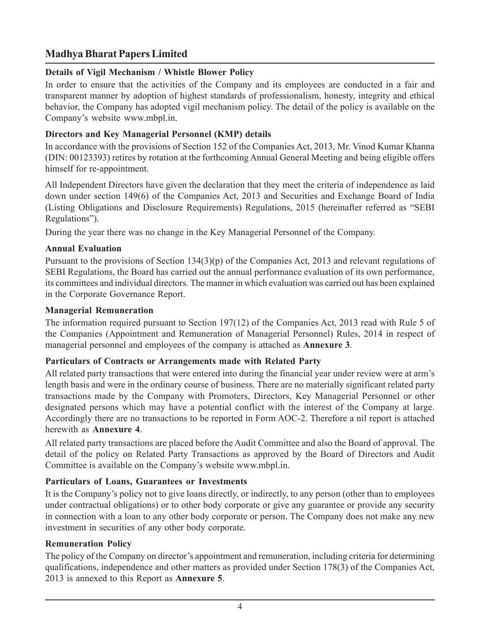# **Details of Vigil Mechanism / Whistle Blower Policy**

In order to ensure that the activities of the Company and its employees are conducted in a fair and transparent manner by adoption of highest standards of professionalism, honesty, integrity and ethical behavior, the Company has adopted vigil mechanism policy. The detail of the policy is available on the Company's website www.mbpl.in.

# **Directors and Key Managerial Personnel (KMP) details**

In accordance with the provisions of Section 152 of the Companies Act, 2013, Mr. Vinod Kumar Khanna (DIN: 00123393) retires by rotation at the forthcoming Annual General Meeting and being eligible offers himself for re-appointment.

All Independent Directors have given the declaration that they meet the criteria of independence as laid down under section 149(6) of the Companies Act, 2013 and Securities and Exchange Board of India (Listing Obligations and Disclosure Requirements) Regulations, 2015 (hereinafter referred as "SEBI Regulations").

During the year there was no change in the Key Managerial Personnel of the Company.

# **Annual Evaluation**

Pursuant to the provisions of Section 134(3)(p) of the Companies Act, 2013 and relevant regulations of SEBI Regulations, the Board has carried out the annual performance evaluation of its own performance, its committees and individual directors. The manner in which evaluation was carried out has been explained in the Corporate Governance Report.

# **Managerial Remuneration**

The information required pursuant to Section 197(12) of the Companies Act, 2013 read with Rule 5 of the Companies (Appointment and Remuneration of Managerial Personnel) Rules, 2014 in respect of managerial personnel and employees of the company is attached as **Annexure 3**.

# **Particulars of Contracts or Arrangements made with Related Party**

All related party transactions that were entered into during the financial year under review were at arm's length basis and were in the ordinary course of business. There are no materially significant related party transactions made by the Company with Promoters, Directors, Key Managerial Personnel or other designated persons which may have a potential conflict with the interest of the Company at large. Accordingly there are no transactions to be reported in Form AOC-2. Therefore a nil report is attached herewith as **Annexure 4**.

All related party transactions are placed before the Audit Committee and also the Board of approval. The detail of the policy on Related Party Transactions as approved by the Board of Directors and Audit Committee is available on the Company's website www.mbpl.in.

# **Particulars of Loans, Guarantees or Investments**

It is the Company's policy not to give loans directly, or indirectly, to any person (other than to employees under contractual obligations) or to other body corporate or give any guarantee or provide any security in connection with a loan to any other body corporate or person. The Company does not make any new investment in securities of any other body corporate.

# **Remuneration Policy**

The policy of the Company on director's appointment and remuneration, including criteria for determining qualifications, independence and other matters as provided under Section 178(3) of the Companies Act, 2013 is annexed to this Report as **Annexure 5**.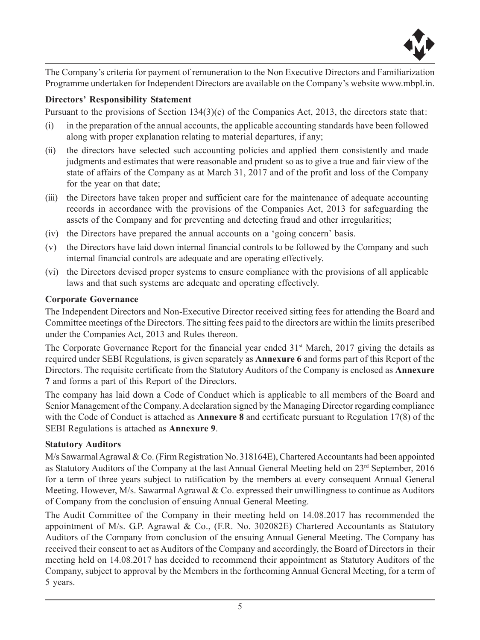

The Company's criteria for payment of remuneration to the Non Executive Directors and Familiarization Programme undertaken for Independent Directors are available on the Company's website www.mbpl.in.

## **Directors' Responsibility Statement**

Pursuant to the provisions of Section 134(3)(c) of the Companies Act, 2013, the directors state that:

- (i) in the preparation of the annual accounts, the applicable accounting standards have been followed along with proper explanation relating to material departures, if any;
- (ii) the directors have selected such accounting policies and applied them consistently and made judgments and estimates that were reasonable and prudent so as to give a true and fair view of the state of affairs of the Company as at March 31, 2017 and of the profit and loss of the Company for the year on that date;
- (iii) the Directors have taken proper and sufficient care for the maintenance of adequate accounting records in accordance with the provisions of the Companies Act, 2013 for safeguarding the assets of the Company and for preventing and detecting fraud and other irregularities;
- (iv) the Directors have prepared the annual accounts on a 'going concern' basis.
- (v) the Directors have laid down internal financial controls to be followed by the Company and such internal financial controls are adequate and are operating effectively.
- (vi) the Directors devised proper systems to ensure compliance with the provisions of all applicable laws and that such systems are adequate and operating effectively.

# **Corporate Governance**

The Independent Directors and Non-Executive Director received sitting fees for attending the Board and Committee meetings of the Directors. The sitting fees paid to the directors are within the limits prescribed under the Companies Act, 2013 and Rules thereon.

The Corporate Governance Report for the financial year ended 31<sup>st</sup> March, 2017 giving the details as required under SEBI Regulations, is given separately as **Annexure 6** and forms part of this Report of the Directors. The requisite certificate from the Statutory Auditors of the Company is enclosed as **Annexure 7** and forms a part of this Report of the Directors.

The company has laid down a Code of Conduct which is applicable to all members of the Board and Senior Management of the Company. A declaration signed by the Managing Director regarding compliance with the Code of Conduct is attached as **Annexure 8** and certificate pursuant to Regulation 17(8) of the SEBI Regulations is attached as **Annexure 9**.

# **Statutory Auditors**

M/s Sawarmal Agrawal & Co. (Firm Registration No.318164E), Chartered Accountants had been appointed as Statutory Auditors of the Company at the last Annual General Meeting held on 23rd September, 2016 for a term of three years subject to ratification by the members at every consequent Annual General Meeting. However,  $M/s$ . Sawarmal Agrawal & Co. expressed their unwillingness to continue as Auditors of Company from the conclusion of ensuing Annual General Meeting.

The Audit Committee of the Company in their meeting held on 14.08.2017 has recommended the appointment of M/s. G.P. Agrawal & Co., (F.R. No. 302082E) Chartered Accountants as Statutory Auditors of the Company from conclusion of the ensuing Annual General Meeting. The Company has received their consent to act as Auditors of the Company and accordingly, the Board of Directors in their meeting held on 14.08.2017 has decided to recommend their appointment as Statutory Auditors of the Company, subject to approval by the Members in the forthcoming Annual General Meeting, for a term of 5 years.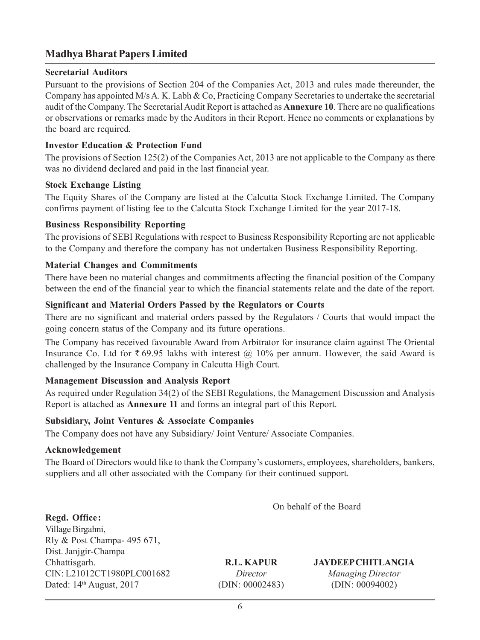### **Secretarial Auditors**

Pursuant to the provisions of Section 204 of the Companies Act, 2013 and rules made thereunder, the Company has appointed M/s A. K. Labh & Co, Practicing Company Secretaries to undertake the secretarial audit of the Company. The Secretarial Audit Report is attached as **Annexure 10**. There are no qualifications or observations or remarks made by the Auditors in their Report. Hence no comments or explanations by the board are required.

# **Investor Education & Protection Fund**

The provisions of Section 125(2) of the Companies Act, 2013 are not applicable to the Company as there was no dividend declared and paid in the last financial year.

### **Stock Exchange Listing**

The Equity Shares of the Company are listed at the Calcutta Stock Exchange Limited. The Company confirms payment of listing fee to the Calcutta Stock Exchange Limited for the year 2017-18.

## **Business Responsibility Reporting**

The provisions of SEBI Regulations with respect to Business Responsibility Reporting are not applicable to the Company and therefore the company has not undertaken Business Responsibility Reporting.

### **Material Changes and Commitments**

There have been no material changes and commitments affecting the financial position of the Company between the end of the financial year to which the financial statements relate and the date of the report.

### **Significant and Material Orders Passed by the Regulators or Courts**

There are no significant and material orders passed by the Regulators / Courts that would impact the going concern status of the Company and its future operations.

The Company has received favourable Award from Arbitrator for insurance claim against The Oriental Insurance Co. Ltd for  $\bar{\tau}$  69.95 lakhs with interest @ 10% per annum. However, the said Award is challenged by the Insurance Company in Calcutta High Court.

## **Management Discussion and Analysis Report**

As required under Regulation 34(2) of the SEBI Regulations, the Management Discussion and Analysis Report is attached as **Annexure 11** and forms an integral part of this Report.

#### **Subsidiary, Joint Ventures & Associate Companies**

The Company does not have any Subsidiary/ Joint Venture/ Associate Companies.

#### **Acknowledgement**

The Board of Directors would like to thank the Company's customers, employees, shareholders, bankers, suppliers and all other associated with the Company for their continued support.

On behalf of the Board

**Regd. Office:** Village Birgahni, Rly & Post Champa- 495 671, Dist. Janjgir-Champa Chhattisgarh. **R.L. KAPUR JAYDEEP CHITLANGIA** CIN: L21012CT1980PLC001682 *Director Managing Director* Dated: 14<sup>th</sup> August, 2017 (DIN: 00002483) (DIN: 00094002)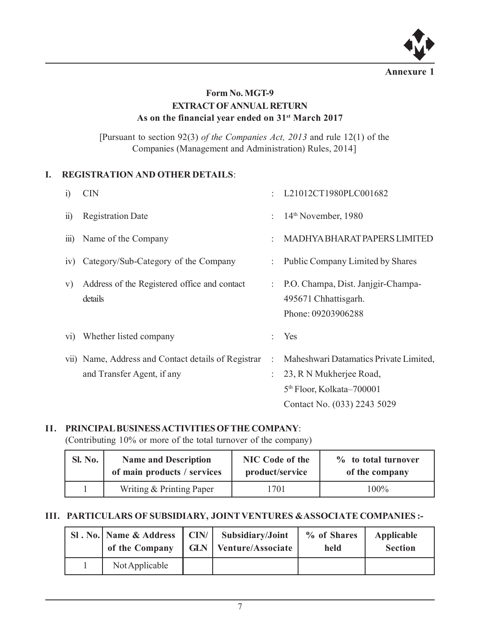

# **Form No. MGT-9 EXTRACT OF ANNUAL RETURN As on the financial year ended on 31st March 2017**

[Pursuant to section 92(3) *of the Companies Act, 2013* and rule 12(1) of the Companies (Management and Administration) Rules, 2014]

# **I. REGISTRATION AND OTHER DETAILS**:

| $\overline{1}$ | <b>CIN</b>                                                                        |   | L21012CT1980PLC001682                                                                                                                     |
|----------------|-----------------------------------------------------------------------------------|---|-------------------------------------------------------------------------------------------------------------------------------------------|
| 11)            | <b>Registration Date</b>                                                          |   | 14 <sup>th</sup> November, 1980                                                                                                           |
| 111)           | Name of the Company                                                               |   | MADHYA BHARAT PAPERS LIMITED                                                                                                              |
| iv)            | Category/Sub-Category of the Company                                              |   | Public Company Limited by Shares                                                                                                          |
| V)             | Address of the Registered office and contact<br>details                           |   | P.O. Champa, Dist. Janjgir-Champa-<br>495671 Chhattisgarh.<br>Phone: 09203906288                                                          |
| V1)            | Whether listed company                                                            |   | Yes                                                                                                                                       |
|                | vii) Name, Address and Contact details of Registrar<br>and Transfer Agent, if any | ÷ | Maheshwari Datamatics Private Limited,<br>23, R N Mukherjee Road,<br>5 <sup>th</sup> Floor, Kolkata-700001<br>Contact No. (033) 2243 5029 |

# **II. PRINCIPAL BUSINESS ACTIVITIES OF THE COMPANY**:

(Contributing 10% or more of the total turnover of the company)

| <b>Sl. No.</b> | <b>Name and Description</b> | NIC Code of the | % to total turnover |  |
|----------------|-----------------------------|-----------------|---------------------|--|
|                | of main products / services | product/service | of the company      |  |
|                | Writing & Printing Paper    | 1701            | 100%                |  |

# **III. PARTICULARS OF SUBSIDIARY, JOINT VENTURES &ASSOCIATE COMPANIES :-**

| SI. No.   Name & Address<br>of the Company | $\vert$ CIN/ $\vert$ Subsidiary/Joint<br><b>GLN</b>   Venture/Associate | % of Shares<br>held | Applicable<br><b>Section</b> |
|--------------------------------------------|-------------------------------------------------------------------------|---------------------|------------------------------|
| Not Applicable                             |                                                                         |                     |                              |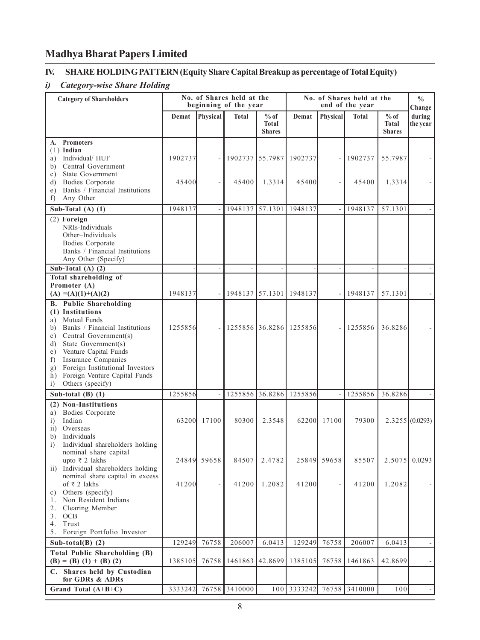## **IV. SHARE HOLDING PATTERN (Equity Share Capital Breakup as percentage of Total Equity)**

## *i) Category-wise Share Holding*

| <b>Category of Shareholders</b>                                                                                                                                                                                                                                                                                                 | No. of Shares held at the<br>beginning of the year |             |                          | No. of Shares held at the<br>end of the year |                  |                          |                  | $\frac{0}{0}$<br>Change          |                    |
|---------------------------------------------------------------------------------------------------------------------------------------------------------------------------------------------------------------------------------------------------------------------------------------------------------------------------------|----------------------------------------------------|-------------|--------------------------|----------------------------------------------|------------------|--------------------------|------------------|----------------------------------|--------------------|
|                                                                                                                                                                                                                                                                                                                                 | Demat                                              | Physical    | <b>Total</b>             | $%$ of<br>Total<br><b>Shares</b>             | Demat            | Physical                 | <b>Total</b>     | $%$ of<br>Total<br><b>Shares</b> | during<br>the year |
| <b>Promoters</b><br>А.<br>$(1)$ Indian<br>a) Individual/HUF<br>Central Government<br>b)<br>State Government<br>c)<br>d) Bodies Corporate                                                                                                                                                                                        | 1902737<br>45400                                   |             | 1902737 55.7987<br>45400 | 1.3314                                       | 1902737<br>45400 |                          | 1902737<br>45400 | 55.7987<br>1.3314                |                    |
| e) Banks / Financial Institutions<br>Any Other<br>f)                                                                                                                                                                                                                                                                            |                                                    |             |                          |                                              |                  |                          |                  |                                  |                    |
| Sub-Total $(A)$ $(1)$                                                                                                                                                                                                                                                                                                           | 1948137                                            | ÷,          | 1948137                  | 57.1301                                      | 1948137          | $\overline{a}$           | 1948137          | 57.1301                          |                    |
| $(2)$ Foreign<br>NRIs-Individuals<br>Other-Individuals<br>Bodies Corporate<br>Banks / Financial Institutions<br>Any Other (Specify)                                                                                                                                                                                             |                                                    |             |                          |                                              |                  |                          |                  |                                  |                    |
| Sub-Total $(A)$ $(2)$                                                                                                                                                                                                                                                                                                           |                                                    | ÷,          |                          | $\overline{\phantom{a}}$                     |                  | $\overline{\phantom{a}}$ | $\sim$           |                                  |                    |
| Total shareholding of<br>Promoter (A)<br>$(A) = (A)(1)+(A)(2)$                                                                                                                                                                                                                                                                  | 1948137                                            |             | 1948137                  | 57.1301                                      | 1948137          |                          | 1948137          | 57.1301                          |                    |
| <b>B.</b> Public Shareholding<br>(1) Institutions<br>Mutual Funds<br>a)<br>b) Banks / Financial Institutions<br>c) Central Government(s)<br>d) State Government(s)<br>e) Venture Capital Funds<br>f) Insurance Companies<br>Foreign Institutional Investors<br>g)<br>h) Foreign Venture Capital Funds<br>Others (specify)<br>i) | 1255856                                            |             | 1255856 36.8286          |                                              | 1255856          |                          | 1255856          | 36.8286                          |                    |
| Sub-total $(B)$ $(1)$                                                                                                                                                                                                                                                                                                           | 1255856                                            |             | 1255856                  | 36.8286                                      | 1255856          |                          | 1255856          | 36.8286                          |                    |
| (2) Non-Institutions<br><b>Bodies Corporate</b><br>a)<br>Indian<br>i)<br>ii) Overseas<br>Individuals<br>b)                                                                                                                                                                                                                      | 63200                                              | 17100       | 80300                    | 2.3548                                       | 62200            | 17100                    | 79300            |                                  | 2.3255(0.0293)     |
| Individual shareholders holding<br>i)<br>nominal share capital<br>upto $\overline{\tau}$ 2 lakhs<br>Individual shareholders holding<br>$\overline{11}$                                                                                                                                                                          |                                                    | 24849 59658 | 84507                    | 2.4782                                       | 25849            | 59658                    | 85507            |                                  | 2.5075 0.0293      |
| nominal share capital in excess<br>of ₹ 2 lakhs<br>c) Others (specify)<br>1. Non Resident Indians<br>2. Clearing Member<br>3. OCB                                                                                                                                                                                               | 41200                                              |             | 41200                    | 1.2082                                       | 41200            |                          | 41200            | 1.2082                           |                    |
| 4. Trust<br>5. Foreign Portfolio Investor                                                                                                                                                                                                                                                                                       |                                                    |             |                          |                                              |                  |                          |                  |                                  |                    |
| Sub-total(B) $(2)$                                                                                                                                                                                                                                                                                                              | 129249                                             | 76758       | 206007                   | 6.0413                                       | 129249           | 76758                    | 206007           | 6.0413                           |                    |
| <b>Total Public Shareholding (B)</b><br>$(B) = (B) (1) + (B) (2)$                                                                                                                                                                                                                                                               | 1385105                                            | 76758       | 1461863                  | 42.8699                                      | 1385105          | 76758                    | 1461863          | 42.8699                          |                    |
| C. Shares held by Custodian<br>for GDRs & ADRs                                                                                                                                                                                                                                                                                  |                                                    |             |                          |                                              |                  |                          |                  |                                  |                    |
| Grand Total (A+B+C)                                                                                                                                                                                                                                                                                                             | 3333242                                            |             | 76758 3410000            |                                              | 100 3333242      |                          | 76758 3410000    | 100                              |                    |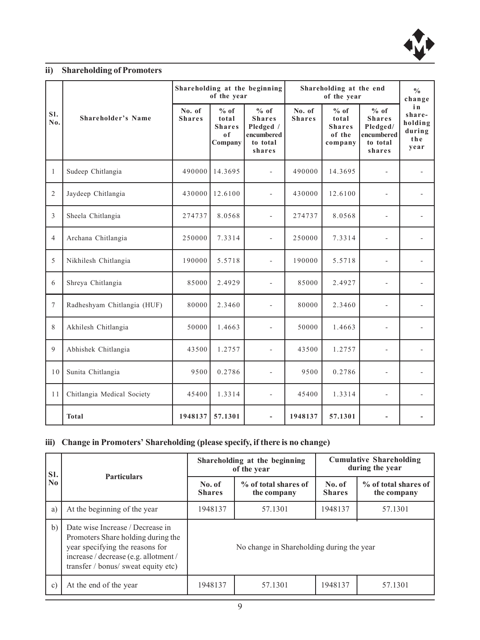

# **ii) Shareholding of Promoters**

|                |                             | Shareholding at the beginning<br>of the year |                                                               |                                                                          | Shareholding at the end | $\frac{0}{0}$<br>change                             |                                                                       |                                                  |
|----------------|-----------------------------|----------------------------------------------|---------------------------------------------------------------|--------------------------------------------------------------------------|-------------------------|-----------------------------------------------------|-----------------------------------------------------------------------|--------------------------------------------------|
| SI.<br>No.     | <b>Shareholder's Name</b>   | No. of<br><b>Shares</b>                      | $%$ of<br>total<br><b>Shares</b><br>0 <sup>f</sup><br>Company | $%$ of<br><b>Shares</b><br>Pledged /<br>encumbered<br>to total<br>shares | No. of<br><b>Shares</b> | % of<br>total<br><b>Shares</b><br>of the<br>company | % of<br><b>Shares</b><br>Pledged/<br>encumbered<br>to total<br>shares | in<br>share-<br>holding<br>during<br>the<br>year |
| $\mathbf{1}$   | Sudeep Chitlangia           | 490000                                       | 14.3695                                                       | $\overline{a}$                                                           | 490000                  | 14.3695                                             |                                                                       |                                                  |
| $\overline{2}$ | Jaydeep Chitlangia          | 430000                                       | 12.6100                                                       | L.                                                                       | 430000                  | 12.6100                                             |                                                                       |                                                  |
| $\overline{3}$ | Sheela Chitlangia           | 274737                                       | 8.0568                                                        | L.                                                                       | 274737                  | 8.0568                                              | $\overline{\phantom{a}}$                                              |                                                  |
| $\overline{4}$ | Archana Chitlangia          | 250000                                       | 7.3314                                                        | L.                                                                       | 250000                  | 7.3314                                              |                                                                       | ٠                                                |
| 5              | Nikhilesh Chitlangia        | 190000                                       | 5.5718                                                        |                                                                          | 190000                  | 5.5718                                              |                                                                       |                                                  |
| 6              | Shreya Chitlangia           | 85000                                        | 2.4929                                                        | $\overline{a}$                                                           | 85000                   | 2.4927                                              |                                                                       |                                                  |
| $\tau$         | Radheshyam Chitlangia (HUF) | 80000                                        | 2.3460                                                        |                                                                          | 80000                   | 2.3460                                              |                                                                       |                                                  |
| 8              | Akhilesh Chitlangia         | 50000                                        | 1.4663                                                        | ÷.                                                                       | 50000                   | 1.4663                                              |                                                                       |                                                  |
| 9              | Abhishek Chitlangia         | 43500                                        | 1.2757                                                        | $\overline{\phantom{a}}$                                                 | 43500                   | 1.2757                                              | $\overline{\phantom{a}}$                                              | ÷                                                |
| 10             | Sunita Chitlangia           | 9500                                         | 0.2786                                                        |                                                                          | 9500                    | 0.2786                                              | L,                                                                    | $\overline{\phantom{a}}$                         |
| 11             | Chitlangia Medical Society  | 45400                                        | 1.3314                                                        |                                                                          | 45400                   | 1.3314                                              |                                                                       |                                                  |
|                | <b>Total</b>                | 1948137                                      | 57.1301                                                       | $\overline{\phantom{a}}$                                                 | 1948137                 | 57.1301                                             |                                                                       |                                                  |

# **iii) Change in Promoters' Shareholding (please specify, if there is no change)**

| SI.<br>N <sub>0</sub> | <b>Particulars</b>                                                                                                                                                                        |                                           | Shareholding at the beginning<br>of the year | <b>Cumulative Shareholding</b><br>during the year |                                     |  |  |
|-----------------------|-------------------------------------------------------------------------------------------------------------------------------------------------------------------------------------------|-------------------------------------------|----------------------------------------------|---------------------------------------------------|-------------------------------------|--|--|
|                       |                                                                                                                                                                                           | No. of<br><b>Shares</b>                   | % of total shares of<br>the company          | No. of<br><b>Shares</b>                           | % of total shares of<br>the company |  |  |
| a)                    | At the beginning of the year                                                                                                                                                              | 1948137                                   | 57.1301                                      | 1948137                                           | 57.1301                             |  |  |
| b)                    | Date wise Increase / Decrease in<br>Promoters Share holding during the<br>year specifying the reasons for<br>increase / decrease (e.g. allotment /<br>transfer / bonus/ sweat equity etc) | No change in Shareholding during the year |                                              |                                                   |                                     |  |  |
| c)                    | At the end of the year                                                                                                                                                                    | 1948137                                   | 57.1301                                      | 1948137                                           | 57.1301                             |  |  |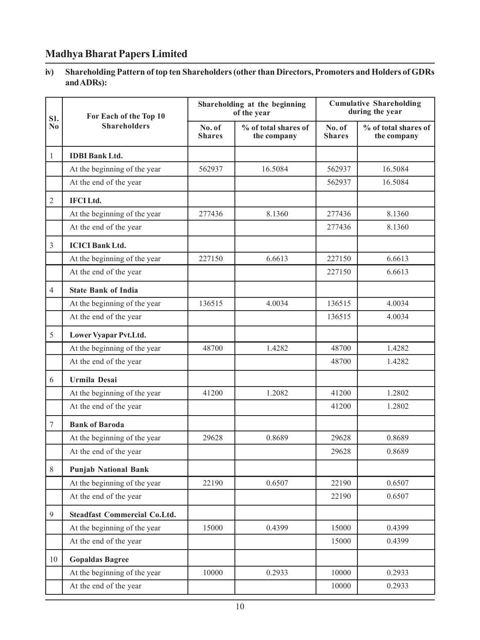### **iv) Shareholding Pattern of top ten Shareholders (other than Directors, Promoters and Holders of GDRs and ADRs):**

| SI.              | For Each of the Top 10              |                         | Shareholding at the beginning<br>of the year | <b>Cumulative Shareholding</b><br>during the year |                                     |  |
|------------------|-------------------------------------|-------------------------|----------------------------------------------|---------------------------------------------------|-------------------------------------|--|
| N <sub>0</sub>   | <b>Shareholders</b>                 | No. of<br><b>Shares</b> | % of total shares of<br>the company          | No. of<br><b>Shares</b>                           | % of total shares of<br>the company |  |
| 1                | <b>IDBI</b> Bank Ltd.               |                         |                                              |                                                   |                                     |  |
|                  | At the beginning of the year        | 562937                  | 16.5084                                      | 562937                                            | 16.5084                             |  |
|                  | At the end of the year              |                         |                                              | 562937                                            | 16.5084                             |  |
| $\overline{2}$   | <b>IFCILtd.</b>                     |                         |                                              |                                                   |                                     |  |
|                  | At the beginning of the year        | 277436                  | 8.1360                                       | 277436                                            | 8.1360                              |  |
|                  | At the end of the year              |                         |                                              | 277436                                            | 8.1360                              |  |
| $\overline{3}$   | <b>ICICI Bank Ltd.</b>              |                         |                                              |                                                   |                                     |  |
|                  | At the beginning of the year        | 227150                  | 6.6613                                       | 227150                                            | 6.6613                              |  |
|                  | At the end of the year              |                         |                                              | 227150                                            | 6.6613                              |  |
| $\overline{4}$   | <b>State Bank of India</b>          |                         |                                              |                                                   |                                     |  |
|                  | At the beginning of the year        | 136515                  | 4.0034                                       | 136515                                            | 4.0034                              |  |
|                  | At the end of the year              |                         |                                              | 136515                                            | 4.0034                              |  |
| 5                | Lower Vyapar Pvt.Ltd.               |                         |                                              |                                                   |                                     |  |
|                  | At the beginning of the year        | 48700                   | 1.4282                                       | 48700                                             | 1.4282                              |  |
|                  | At the end of the year              |                         |                                              | 48700                                             | 1.4282                              |  |
| 6                | <b>Urmila Desai</b>                 |                         |                                              |                                                   |                                     |  |
|                  | At the beginning of the year        | 41200                   | 1.2082                                       | 41200                                             | 1.2802                              |  |
|                  | At the end of the year              |                         |                                              | 41200                                             | 1.2802                              |  |
| $\boldsymbol{7}$ | <b>Bank of Baroda</b>               |                         |                                              |                                                   |                                     |  |
|                  | At the beginning of the year        | 29628                   | 0.8689                                       | 29628                                             | 0.8689                              |  |
|                  | At the end of the year              |                         |                                              | 29628                                             | 0.8689                              |  |
| 8                | <b>Punjab National Bank</b>         |                         |                                              |                                                   |                                     |  |
|                  | At the beginning of the year        | 22190                   | 0.6507                                       | 22190                                             | 0.6507                              |  |
|                  | At the end of the year              |                         |                                              | 22190                                             | 0.6507                              |  |
| 9                | <b>Steadfast Commercial Co.Ltd.</b> |                         |                                              |                                                   |                                     |  |
|                  | At the beginning of the year        | 15000                   | 0.4399                                       | 15000                                             | 0.4399                              |  |
|                  | At the end of the year              |                         |                                              | 15000                                             | 0.4399                              |  |
| 10               | <b>Gopaldas Bagree</b>              |                         |                                              |                                                   |                                     |  |
|                  | At the beginning of the year        | 10000                   | 0.2933                                       | 10000                                             | 0.2933                              |  |
|                  | At the end of the year              |                         |                                              | 10000                                             | 0.2933                              |  |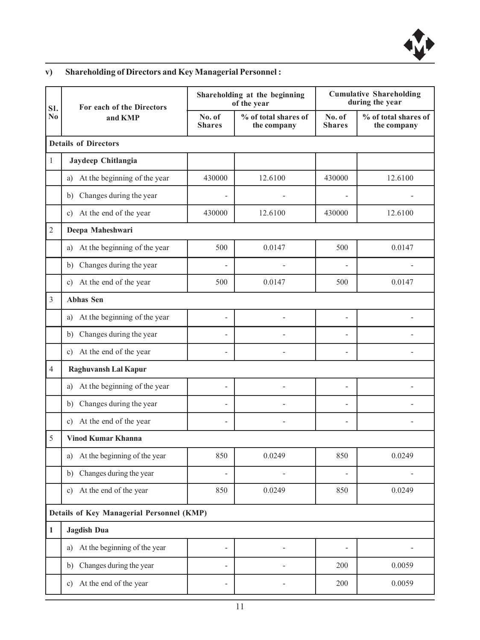

# **v) Shareholding of Directors and Key Managerial Personnel :**

| For each of the Directors          |                             |                                           | <b>Cumulative Shareholding</b><br>during the year |                                     |  |
|------------------------------------|-----------------------------|-------------------------------------------|---------------------------------------------------|-------------------------------------|--|
| and KMP                            | No. of<br><b>Shares</b>     | % of total shares of<br>the company       | No. of<br><b>Shares</b>                           | % of total shares of<br>the company |  |
|                                    |                             |                                           |                                                   |                                     |  |
| Jaydeep Chitlangia                 |                             |                                           |                                                   |                                     |  |
| At the beginning of the year<br>a) | 430000                      | 12.6100                                   | 430000                                            | 12.6100                             |  |
| Changes during the year<br>b)      |                             |                                           |                                                   |                                     |  |
| c) At the end of the year          | 430000                      | 12.6100                                   | 430000                                            | 12.6100                             |  |
| Deepa Maheshwari                   |                             |                                           |                                                   |                                     |  |
| At the beginning of the year<br>a) | 500                         | 0.0147                                    | 500                                               | 0.0147                              |  |
| b) Changes during the year         |                             |                                           |                                                   |                                     |  |
| c) At the end of the year          | 500                         | 0.0147                                    | 500                                               | 0.0147                              |  |
| <b>Abhas Sen</b>                   |                             |                                           |                                                   |                                     |  |
| At the beginning of the year<br>a) | $\overline{a}$              |                                           | $\overline{a}$                                    |                                     |  |
| b) Changes during the year         | $\overline{a}$              |                                           | $\overline{a}$                                    |                                     |  |
| c) At the end of the year          |                             |                                           | $\overline{\phantom{a}}$                          |                                     |  |
| Raghuvansh Lal Kapur               |                             |                                           |                                                   |                                     |  |
| At the beginning of the year<br>a) | $\overline{a}$              |                                           | $\qquad \qquad -$                                 |                                     |  |
| b) Changes during the year         | $\overline{a}$              |                                           | $\overline{a}$                                    |                                     |  |
| c) At the end of the year          |                             |                                           | $\overline{\phantom{0}}$                          |                                     |  |
| <b>Vinod Kumar Khanna</b>          |                             |                                           |                                                   |                                     |  |
| a) At the beginning of the year    | 850                         | 0.0249                                    | 850                                               | 0.0249                              |  |
| b) Changes during the year         |                             |                                           |                                                   |                                     |  |
| c) At the end of the year          | 850                         | 0.0249                                    | 850                                               | 0.0249                              |  |
|                                    |                             |                                           |                                                   |                                     |  |
| <b>Jagdish Dua</b>                 |                             |                                           |                                                   |                                     |  |
| a) At the beginning of the year    | $\overline{a}$              |                                           |                                                   |                                     |  |
| b) Changes during the year         | $\overline{a}$              |                                           | 200                                               | 0.0059                              |  |
| c) At the end of the year          |                             |                                           | 200                                               | 0.0059                              |  |
|                                    | <b>Details of Directors</b> | Details of Key Managerial Personnel (KMP) | Shareholding at the beginning<br>of the year      |                                     |  |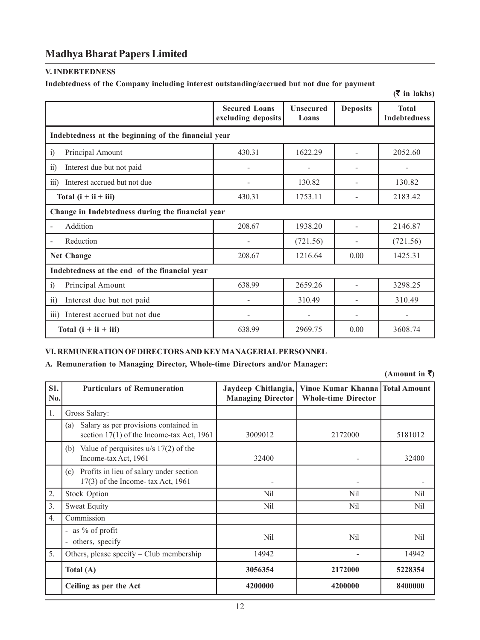### **V. INDEBTEDNESS**

#### **Indebtedness of the Company including interest outstanding/accrued but not due for payment**

|                                                     |                                            |                           |                 | $($ $\mu$ in Tanns)                 |  |  |  |
|-----------------------------------------------------|--------------------------------------------|---------------------------|-----------------|-------------------------------------|--|--|--|
|                                                     | <b>Secured Loans</b><br>excluding deposits | <b>Unsecured</b><br>Loans | <b>Deposits</b> | <b>Total</b><br><b>Indebtedness</b> |  |  |  |
| Indebtedness at the beginning of the financial year |                                            |                           |                 |                                     |  |  |  |
| Principal Amount<br>$\ddot{1}$                      | 430.31                                     | 1622.29                   |                 | 2052.60                             |  |  |  |
| Interest due but not paid<br>$\overline{ii}$        |                                            |                           |                 |                                     |  |  |  |
| Interest accrued but not due<br>$\overline{iii}$    |                                            | 130.82                    |                 | 130.82                              |  |  |  |
| Total $(i + ii + iii)$                              | 430.31                                     | 1753.11                   |                 | 2183.42                             |  |  |  |
| Change in Indebtedness during the financial year    |                                            |                           |                 |                                     |  |  |  |
| Addition                                            | 208.67                                     | 1938.20                   |                 | 2146.87                             |  |  |  |
| Reduction                                           |                                            | (721.56)                  |                 | (721.56)                            |  |  |  |
| <b>Net Change</b>                                   | 208.67                                     | 1216.64                   | 0.00            | 1425.31                             |  |  |  |
| Indebtedness at the end of the financial year       |                                            |                           |                 |                                     |  |  |  |
| Principal Amount<br>i)                              | 638.99                                     | 2659.26                   |                 | 3298.25                             |  |  |  |
| Interest due but not paid<br>$\rm ii)$              |                                            | 310.49                    |                 | 310.49                              |  |  |  |
| Interest accrued but not due<br>$\overline{iii}$    | $\overline{\phantom{a}}$                   | $\overline{\phantom{a}}$  |                 | $\overline{\phantom{a}}$            |  |  |  |
| Total $(i + ii + iii)$                              | 638.99                                     | 2969.75                   | 0.00            | 3608.74                             |  |  |  |

#### **VI. REMUNERATION OF DIRECTORS AND KEY MANAGERIAL PERSONNEL**

#### **A. Remuneration to Managing Director, Whole-time Directors and/or Manager:**

**(Amount in** `**)**

 $(\bar{z}$  in lakhs)

| SI.<br>No.       | <b>Particulars of Remuneration</b>                                                        | Jaydeep Chitlangia,<br><b>Managing Director</b> | Vinoe Kumar Khanna Total Amount<br><b>Whole-time Director</b> |         |
|------------------|-------------------------------------------------------------------------------------------|-------------------------------------------------|---------------------------------------------------------------|---------|
| 1.               | Gross Salary:                                                                             |                                                 |                                                               |         |
|                  | Salary as per provisions contained in<br>(a)<br>section 17(1) of the Income-tax Act, 1961 | 3009012                                         | 2172000                                                       | 5181012 |
|                  | Value of perquisites $u/s$ 17(2) of the<br>(b)<br>Income-tax Act, 1961                    | 32400                                           |                                                               | 32400   |
|                  | Profits in lieu of salary under section<br>(c)<br>$17(3)$ of the Income-tax Act, 1961     |                                                 |                                                               |         |
| 2.               | <b>Stock Option</b>                                                                       | Nil                                             | Nil                                                           | Nil     |
| 3.               | Sweat Equity                                                                              | Nil                                             | Nil                                                           | Nil     |
| $\overline{4}$ . | Commission                                                                                |                                                 |                                                               |         |
|                  | - as $\%$ of profit<br>others, specify                                                    | Nil                                             | Nil                                                           | Nil     |
| 5.               | Others, please specify – Club membership                                                  | 14942                                           |                                                               | 14942   |
|                  | Total $(A)$                                                                               | 3056354                                         | 2172000                                                       | 5228354 |
|                  | Ceiling as per the Act                                                                    | 4200000                                         | 4200000                                                       | 8400000 |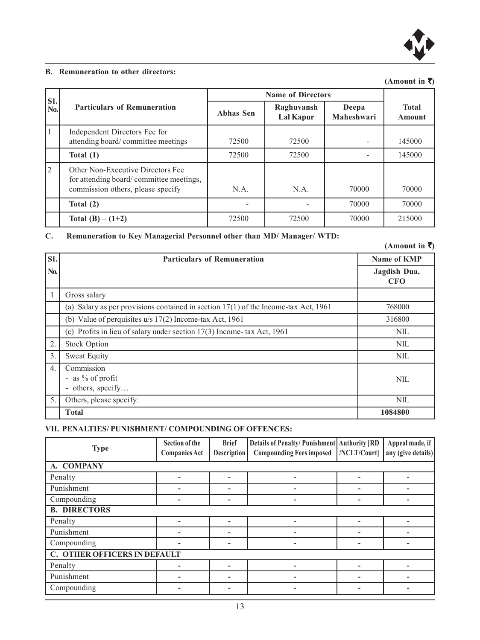

#### **B. Remuneration to other directors:**

#### **(Amount in** `**)**

| SI.          | <b>Name of Directors</b>                                                                                          |                  |                         |                     |                               |
|--------------|-------------------------------------------------------------------------------------------------------------------|------------------|-------------------------|---------------------|-------------------------------|
| No.          | <b>Particulars of Remuneration</b>                                                                                | <b>Abhas Sen</b> | Raghuvansh<br>Lal Kapur | Deepa<br>Maheshwari | <b>Total</b><br><b>Amount</b> |
| $\mathbf{1}$ | Independent Directors Fee for<br>attending board/committee meetings                                               | 72500            | 72500                   |                     | 145000                        |
|              | Total $(1)$                                                                                                       | 72500            | 72500                   |                     | 145000                        |
| 2            | Other Non-Executive Directors Fee<br>for attending board/committee meetings,<br>commission others, please specify | N.A.             | N.A.                    | 70000               | 70000                         |
|              | Total $(2)$                                                                                                       |                  |                         | 70000               | 70000                         |
|              | Total $(B) - (1+2)$                                                                                               | 72500            | 72500                   | 70000               | 215000                        |

### **C. Remuneration to Key Managerial Personnel other than MD/ Manager/ WTD:**

|                  |                                                                                       | (Amount in ₹)              |
|------------------|---------------------------------------------------------------------------------------|----------------------------|
| SI.              | <b>Particulars of Remuneration</b>                                                    | Name of KMP                |
| No.              |                                                                                       | Jagdish Dua,<br><b>CFO</b> |
|                  | Gross salary                                                                          |                            |
|                  | (a) Salary as per provisions contained in section $17(1)$ of the Income-tax Act, 1961 | 768000                     |
|                  | (b) Value of perquisites $u/s$ 17(2) Income-tax Act, 1961                             | 316800                     |
|                  | (c) Profits in lieu of salary under section $17(3)$ Income-tax Act, 1961              | <b>NIL</b>                 |
| $\overline{2}$   | <b>Stock Option</b>                                                                   | <b>NIL</b>                 |
| $\overline{3}$ . | Sweat Equity                                                                          | <b>NIL</b>                 |
| $\overline{4}$ . | Commission<br>- as $%$ of profit<br>- others, specify                                 | <b>NIL</b>                 |
| 5.               | Others, please specify:                                                               | NIL                        |
|                  | Total                                                                                 | 1084800                    |

#### **VII. PENALTIES/ PUNISHMENT/ COMPOUNDING OF OFFENCES:**

| <b>Type</b>                  | Section of the<br><b>Companies Act</b> | <b>Brief</b><br><b>Description</b> | Details of Penalty/ Punishment   Authority [RD<br><b>Compounding Fees imposed</b> | /NCLT/Court | Appeal made, if<br>any (give details) |  |  |
|------------------------------|----------------------------------------|------------------------------------|-----------------------------------------------------------------------------------|-------------|---------------------------------------|--|--|
| A. COMPANY                   |                                        |                                    |                                                                                   |             |                                       |  |  |
| Penalty                      |                                        | $\blacksquare$                     |                                                                                   |             |                                       |  |  |
| Punishment                   |                                        | -                                  |                                                                                   |             |                                       |  |  |
| Compounding                  |                                        |                                    |                                                                                   |             |                                       |  |  |
| <b>B. DIRECTORS</b>          |                                        |                                    |                                                                                   |             |                                       |  |  |
| Penalty                      |                                        |                                    |                                                                                   |             |                                       |  |  |
| Punishment                   |                                        | -                                  |                                                                                   |             |                                       |  |  |
| Compounding                  |                                        | -                                  |                                                                                   |             |                                       |  |  |
| C. OTHER OFFICERS IN DEFAULT |                                        |                                    |                                                                                   |             |                                       |  |  |
| Penalty                      |                                        |                                    |                                                                                   |             |                                       |  |  |
| Punishment                   |                                        |                                    |                                                                                   |             |                                       |  |  |
| Compounding                  |                                        |                                    |                                                                                   |             |                                       |  |  |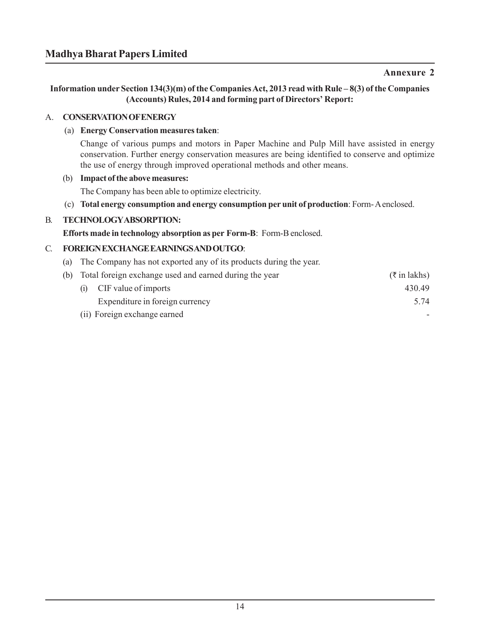### **Annexure 2**

**Information under Section 134(3)(m) of the Companies Act, 2013 read with Rule – 8(3) of the Companies (Accounts) Rules, 2014 and forming part of Directors' Report:**

#### A. **CONSERVATION OF ENERGY**

#### (a) **Energy Conservation measures taken**:

Change of various pumps and motors in Paper Machine and Pulp Mill have assisted in energy conservation. Further energy conservation measures are being identified to conserve and optimize the use of energy through improved operational methods and other means.

#### (b) **Impact of the above measures:**

The Company has been able to optimize electricity.

(c) **Total energy consumption and energy consumption per unit of production**: Form- A enclosed.

#### B. **TECHNOLOGY ABSORPTION:**

**Efforts made in technology absorption as per Form-B**: Form-B enclosed.

#### C. **FOREIGN EXCHANGE EARNINGS AND OUTGO**:

(a) The Company has not exported any of its products during the year.

|  | (b) Total foreign exchange used and earned during the year | $(\overline{\tau}$ in lakhs) |
|--|------------------------------------------------------------|------------------------------|
|  | (i) CIF value of imports                                   | 430.49                       |
|  | Expenditure in foreign currency                            | 5.74                         |
|  | (ii) Foreign exchange earned                               |                              |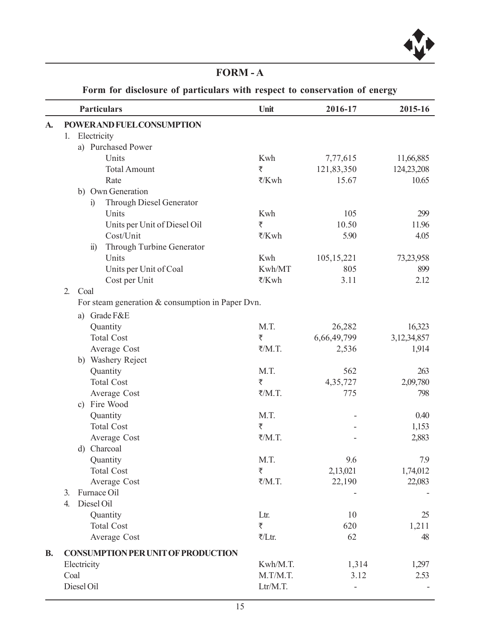

# **FORM - A**

**Form for disclosure of particulars with respect to conservation of energy**

|    | Particulars                                      | Unit                           | 2016-17      | 2015-16        |
|----|--------------------------------------------------|--------------------------------|--------------|----------------|
| A. | POWER AND FUEL CONSUMPTION                       |                                |              |                |
|    | Electricity<br>1.                                |                                |              |                |
|    | a) Purchased Power                               |                                |              |                |
|    | Units                                            | Kwh                            | 7,77,615     | 11,66,885      |
|    | <b>Total Amount</b>                              | ₹                              | 121,83,350   | 124,23,208     |
|    | Rate                                             | ₹/Kwh                          | 15.67        | 10.65          |
|    | b) Own Generation                                |                                |              |                |
|    | Through Diesel Generator<br>i)                   |                                |              |                |
|    | Units                                            | Kwh                            | 105          | 299            |
|    | Units per Unit of Diesel Oil                     | ₹                              | 10.50        | 11.96          |
|    | Cost/Unit                                        | ₹/Kwh                          | 5.90         | 4.05           |
|    | Through Turbine Generator<br>$\ddot{u}$          |                                |              |                |
|    | Units                                            | Kwh                            | 105, 15, 221 | 73,23,958      |
|    | Units per Unit of Coal                           | Kwh/MT                         | 805          | 899            |
|    | Cost per Unit                                    | ₹/Kwh                          | 3.11         | 2.12           |
|    | 2.<br>Coal                                       |                                |              |                |
|    | For steam generation & consumption in Paper Dvn. |                                |              |                |
|    | a) Grade F&E                                     |                                |              |                |
|    | Quantity                                         | M.T.                           | 26,282       | 16,323         |
|    | <b>Total Cost</b>                                | ₹                              | 6,66,49,799  | 3, 12, 34, 857 |
|    | Average Cost                                     | ₹/M.T.                         | 2,536        | 1,914          |
|    | b) Washery Reject                                |                                |              |                |
|    | Quantity                                         | M.T.                           | 562          | 263            |
|    | <b>Total Cost</b>                                | ₹                              | 4,35,727     | 2,09,780       |
|    | Average Cost                                     | ₹/M.T.                         | 775          | 798            |
|    | c) Fire Wood                                     |                                |              |                |
|    | Quantity                                         | M.T.                           |              | 0.40           |
|    | <b>Total Cost</b>                                | ₹                              |              | 1,153          |
|    | Average Cost                                     | ₹/M.T.                         |              | 2,883          |
|    | d) Charcoal                                      |                                |              |                |
|    | Quantity                                         | M.T.                           | 9.6          | 7.9            |
|    | <b>Total Cost</b>                                | ₹                              | 2,13,021     | 1,74,012       |
|    | Average Cost                                     | $\overline{\mathcal{K}}/M$ .T. | 22,190       | 22,083         |
|    | 3.<br>Furnace Oil                                |                                |              |                |
|    | Diesel Oil<br>4.                                 |                                |              |                |
|    | Quantity                                         | Ltr.                           | 10           | 25             |
|    | <b>Total Cost</b>                                | ₹                              | 620          | 1,211          |
|    | Average Cost                                     | ₹/Ltr.                         | 62           | 48             |
| В. | <b>CONSUMPTION PER UNIT OF PRODUCTION</b>        |                                |              |                |
|    | Electricity                                      | Kwh/M.T.                       | 1,314        | 1,297          |
|    | Coal                                             | M.T/M.T.                       | 3.12         | 2.53           |
|    | Diesel Oil                                       | Ltr/M.T.                       |              |                |
|    |                                                  |                                |              |                |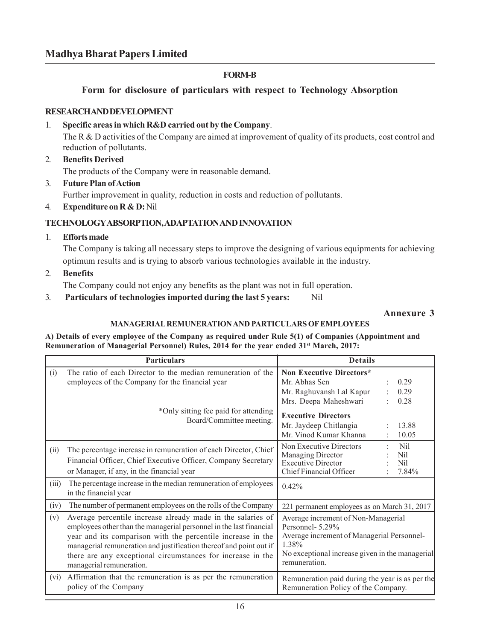### **FORM-B**

**Form for disclosure of particulars with respect to Technology Absorption**

#### **RESEARCH AND DEVELOPMENT**

#### 1. **Specific areas in which R&D carried out by the Company**.

The R  $\&$  D activities of the Company are aimed at improvement of quality of its products, cost control and reduction of pollutants.

- 2. **Benefits Derived** The products of the Company were in reasonable demand.
- 3. **Future Plan of Action** Further improvement in quality, reduction in costs and reduction of pollutants.
- 4. **Expenditure on R & D:** Nil

### **TECHNOLOGY ABSORPTION, ADAPTATION AND INNOVATION**

1. **Efforts made**

The Company is taking all necessary steps to improve the designing of various equipments for achieving optimum results and is trying to absorb various technologies available in the industry.

2. **Benefits**

The Company could not enjoy any benefits as the plant was not in full operation.

3. **Particulars of technologies imported during the last 5 years:** Nil

### **Annexure 3**

### **MANAGERIAL REMUNERATION AND PARTICULARS OF EMPLOYEES**

**A) Details of every employee of the Company as required under Rule 5(1) of Companies (Appointment and Remuneration of Managerial Personnel) Rules, 2014 for the year ended 31st March, 2017:**

|       | <b>Particulars</b>                                                                                                                                                                                                                                                                                                                                                 | <b>Details</b>                                                                                                                                                                    |  |  |
|-------|--------------------------------------------------------------------------------------------------------------------------------------------------------------------------------------------------------------------------------------------------------------------------------------------------------------------------------------------------------------------|-----------------------------------------------------------------------------------------------------------------------------------------------------------------------------------|--|--|
| (i)   | The ratio of each Director to the median remuneration of the<br>employees of the Company for the financial year                                                                                                                                                                                                                                                    | Non Executive Directors*<br>Mr. Abhas Sen<br>0.29<br>Mr. Raghuvansh Lal Kapur<br>0.29<br>0.28                                                                                     |  |  |
|       | *Only sitting fee paid for attending<br>Board/Committee meeting.                                                                                                                                                                                                                                                                                                   | Mrs. Deepa Maheshwari<br><b>Executive Directors</b><br>Mr. Jaydeep Chitlangia<br>13.88<br>Mr. Vinod Kumar Khanna<br>10.05                                                         |  |  |
| (ii)  | The percentage increase in remuneration of each Director, Chief<br>Financial Officer, Chief Executive Officer, Company Secretary<br>or Manager, if any, in the financial year                                                                                                                                                                                      | Non Executive Directors<br>Nil<br>÷<br>Managing Director<br>Nil<br><b>Executive Director</b><br>Nil<br>Chief Financial Officer<br>7.84%                                           |  |  |
| (iii) | The percentage increase in the median remuneration of employees<br>in the financial year                                                                                                                                                                                                                                                                           | 0.42%                                                                                                                                                                             |  |  |
| (iv)  | The number of permanent employees on the rolls of the Company                                                                                                                                                                                                                                                                                                      | 221 permanent employees as on March 31, 2017                                                                                                                                      |  |  |
| (v)   | Average percentile increase already made in the salaries of<br>employees other than the managerial personnel in the last financial<br>year and its comparison with the percentile increase in the<br>managerial remuneration and justification thereof and point out if<br>there are any exceptional circumstances for increase in the<br>managerial remuneration. | Average increment of Non-Managerial<br>Personnel-5.29%<br>Average increment of Managerial Personnel-<br>1.38%<br>No exceptional increase given in the managerial<br>remuneration. |  |  |
| (vi)  | Affirmation that the remuneration is as per the remuneration<br>policy of the Company                                                                                                                                                                                                                                                                              | Remuneration paid during the year is as per the<br>Remuneration Policy of the Company.                                                                                            |  |  |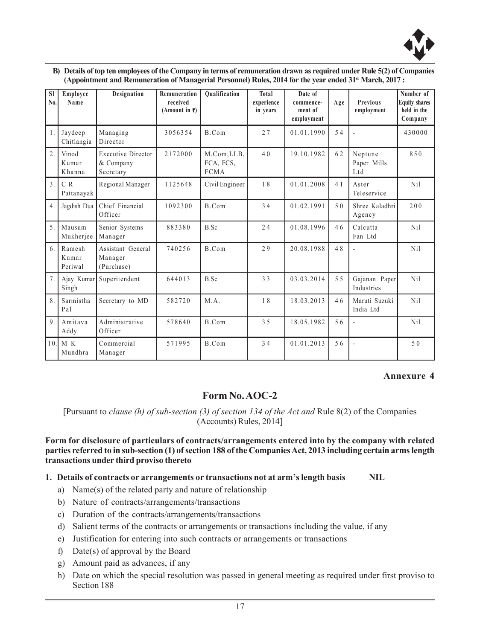

| B) Details of top ten employees of the Company in terms of remuneration drawn as required under Rule 5(2) of Companies |
|------------------------------------------------------------------------------------------------------------------------|
| (Appointment and Remuneration of Managerial Personnel) Rules, 2014 for the year ended $31st$ March, 2017 :             |

| <b>SI</b><br>No. | Employee<br>Name           | Designation                                         | Remuneration<br>received<br>(Amount in $\bar{x}$ ) | Oualification                           | Total<br>experience<br>in years | Date of<br>commence-<br>ment of<br>employment | Age | <b>Previous</b><br>employment | Number of<br><b>Equity shares</b><br>held in the<br>Company |
|------------------|----------------------------|-----------------------------------------------------|----------------------------------------------------|-----------------------------------------|---------------------------------|-----------------------------------------------|-----|-------------------------------|-------------------------------------------------------------|
| $\mathbf{1}$     | Jaydeep<br>Chitlangia      | Managing<br>Director                                | 3056354                                            | B.Com                                   | 27                              | 01.01.1990                                    | 54  |                               | 430000                                                      |
| $\overline{2}$   | Vinod<br>Kumar<br>Khanna   | <b>Executive Director</b><br>& Company<br>Secretary | 2172000                                            | M.Com, LLB,<br>FCA, FCS,<br><b>FCMA</b> | 40                              | 19.10.1982                                    | 62  | Neptune<br>Paper Mills<br>Ltd | 850                                                         |
| $\overline{3}$ . | C R<br>Pattanayak          | Regional Manager                                    | 1125648                                            | Civil Engineer                          | 18                              | 01.01.2008                                    | 4 1 | Aster<br>Teleservice          | N <sub>i</sub>                                              |
| $\overline{4}$ . | Jagdish Dua                | Chief Financial<br>Officer                          | 1092300                                            | B.Com                                   | 34                              | 01.02.1991                                    | 50  | Shree Kaladhri<br>Agency      | 200                                                         |
| 5                | Mausum<br>Mukherjee        | Senior Systems<br>Manager                           | 883380                                             | B.Sc                                    | 24                              | 01.08.1996                                    | 46  | Calcutta<br>Fan Ltd           | N <sub>i</sub>                                              |
| 6                | Ramesh<br>Kumar<br>Periwal | Assistant General<br>Manager<br>(Purchase)          | 740256                                             | B.Com                                   | 29                              | 20.08.1988                                    | 48  |                               | N <sub>i</sub>                                              |
| 7.               | Ajay Kumar<br>Singh        | Superitendent                                       | 644013                                             | B.Sc                                    | 33                              | 03.03.2014                                    | 55  | Gajanan Paper<br>Industries   | N <sub>i</sub>                                              |
| 8 <sub>1</sub>   | Sarmistha<br>Pal           | Secretary to MD                                     | 582720                                             | $M.A$ .                                 | 18                              | 18.03.2013                                    | 46  | Maruti Suzuki<br>India Ltd    | N <sub>i</sub> l                                            |
| $\overline{9}$   | Amitava<br>Addy            | Administrative<br>Officer                           | 578640                                             | B.Com                                   | 3.5                             | 18.05.1982                                    | 56  | ä,                            | N <sub>i</sub>                                              |
| 1 <sub>0</sub>   | IMK<br>Mundhra             | Commercial<br>Manager                               | 571995                                             | B.Com                                   | 34                              | 01.01.2013                                    | 56  | J.                            | 5.0                                                         |

### **Annexure 4**

# **Form No. AOC-2**

[Pursuant to *clause (h) of sub-section (3) of section 134 of the Act and* Rule 8(2) of the Companies (Accounts) Rules, 2014]

#### **Form for disclosure of particulars of contracts/arrangements entered into by the company with related parties referred to in sub-section (1) of section 188 of the Companies Act, 2013 including certain arms length transactions under third proviso thereto**

#### **1. Details of contracts or arrangements or transactions not at arm's length basis NIL**

- a) Name(s) of the related party and nature of relationship
- b) Nature of contracts/arrangements/transactions
- c) Duration of the contracts/arrangements/transactions
- d) Salient terms of the contracts or arrangements or transactions including the value, if any
- e) Justification for entering into such contracts or arrangements or transactions
- f) Date(s) of approval by the Board
- g) Amount paid as advances, if any
- h) Date on which the special resolution was passed in general meeting as required under first proviso to Section 188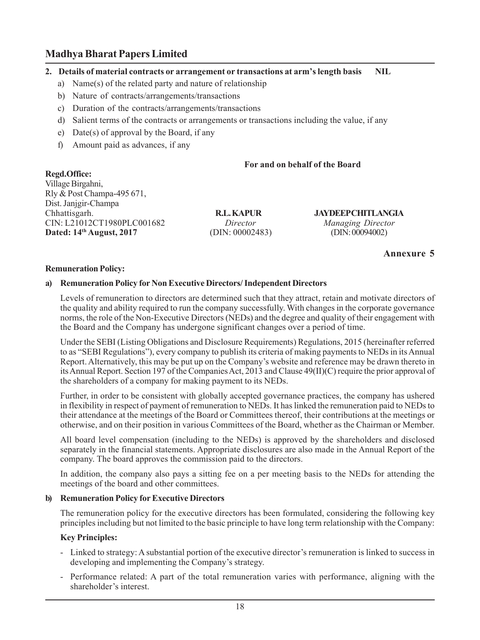### **2. Details of material contracts or arrangement or transactions at arm's length basis NIL**

- a) Name(s) of the related party and nature of relationship
- b) Nature of contracts/arrangements/transactions
- c) Duration of the contracts/arrangements/transactions
- d) Salient terms of the contracts or arrangements or transactions including the value, if any
- e) Date(s) of approval by the Board, if any
- f) Amount paid as advances, if any

## **For and on behalf of the Board**

**Regd.Office:** Village Birgahni, Rly & Post Champa-495 671, Dist. Janjgir-Champa CIN: L21012CT1980PLC001682*Director Managing Director* **Dated: 14th August, 2017** (DIN: 00002483) (DIN: 00094002)

**R.L. KAPUR JAYDEEP CHITLANGIA**<br>Director Managing Director

**Annexure 5**

#### **Remuneration Policy:**

#### **a) Remuneration Policy for Non Executive Directors/ Independent Directors**

Levels of remuneration to directors are determined such that they attract, retain and motivate directors of the quality and ability required to run the company successfully. With changes in the corporate governance norms, the role of the Non-Executive Directors (NEDs) and the degree and quality of their engagement with the Board and the Company has undergone significant changes over a period of time.

Under the SEBI (Listing Obligations and Disclosure Requirements) Regulations, 2015 (hereinafter referred to as "SEBI Regulations"), every company to publish its criteria of making payments to NEDs in its Annual Report. Alternatively, this may be put up on the Company's website and reference may be drawn thereto in its Annual Report. Section 197 of the Companies Act, 2013 and Clause 49(II)(C) require the prior approval of the shareholders of a company for making payment to its NEDs.

Further, in order to be consistent with globally accepted governance practices, the company has ushered in flexibility in respect of payment of remuneration to NEDs. It has linked the remuneration paid to NEDs to their attendance at the meetings of the Board or Committees thereof, their contributions at the meetings or otherwise, and on their position in various Committees of the Board, whether as the Chairman or Member.

All board level compensation (including to the NEDs) is approved by the shareholders and disclosed separately in the financial statements. Appropriate disclosures are also made in the Annual Report of the company. The board approves the commission paid to the directors.

In addition, the company also pays a sitting fee on a per meeting basis to the NEDs for attending the meetings of the board and other committees.

#### **b) Remuneration Policy for Executive Directors**

The remuneration policy for the executive directors has been formulated, considering the following key principles including but not limited to the basic principle to have long term relationship with the Company:

#### **Key Principles:**

- Linked to strategy: A substantial portion of the executive director's remuneration is linked to success in developing and implementing the Company's strategy.
- Performance related: A part of the total remuneration varies with performance, aligning with the shareholder's interest.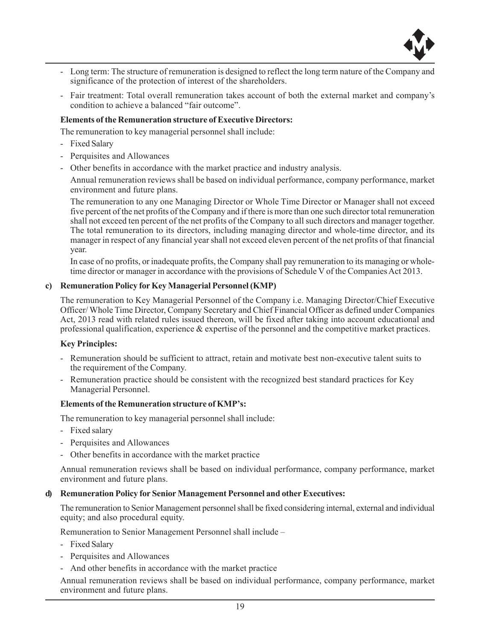

- Long term: The structure of remuneration is designed to reflect the long term nature of the Company and significance of the protection of interest of the shareholders.
- Fair treatment: Total overall remuneration takes account of both the external market and company's condition to achieve a balanced "fair outcome".

#### **Elements of the Remuneration structure of Executive Directors:**

The remuneration to key managerial personnel shall include:

- Fixed Salary
- Perquisites and Allowances
- Other benefits in accordance with the market practice and industry analysis.

Annual remuneration reviews shall be based on individual performance, company performance, market environment and future plans.

The remuneration to any one Managing Director or Whole Time Director or Manager shall not exceed five percent of the net profits of the Company and if there is more than one such director total remuneration shall not exceed ten percent of the net profits of the Company to all such directors and manager together. The total remuneration to its directors, including managing director and whole-time director, and its manager in respect of any financial year shall not exceed eleven percent of the net profits of that financial year.

In case of no profits, or inadequate profits, the Company shall pay remuneration to its managing or wholetime director or manager in accordance with the provisions of Schedule V of the Companies Act 2013.

#### **c) Remuneration Policy for Key Managerial Personnel (KMP)**

The remuneration to Key Managerial Personnel of the Company i.e. Managing Director/Chief Executive Officer/ Whole Time Director, Company Secretary and Chief Financial Officer as defined under Companies Act, 2013 read with related rules issued thereon, will be fixed after taking into account educational and professional qualification, experience & expertise of the personnel and the competitive market practices.

#### **Key Principles:**

- Remuneration should be sufficient to attract, retain and motivate best non-executive talent suits to the requirement of the Company.
- Remuneration practice should be consistent with the recognized best standard practices for Key Managerial Personnel.

#### **Elements of the Remuneration structure of KMP's:**

The remuneration to key managerial personnel shall include:

- Fixed salary
- Perquisites and Allowances
- Other benefits in accordance with the market practice

Annual remuneration reviews shall be based on individual performance, company performance, market environment and future plans.

#### **d) Remuneration Policy for Senior Management Personnel and other Executives:**

The remuneration to Senior Management personnel shall be fixed considering internal, external and individual equity; and also procedural equity.

Remuneration to Senior Management Personnel shall include –

- Fixed Salary
- Perquisites and Allowances
- And other benefits in accordance with the market practice

Annual remuneration reviews shall be based on individual performance, company performance, market environment and future plans.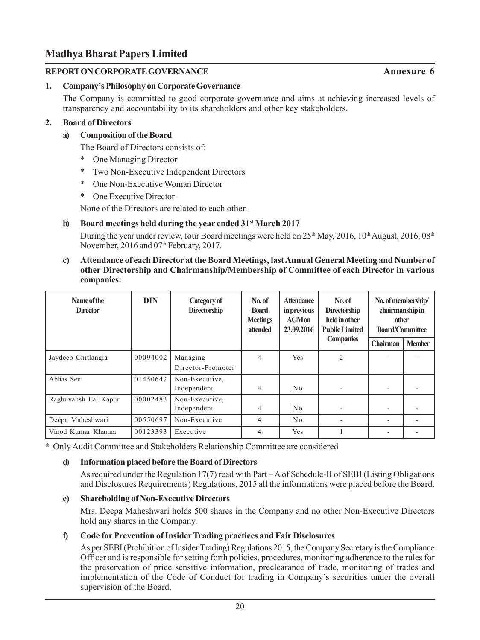### **REPORT ON CORPORATE GOVERNANCE**

### **1. Company's Philosophy on Corporate Governance**

The Company is committed to good corporate governance and aims at achieving increased levels of transparency and accountability to its shareholders and other key stakeholders.

### **2. Board of Directors**

### **a) Composition of the Board**

The Board of Directors consists of:

- \* One Managing Director
- Two Non-Executive Independent Directors
- One Non-Executive Woman Director
- One Executive Director

None of the Directors are related to each other.

## **b) Board meetings held during the year ended 31st March 2017**

During the year under review, four Board meetings were held on  $25<sup>th</sup>$  May,  $2016$ ,  $10<sup>th</sup>$  August,  $2016$ ,  $08<sup>th</sup>$ November, 2016 and 07<sup>th</sup> February, 2017.

**c) Attendance of each Director at the Board Meetings, last Annual General Meeting and Number of other Directorship and Chairmanship/Membership of Committee of each Director in various companies:**

| Name of the<br><b>Director</b> | DIN      | Category of<br>Directorship   | No. of<br><b>Attendance</b><br><b>Board</b><br>in previous<br><b>Meetings</b><br>23.09.2016<br>attended |                | No. of<br><b>Directorship</b><br>held in other<br><b>Public Limited</b> | No. of membership/<br>chairmanship in<br>other<br><b>Board/Committee</b> |               |
|--------------------------------|----------|-------------------------------|---------------------------------------------------------------------------------------------------------|----------------|-------------------------------------------------------------------------|--------------------------------------------------------------------------|---------------|
|                                |          |                               |                                                                                                         |                | <b>Companies</b>                                                        | Chairman                                                                 | <b>Member</b> |
| Jaydeep Chitlangia             | 00094002 | Managing<br>Director-Promoter | 4                                                                                                       | Yes            | $\overline{2}$                                                          |                                                                          |               |
| Abhas Sen                      | 01450642 | Non-Executive,<br>Independent | $\overline{4}$                                                                                          | No             |                                                                         |                                                                          |               |
| Raghuvansh Lal Kapur           | 00002483 | Non-Executive.<br>Independent | 4                                                                                                       | No             |                                                                         |                                                                          |               |
| Deepa Maheshwari               | 00550697 | Non-Executive                 | 4                                                                                                       | N <sub>0</sub> |                                                                         |                                                                          |               |
| Vinod Kumar Khanna             | 00123393 | Executive                     | 4                                                                                                       | Yes            |                                                                         |                                                                          |               |

**\*** Only Audit Committee and Stakeholders Relationship Committee are considered

## **d) Information placed before the Board of Directors**

As required under the Regulation 17(7) read with Part – A of Schedule-II of SEBI (Listing Obligations and Disclosures Requirements) Regulations, 2015 all the informations were placed before the Board.

#### **e) Shareholding of Non-Executive Directors**

Mrs. Deepa Maheshwari holds 500 shares in the Company and no other Non-Executive Directors hold any shares in the Company.

#### **f) Code for Prevention of Insider Trading practices and Fair Disclosures**

As per SEBI (Prohibition of Insider Trading) Regulations 2015, the Company Secretary is the Compliance Officer and is responsible for setting forth policies, procedures, monitoring adherence to the rules for the preservation of price sensitive information, preclearance of trade, monitoring of trades and implementation of the Code of Conduct for trading in Company's securities under the overall supervision of the Board.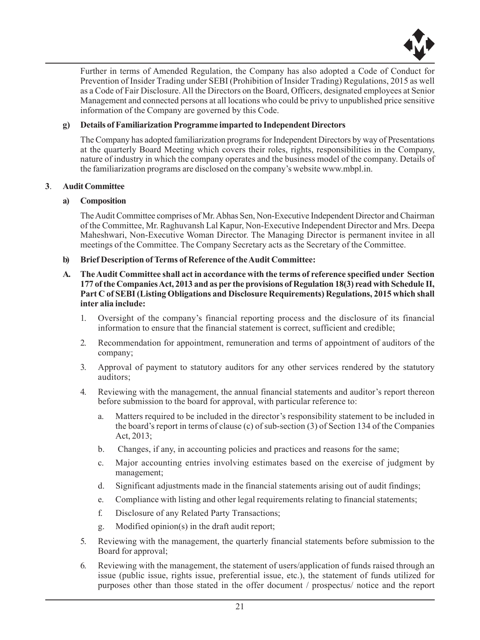

Further in terms of Amended Regulation, the Company has also adopted a Code of Conduct for Prevention of Insider Trading under SEBI (Prohibition of Insider Trading) Regulations, 2015 as well as a Code of Fair Disclosure. All the Directors on the Board, Officers, designated employees at Senior Management and connected persons at all locations who could be privy to unpublished price sensitive information of the Company are governed by this Code.

#### **g) Details of Familiarization Programme imparted to Independent Directors**

The Company has adopted familiarization programs for Independent Directors by way of Presentations at the quarterly Board Meeting which covers their roles, rights, responsibilities in the Company, nature of industry in which the company operates and the business model of the company. Details of the familiarization programs are disclosed on the company's website www.mbpl.in.

#### **3**. **Audit Committee**

#### **a) Composition**

The Audit Committee comprises of Mr. Abhas Sen, Non-Executive Independent Director and Chairman of the Committee, Mr. Raghuvansh Lal Kapur, Non-Executive Independent Director and Mrs. Deepa Maheshwari, Non-Executive Woman Director. The Managing Director is permanent invitee in all meetings of the Committee. The Company Secretary acts as the Secretary of the Committee.

- **b) Brief Description of Terms of Reference of the Audit Committee:**
- **A. The Audit Committee shall act in accordance with the terms of reference specified under Section 177 of the Companies Act, 2013 and as per the provisions of Regulation 18(3) read with Schedule II, Part C of SEBI (Listing Obligations and Disclosure Requirements) Regulations, 2015 which shall inter alia include:**
	- 1. Oversight of the company's financial reporting process and the disclosure of its financial information to ensure that the financial statement is correct, sufficient and credible;
	- 2. Recommendation for appointment, remuneration and terms of appointment of auditors of the company;
	- 3. Approval of payment to statutory auditors for any other services rendered by the statutory auditors;
	- 4. Reviewing with the management, the annual financial statements and auditor's report thereon before submission to the board for approval, with particular reference to:
		- a. Matters required to be included in the director's responsibility statement to be included in the board's report in terms of clause (c) of sub-section (3) of Section 134 of the Companies Act, 2013;
		- b. Changes, if any, in accounting policies and practices and reasons for the same;
		- c. Major accounting entries involving estimates based on the exercise of judgment by management;
		- d. Significant adjustments made in the financial statements arising out of audit findings;
		- e. Compliance with listing and other legal requirements relating to financial statements;
		- f. Disclosure of any Related Party Transactions;
		- g. Modified opinion(s) in the draft audit report;
	- 5. Reviewing with the management, the quarterly financial statements before submission to the Board for approval;
	- 6. Reviewing with the management, the statement of users/application of funds raised through an issue (public issue, rights issue, preferential issue, etc.), the statement of funds utilized for purposes other than those stated in the offer document / prospectus/ notice and the report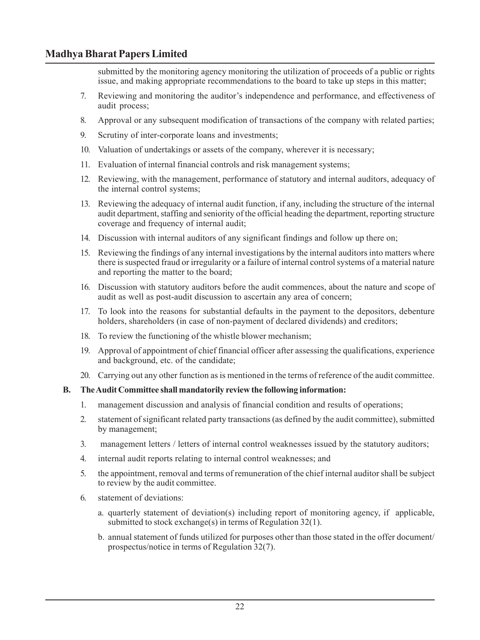submitted by the monitoring agency monitoring the utilization of proceeds of a public or rights issue, and making appropriate recommendations to the board to take up steps in this matter;

- 7. Reviewing and monitoring the auditor's independence and performance, and effectiveness of audit process;
- 8. Approval or any subsequent modification of transactions of the company with related parties;
- 9. Scrutiny of inter-corporate loans and investments;
- 10. Valuation of undertakings or assets of the company, wherever it is necessary;
- 11. Evaluation of internal financial controls and risk management systems;
- 12. Reviewing, with the management, performance of statutory and internal auditors, adequacy of the internal control systems;
- 13. Reviewing the adequacy of internal audit function, if any, including the structure of the internal audit department, staffing and seniority of the official heading the department, reporting structure coverage and frequency of internal audit;
- 14. Discussion with internal auditors of any significant findings and follow up there on;
- 15. Reviewing the findings of any internal investigations by the internal auditors into matters where there is suspected fraud or irregularity or a failure of internal control systems of a material nature and reporting the matter to the board;
- 16. Discussion with statutory auditors before the audit commences, about the nature and scope of audit as well as post-audit discussion to ascertain any area of concern;
- 17. To look into the reasons for substantial defaults in the payment to the depositors, debenture holders, shareholders (in case of non-payment of declared dividends) and creditors;
- 18. To review the functioning of the whistle blower mechanism;
- 19. Approval of appointment of chief financial officer after assessing the qualifications, experience and background, etc. of the candidate;
- 20. Carrying out any other function as is mentioned in the terms of reference of the audit committee.

## **B. The Audit Committee shall mandatorily review the following information:**

- 1. management discussion and analysis of financial condition and results of operations;
- 2. statement of significant related party transactions (as defined by the audit committee), submitted by management;
- 3. management letters / letters of internal control weaknesses issued by the statutory auditors;
- 4. internal audit reports relating to internal control weaknesses; and
- 5. the appointment, removal and terms of remuneration of the chief internal auditor shall be subject to review by the audit committee.
- 6. statement of deviations:
	- a. quarterly statement of deviation(s) including report of monitoring agency, if applicable, submitted to stock exchange(s) in terms of Regulation 32(1).
	- b. annual statement of funds utilized for purposes other than those stated in the offer document/ prospectus/notice in terms of Regulation 32(7).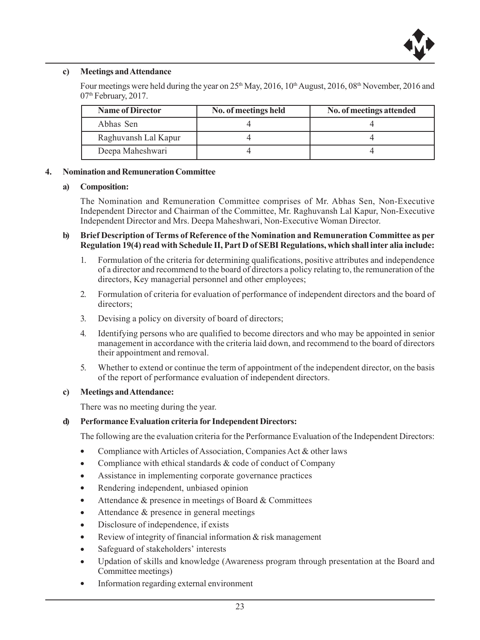

#### **c) Meetings and Attendance**

Four meetings were held during the year on  $25<sup>th</sup>$  May,  $2016$ ,  $10<sup>th</sup>$  August,  $2016$ ,  $08<sup>th</sup>$  November,  $2016$  and 07<sup>th</sup> February, 2017.

| <b>Name of Director</b> | No. of meetings held | No. of meetings attended |
|-------------------------|----------------------|--------------------------|
| Abhas Sen               |                      |                          |
| Raghuvansh Lal Kapur    |                      |                          |
| Deepa Maheshwari        |                      |                          |

#### **4. Nomination and Remuneration Committee**

#### **a) Composition:**

The Nomination and Remuneration Committee comprises of Mr. Abhas Sen, Non-Executive Independent Director and Chairman of the Committee, Mr. Raghuvansh Lal Kapur, Non-Executive Independent Director and Mrs. Deepa Maheshwari, Non-Executive Woman Director.

#### **b) Brief Description of Terms of Reference of the Nomination and Remuneration Committee as per Regulation 19(4) read with Schedule II, Part D of SEBI Regulations, which shall inter alia include:**

- 1. Formulation of the criteria for determining qualifications, positive attributes and independence of a director and recommend to the board of directors a policy relating to, the remuneration of the directors, Key managerial personnel and other employees;
- 2. Formulation of criteria for evaluation of performance of independent directors and the board of directors;
- 3. Devising a policy on diversity of board of directors;
- 4. Identifying persons who are qualified to become directors and who may be appointed in senior management in accordance with the criteria laid down, and recommend to the board of directors their appointment and removal.
- 5. Whether to extend or continue the term of appointment of the independent director, on the basis of the report of performance evaluation of independent directors.

#### **c) Meetings and Attendance:**

There was no meeting during the year.

#### **d) Performance Evaluation criteria for Independent Directors:**

The following are the evaluation criteria for the Performance Evaluation of the Independent Directors:

- Compliance with Articles of Association, Companies Act & other laws
- Compliance with ethical standards  $&$  code of conduct of Company
- Assistance in implementing corporate governance practices
- Rendering independent, unbiased opinion
- Attendance  $\&$  presence in meetings of Board  $\&$  Committees
- Attendance  $\&$  presence in general meetings
- Disclosure of independence, if exists
- Review of integrity of financial information & risk management
- Safeguard of stakeholders' interests
- Updation of skills and knowledge (Awareness program through presentation at the Board and Committee meetings)
- Information regarding external environment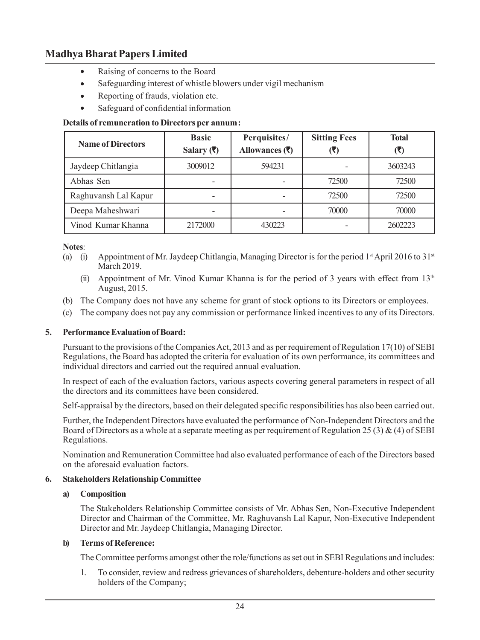- Raising of concerns to the Board
- Safeguarding interest of whistle blowers under vigil mechanism
- Reporting of frauds, violation etc.
- Safeguard of confidential information

#### **Details of remuneration to Directors per annum:**

| <b>Name of Directors</b> | <b>Basic</b><br>Salary (₹) | Perquisites/<br>Allowances $(\overline{\tau})$ | <b>Sitting Fees</b><br>(₹) | <b>Total</b><br>(₹) |
|--------------------------|----------------------------|------------------------------------------------|----------------------------|---------------------|
| Jaydeep Chitlangia       | 3009012                    | 594231                                         |                            | 3603243             |
| Abhas Sen                |                            |                                                | 72500                      | 72500               |
| Raghuvansh Lal Kapur     |                            |                                                | 72500                      | 72500               |
| Deepa Maheshwari         |                            |                                                | 70000                      | 70000               |
| Vinod Kumar Khanna       | 2172000                    | 430223                                         |                            | 2602223             |

#### **Notes**:

- (a) (i) Appointment of Mr. Jaydeep Chitlangia, Managing Director is for the period 1<sup>st</sup> April 2016 to 31<sup>st</sup> March 2019.
	- (ii) Appointment of Mr. Vinod Kumar Khanna is for the period of 3 years with effect from  $13<sup>th</sup>$ August, 2015.
- (b) The Company does not have any scheme for grant of stock options to its Directors or employees.
- (c) The company does not pay any commission or performance linked incentives to any of its Directors.

#### **5. Performance Evaluation of Board:**

Pursuant to the provisions of the Companies Act, 2013 and as per requirement of Regulation 17(10) of SEBI Regulations, the Board has adopted the criteria for evaluation of its own performance, its committees and individual directors and carried out the required annual evaluation.

In respect of each of the evaluation factors, various aspects covering general parameters in respect of all the directors and its committees have been considered.

Self-appraisal by the directors, based on their delegated specific responsibilities has also been carried out.

Further, the Independent Directors have evaluated the performance of Non-Independent Directors and the Board of Directors as a whole at a separate meeting as per requirement of Regulation 25 (3) & (4) of SEBI Regulations.

Nomination and Remuneration Committee had also evaluated performance of each of the Directors based on the aforesaid evaluation factors.

#### **6. Stakeholders Relationship Committee**

#### **a) Composition**

The Stakeholders Relationship Committee consists of Mr. Abhas Sen, Non-Executive Independent Director and Chairman of the Committee, Mr. Raghuvansh Lal Kapur, Non-Executive Independent Director and Mr. Jaydeep Chitlangia, Managing Director.

#### **b) Terms of Reference:**

The Committee performs amongst other the role/functions as set out in SEBI Regulations and includes:

1. To consider, review and redress grievances of shareholders, debenture-holders and other security holders of the Company;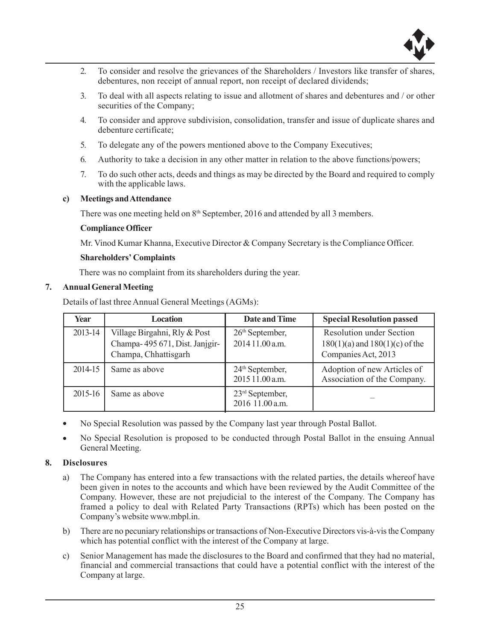

- 2. To consider and resolve the grievances of the Shareholders / Investors like transfer of shares, debentures, non receipt of annual report, non receipt of declared dividends;
- 3. To deal with all aspects relating to issue and allotment of shares and debentures and / or other securities of the Company;
- 4. To consider and approve subdivision, consolidation, transfer and issue of duplicate shares and debenture certificate;
- 5. To delegate any of the powers mentioned above to the Company Executives;
- 6. Authority to take a decision in any other matter in relation to the above functions/powers;
- 7. To do such other acts, deeds and things as may be directed by the Board and required to comply with the applicable laws.

#### **c) Meetings and Attendance**

There was one meeting held on 8<sup>th</sup> September, 2016 and attended by all 3 members.

#### **Compliance Officer**

Mr. Vinod Kumar Khanna, Executive Director & Company Secretary is the Compliance Officer.

#### **Shareholders' Complaints**

There was no complaint from its shareholders during the year.

#### **7. Annual General Meeting**

Details of last three Annual General Meetings (AGMs):

| Year    | <b>Location</b>                                                                        | Date and Time                                  | <b>Special Resolution passed</b>                                                             |
|---------|----------------------------------------------------------------------------------------|------------------------------------------------|----------------------------------------------------------------------------------------------|
| 2013-14 | Village Birgahni, Rly & Post<br>Champa-495 671, Dist. Janjgir-<br>Champa, Chhattisgarh | $26th$ September,<br>2014 11.00 a.m.           | <b>Resolution under Section</b><br>$180(1)(a)$ and $180(1)(c)$ of the<br>Companies Act, 2013 |
| 2014-15 | Same as above                                                                          | 24 <sup>th</sup> September,<br>2015 11.00 a.m. | Adoption of new Articles of<br>Association of the Company.                                   |
| 2015-16 | Same as above                                                                          | 23 <sup>rd</sup> September,<br>2016 11.00 a.m. |                                                                                              |

- No Special Resolution was passed by the Company last year through Postal Ballot.
- No Special Resolution is proposed to be conducted through Postal Ballot in the ensuing Annual General Meeting.

#### **8. Disclosures**

- a) The Company has entered into a few transactions with the related parties, the details whereof have been given in notes to the accounts and which have been reviewed by the Audit Committee of the Company. However, these are not prejudicial to the interest of the Company. The Company has framed a policy to deal with Related Party Transactions (RPTs) which has been posted on the Company's website www.mbpl.in.
- b) There are no pecuniary relationships or transactions of Non-Executive Directors vis-à-vis the Company which has potential conflict with the interest of the Company at large.
- c) Senior Management has made the disclosures to the Board and confirmed that they had no material, financial and commercial transactions that could have a potential conflict with the interest of the Company at large.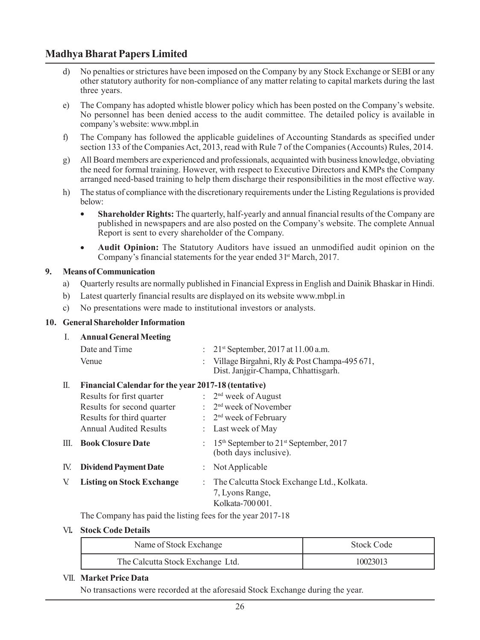- d) No penalties or strictures have been imposed on the Company by any Stock Exchange or SEBI or any other statutory authority for non-compliance of any matter relating to capital markets during the last three years.
- e) The Company has adopted whistle blower policy which has been posted on the Company's website. No personnel has been denied access to the audit committee. The detailed policy is available in company's website: www.mbpl.in
- f) The Company has followed the applicable guidelines of Accounting Standards as specified under section 133 of the Companies Act, 2013, read with Rule 7 of the Companies (Accounts) Rules, 2014.
- g) All Board members are experienced and professionals, acquainted with business knowledge, obviating the need for formal training. However, with respect to Executive Directors and KMPs the Company arranged need-based training to help them discharge their responsibilities in the most effective way.
- h) The status of compliance with the discretionary requirements under the Listing Regulations is provided below:
	- **Shareholder Rights:** The quarterly, half-yearly and annual financial results of the Company are published in newspapers and are also posted on the Company's website. The complete Annual Report is sent to every shareholder of the Company.
	- Audit Opinion: The Statutory Auditors have issued an unmodified audit opinion on the Company's financial statements for the year ended 3<sup>1st</sup> March, 2017.

#### **9. Means of Communication**

- a) Quarterly results are normally published in Financial Express in English and Dainik Bhaskar in Hindi.
- b) Latest quarterly financial results are displayed on its website www.mbpl.in
- c) No presentations were made to institutional investors or analysts.

#### **10. General Shareholder Information**

#### I. **Annual General Meeting**

| Date and Time | : $21^{st}$ September, 2017 at 11.00 a.m.      |
|---------------|------------------------------------------------|
| Venue         | : Village Birgahni, Rly & Post Champa-495 671, |
|               | Dist. Janjgir-Champa, Chhattisgarh.            |

#### II. **Financial Calendar for the year 2017-18 (tentative)**

|      | Results for first quarter        | : $2nd$ week of August                                                 |
|------|----------------------------------|------------------------------------------------------------------------|
|      | Results for second quarter       | $\therefore$ 2 <sup>nd</sup> week of November                          |
|      | Results for third quarter        | $\therefore$ 2 <sup>nd</sup> week of February                          |
|      | <b>Annual Audited Results</b>    | : Last week of May                                                     |
| III. | <b>Book Closure Date</b>         | : $15th$ September to $21st$ September, 2017<br>(both days inclusive). |
|      | <b>IV.</b> Dividend Payment Date | $\therefore$ Not Applicable                                            |
| V.   | <b>Listing on Stock Exchange</b> | The Calcutta Stock Exchange Ltd., Kolkata.                             |
|      |                                  | 7, Lyons Range,                                                        |
|      |                                  | Kolkata-700 001.                                                       |

The Company has paid the listing fees for the year 2017-18

#### VI**. Stock Code Details**

| Name of Stock Exchange           | Stock Code |  |
|----------------------------------|------------|--|
| The Calcutta Stock Exchange Ltd. | 10023013   |  |

#### VII. **Market Price Data**

No transactions were recorded at the aforesaid Stock Exchange during the year.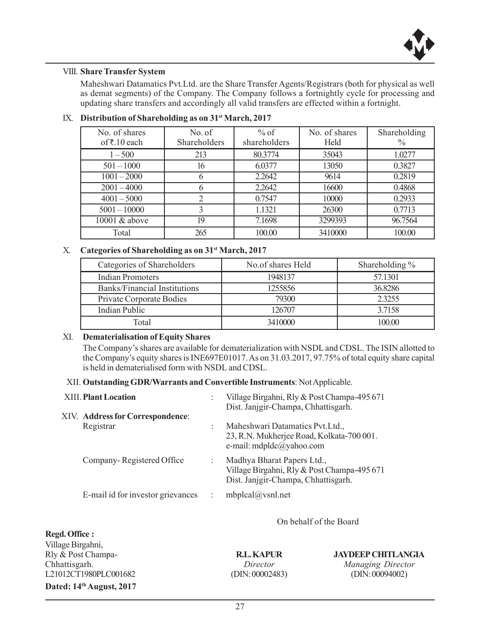

#### VIII. **Share Transfer System**

Maheshwari Datamatics Pvt.Ltd. are the Share Transfer Agents/Registrars (both for physical as well as demat segments) of the Company. The Company follows a fortnightly cycle for processing and updating share transfers and accordingly all valid transfers are effected within a fortnight.

| No. of shares<br>of₹.10 each | No. of<br><b>Shareholders</b> | $%$ of<br>shareholders | No. of shares<br>Held | Shareholding<br>$\%$ |
|------------------------------|-------------------------------|------------------------|-----------------------|----------------------|
| $1 - 500$                    | 213                           | 80.3774                | 35043                 | 1.0277               |
| $501 - 1000$                 | 16                            | 6.0377                 | 13050                 | 0.3827               |
| $1001 - 2000$                |                               | 2.2642                 | 9614                  | 0.2819               |
| $2001 - 4000$                |                               | 2.2642                 | 16600                 | 0.4868               |
| $4001 - 5000$                |                               | 0.7547                 | 10000                 | 0.2933               |
| $5001 - 10000$               | 3                             | 1.1321                 | 26300                 | 0.7713               |
| 10001 & above                | 19                            | 7.1698                 | 3299393               | 96.7564              |
| Total                        | 265                           | 100.00                 | 3410000               | 100.00               |

#### IX. **Distribution of Shareholding as on 31st March, 2017**

### X. **Categories of Shareholding as on 31st March, 2017**

| Categories of Shareholders   | No.of shares Held | Shareholding % |
|------------------------------|-------------------|----------------|
| Indian Promoters             | 1948137           | 57.1301        |
| Banks/Financial Institutions | 1255856           | 36.8286        |
| Private Corporate Bodies     | 79300             | 23255          |
| Indian Public                | 126707            | 3.7158         |
| Total                        | 3410000           | 100.00         |

#### XI. **Dematerialisation of Equity Shares**

The Company's shares are available for dematerialization with NSDL and CDSL. The ISIN allotted to the Company's equity shares is INE697E01017. As on 31.03.2017, 97.75% of total equity share capital is held in dematerialised form with NSDL and CDSL.

#### XII. **Outstanding GDR/Warrants and Convertible Instruments**: Not Applicable.

| <b>XIII. Plant Location</b>       | Village Birgahni, Rly & Post Champa-495 671<br>Dist. Janjgir-Champa, Chhattisgarh.                               |
|-----------------------------------|------------------------------------------------------------------------------------------------------------------|
| XIV. Address for Correspondence:  |                                                                                                                  |
| Registrar                         | Maheshwari Datamatics Pvt. Ltd.,<br>23, R.N. Mukherjee Road, Kolkata-700 001.<br>e-mail: mdpldc@yahoo.com        |
| Company-Registered Office         | Madhya Bharat Papers Ltd.,<br>Village Birgahni, Rly & Post Champa-495 671<br>Dist. Janjgir-Champa, Chhattisgarh. |
| E-mail id for investor grievances | mbplcal@vsnl.net                                                                                                 |

On behalf of the Board

| Regd. Office :           |                   |                           |
|--------------------------|-------------------|---------------------------|
| Village Birgahni,        |                   |                           |
| Rly & Post Champa-       | <b>R.L. KAPUR</b> | <b>JAYDEEP CHITLANGIA</b> |
| Chhattisgarh.            | Director          | Managing Director         |
| L21012CT1980PLC001682    | (DIN: 00002483)   | (DIN: 00094002)           |
| Dated: 14th August, 2017 |                   |                           |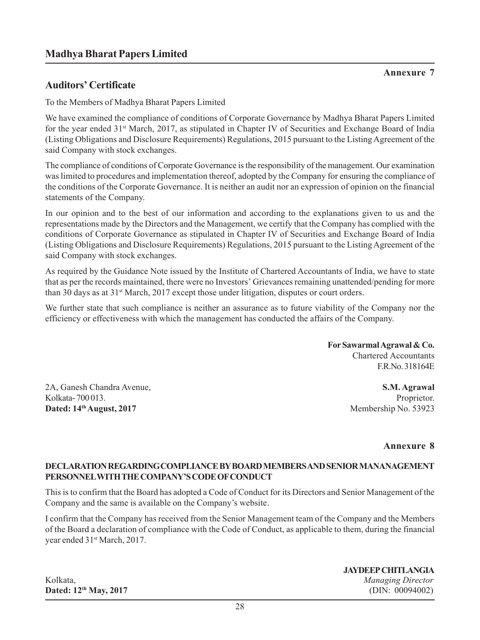**Annexure 7**

# **Auditors' Certificate**

To the Members of Madhya Bharat Papers Limited

We have examined the compliance of conditions of Corporate Governance by Madhya Bharat Papers Limited for the year ended 31st March, 2017, as stipulated in Chapter IV of Securities and Exchange Board of India (Listing Obligations and Disclosure Requirements) Regulations, 2015 pursuant to the Listing Agreement of the said Company with stock exchanges.

The compliance of conditions of Corporate Governance is the responsibility of the management. Our examination was limited to procedures and implementation thereof, adopted by the Company for ensuring the compliance of the conditions of the Corporate Governance. It is neither an audit nor an expression of opinion on the financial statements of the Company.

In our opinion and to the best of our information and according to the explanations given to us and the representations made by the Directors and the Management, we certify that the Company has complied with the conditions of Corporate Governance as stipulated in Chapter IV of Securities and Exchange Board of India (Listing Obligations and Disclosure Requirements) Regulations, 2015 pursuant to the Listing Agreement of the said Company with stock exchanges.

As required by the Guidance Note issued by the Institute of Chartered Accountants of India, we have to state that as per the records maintained, there were no Investors' Grievances remaining unattended/pending for more than 30 days as at  $31<sup>st</sup> March$ ,  $2017$  except those under litigation, disputes or court orders.

We further state that such compliance is neither an assurance as to future viability of the Company nor the efficiency or effectiveness with which the management has conducted the affairs of the Company.

> **For Sawarmal Agrawal & Co.** Chartered Accountants F.R.No. 318164E

2A, Ganesh Chandra Avenue, **S.M. Agrawal** Kolkata- 700 013. Proprietor. **Dated: 14th August, 2017** Membership No. 53923

#### **Annexure 8**

#### **DECLARATION REGARDING COMPLIANCE BY BOARD MEMBERS AND SENIOR MANANAGEMENT PERSONNEL WITH THE COMPANY'S CODE OF CONDUCT**

This is to confirm that the Board has adopted a Code of Conduct for its Directors and Senior Management of the Company and the same is available on the Company's website.

I confirm that the Company has received from the Senior Management team of the Company and the Members of the Board a declaration of compliance with the Code of Conduct, as applicable to them, during the financial year ended 31<sup>st</sup> March, 2017.

**Dated: 12<sup>th</sup> May, 2017** (DIN: 00094002)

#### **JAYDEEP CHITLANGIA** Kolkata, *Managing Director*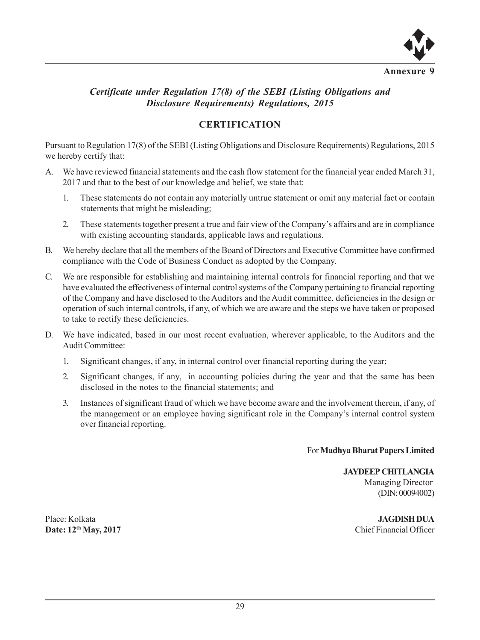

### *Certificate under Regulation 17(8) of the SEBI (Listing Obligations and Disclosure Requirements) Regulations, 2015*

# **CERTIFICATION**

Pursuant to Regulation 17(8) of the SEBI (Listing Obligations and Disclosure Requirements) Regulations, 2015 we hereby certify that:

- A. We have reviewed financial statements and the cash flow statement for the financial year ended March 31, 2017 and that to the best of our knowledge and belief, we state that:
	- 1. These statements do not contain any materially untrue statement or omit any material fact or contain statements that might be misleading;
	- 2. These statements together present a true and fair view of the Company's affairs and are in compliance with existing accounting standards, applicable laws and regulations.
- B. We hereby declare that all the members of the Board of Directors and Executive Committee have confirmed compliance with the Code of Business Conduct as adopted by the Company.
- C. We are responsible for establishing and maintaining internal controls for financial reporting and that we have evaluated the effectiveness of internal control systems of the Company pertaining to financial reporting of the Company and have disclosed to the Auditors and the Audit committee, deficiencies in the design or operation of such internal controls, if any, of which we are aware and the steps we have taken or proposed to take to rectify these deficiencies.
- D. We have indicated, based in our most recent evaluation, wherever applicable, to the Auditors and the Audit Committee:
	- 1. Significant changes, if any, in internal control over financial reporting during the year;
	- 2. Significant changes, if any, in accounting policies during the year and that the same has been disclosed in the notes to the financial statements; and
	- 3. Instances of significant fraud of which we have become aware and the involvement therein, if any, of the management or an employee having significant role in the Company's internal control system over financial reporting.

For **Madhya Bharat Papers Limited**

**JAYDEEP CHITLANGIA** Managing Director (DIN: 00094002)

Place: Kolkata **JAGDISH DUA Date: 12<sup>th</sup> May, 2017** Chief Financial Officer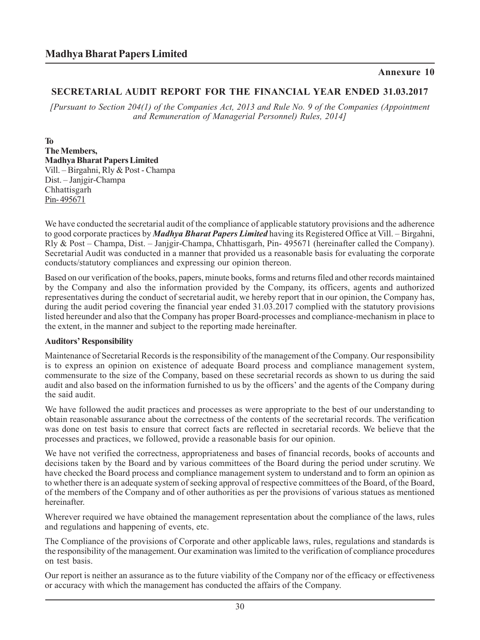# **Annexure 10**

# **SECRETARIAL AUDIT REPORT FOR THE FINANCIAL YEAR ENDED 31.03.2017**

*[Pursuant to Section 204(1) of the Companies Act, 2013 and Rule No. 9 of the Companies (Appointment and Remuneration of Managerial Personnel) Rules, 2014]*

**To The Members, Madhya Bharat Papers Limited** Vill. – Birgahni, Rly & Post - Champa Dist. – Janjgir-Champa Chhattisgarh Pin- 495671

We have conducted the secretarial audit of the compliance of applicable statutory provisions and the adherence to good corporate practices by *Madhya Bharat Papers Limited* having its Registered Office at Vill. – Birgahni, Rly & Post – Champa, Dist. – Janjgir-Champa, Chhattisgarh, Pin- 495671 (hereinafter called the Company). Secretarial Audit was conducted in a manner that provided us a reasonable basis for evaluating the corporate conducts/statutory compliances and expressing our opinion thereon.

Based on our verification of the books, papers, minute books, forms and returns filed and other records maintained by the Company and also the information provided by the Company, its officers, agents and authorized representatives during the conduct of secretarial audit, we hereby report that in our opinion, the Company has, during the audit period covering the financial year ended 31.03.2017 complied with the statutory provisions listed hereunder and also that the Company has proper Board-processes and compliance-mechanism in place to the extent, in the manner and subject to the reporting made hereinafter.

#### **Auditors' Responsibility**

Maintenance of Secretarial Records is the responsibility of the management of the Company. Our responsibility is to express an opinion on existence of adequate Board process and compliance management system, commensurate to the size of the Company, based on these secretarial records as shown to us during the said audit and also based on the information furnished to us by the officers' and the agents of the Company during the said audit.

We have followed the audit practices and processes as were appropriate to the best of our understanding to obtain reasonable assurance about the correctness of the contents of the secretarial records. The verification was done on test basis to ensure that correct facts are reflected in secretarial records. We believe that the processes and practices, we followed, provide a reasonable basis for our opinion.

We have not verified the correctness, appropriateness and bases of financial records, books of accounts and decisions taken by the Board and by various committees of the Board during the period under scrutiny. We have checked the Board process and compliance management system to understand and to form an opinion as to whether there is an adequate system of seeking approval of respective committees of the Board, of the Board, of the members of the Company and of other authorities as per the provisions of various statues as mentioned hereinafter.

Wherever required we have obtained the management representation about the compliance of the laws, rules and regulations and happening of events, etc.

The Compliance of the provisions of Corporate and other applicable laws, rules, regulations and standards is the responsibility of the management. Our examination was limited to the verification of compliance procedures on test basis.

Our report is neither an assurance as to the future viability of the Company nor of the efficacy or effectiveness or accuracy with which the management has conducted the affairs of the Company.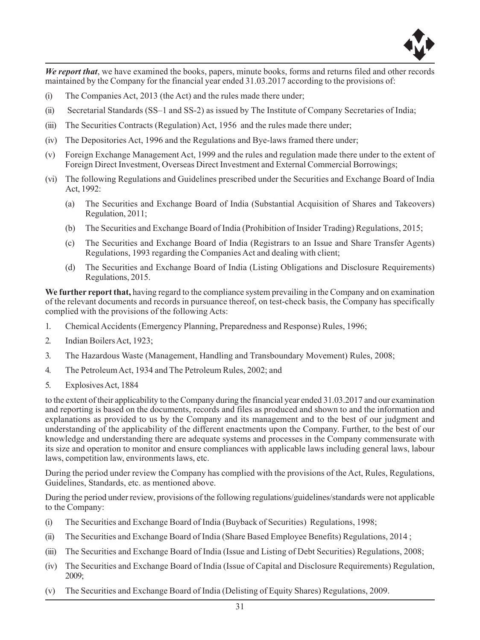

*We report that*, we have examined the books, papers, minute books, forms and returns filed and other records maintained by the Company for the financial year ended 31.03.2017 according to the provisions of:

- (i) The Companies Act, 2013 (the Act) and the rules made there under;
- (ii) Secretarial Standards (SS–1 and SS-2) as issued by The Institute of Company Secretaries of India;
- (iii) The Securities Contracts (Regulation) Act, 1956 and the rules made there under;
- (iv) The Depositories Act, 1996 and the Regulations and Bye-laws framed there under;
- (v) Foreign Exchange Management Act, 1999 and the rules and regulation made there under to the extent of Foreign Direct Investment, Overseas Direct Investment and External Commercial Borrowings;
- (vi) The following Regulations and Guidelines prescribed under the Securities and Exchange Board of India Act, 1992:
	- (a) The Securities and Exchange Board of India (Substantial Acquisition of Shares and Takeovers) Regulation, 2011;
	- (b) The Securities and Exchange Board of India (Prohibition of Insider Trading) Regulations, 2015;
	- (c) The Securities and Exchange Board of India (Registrars to an Issue and Share Transfer Agents) Regulations, 1993 regarding the Companies Act and dealing with client;
	- (d) The Securities and Exchange Board of India (Listing Obligations and Disclosure Requirements) Regulations, 2015.

**We further report that,** having regard to the compliance system prevailing in the Company and on examination of the relevant documents and records in pursuance thereof, on test-check basis, the Company has specifically complied with the provisions of the following Acts:

- 1. Chemical Accidents (Emergency Planning, Preparedness and Response) Rules, 1996;
- 2. Indian Boilers Act, 1923;
- 3. The Hazardous Waste (Management, Handling and Transboundary Movement) Rules, 2008;
- 4. The Petroleum Act, 1934 and The Petroleum Rules, 2002; and
- 5. Explosives Act, 1884

to the extent of their applicability to the Company during the financial year ended 31.03.2017 and our examination and reporting is based on the documents, records and files as produced and shown to and the information and explanations as provided to us by the Company and its management and to the best of our judgment and understanding of the applicability of the different enactments upon the Company. Further, to the best of our knowledge and understanding there are adequate systems and processes in the Company commensurate with its size and operation to monitor and ensure compliances with applicable laws including general laws, labour laws, competition law, environments laws, etc.

During the period under review the Company has complied with the provisions of the Act, Rules, Regulations, Guidelines, Standards, etc. as mentioned above.

During the period under review, provisions of the following regulations/guidelines/standards were not applicable to the Company:

- (i) The Securities and Exchange Board of India (Buyback of Securities) Regulations, 1998;
- (ii) The Securities and Exchange Board of India (Share Based Employee Benefits) Regulations, 2014 ;
- (iii) The Securities and Exchange Board of India (Issue and Listing of Debt Securities) Regulations, 2008;
- (iv) The Securities and Exchange Board of India (Issue of Capital and Disclosure Requirements) Regulation, 2009;
- (v) The Securities and Exchange Board of India (Delisting of Equity Shares) Regulations, 2009.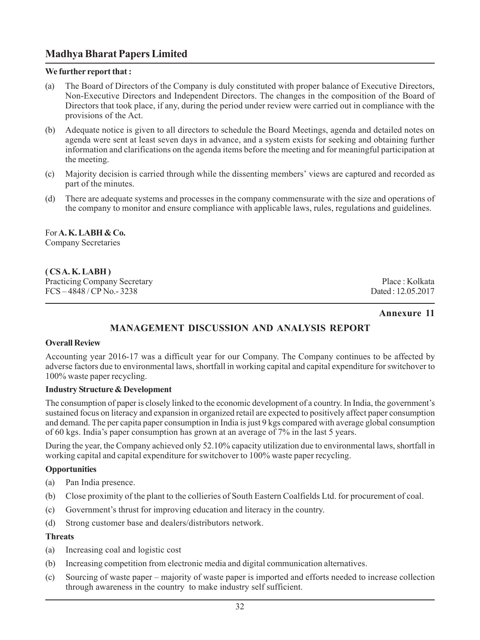#### **We further report that :**

- (a) The Board of Directors of the Company is duly constituted with proper balance of Executive Directors, Non-Executive Directors and Independent Directors. The changes in the composition of the Board of Directors that took place, if any, during the period under review were carried out in compliance with the provisions of the Act.
- (b) Adequate notice is given to all directors to schedule the Board Meetings, agenda and detailed notes on agenda were sent at least seven days in advance, and a system exists for seeking and obtaining further information and clarifications on the agenda items before the meeting and for meaningful participation at the meeting.
- (c) Majority decision is carried through while the dissenting members' views are captured and recorded as part of the minutes.
- (d) There are adequate systems and processes in the company commensurate with the size and operations of the company to monitor and ensure compliance with applicable laws, rules, regulations and guidelines.

# For **A. K. LABH & Co.**

Company Secretaries

#### **( CS A. K. LABH )**

Practicing Company Secretary **Place : Kolkata** FCS – 4848 / CP No. - 3238 Dated : 12.05.2017

### **Annexure 11**

# **MANAGEMENT DISCUSSION AND ANALYSIS REPORT**

#### **Overall Review**

Accounting year 2016-17 was a difficult year for our Company. The Company continues to be affected by adverse factors due to environmental laws, shortfall in working capital and capital expenditure for switchover to 100% waste paper recycling.

#### **Industry Structure & Development**

The consumption of paper is closely linked to the economic development of a country. In India, the government's sustained focus on literacy and expansion in organized retail are expected to positively affect paper consumption and demand. The per capita paper consumption in India is just 9 kgs compared with average global consumption of 60 kgs. India's paper consumption has grown at an average of 7% in the last 5 years.

During the year, the Company achieved only 52.10% capacity utilization due to environmental laws, shortfall in working capital and capital expenditure for switchover to 100% waste paper recycling.

#### **Opportunities**

- (a) Pan India presence.
- (b) Close proximity of the plant to the collieries of South Eastern Coalfields Ltd. for procurement of coal.
- (c) Government's thrust for improving education and literacy in the country.
- (d) Strong customer base and dealers/distributors network.

#### **Threats**

- (a) Increasing coal and logistic cost
- (b) Increasing competition from electronic media and digital communication alternatives.
- (c) Sourcing of waste paper majority of waste paper is imported and efforts needed to increase collection through awareness in the country to make industry self sufficient.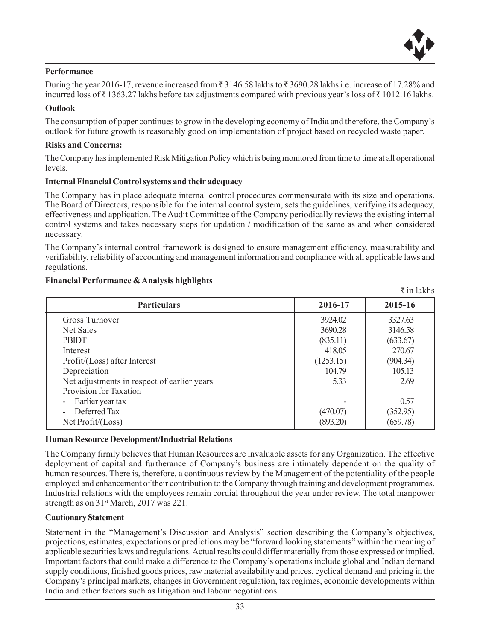

₹ in lakhs

#### **Performance**

During the year 2016-17, revenue increased from  $\bar{\tau}$  3146.58 lakhs to  $\bar{\tau}$  3690.28 lakhs i.e. increase of 17.28% and incurred loss of  $\bar{\tau}$  1363.27 lakhs before tax adjustments compared with previous year's loss of  $\bar{\tau}$  1012.16 lakhs.

#### **Outlook**

The consumption of paper continues to grow in the developing economy of India and therefore, the Company's outlook for future growth is reasonably good on implementation of project based on recycled waste paper.

#### **Risks and Concerns:**

The Company has implemented Risk Mitigation Policy which is being monitored from time to time at all operational levels.

#### **Internal Financial Control systems and their adequacy**

The Company has in place adequate internal control procedures commensurate with its size and operations. The Board of Directors, responsible for the internal control system, sets the guidelines, verifying its adequacy, effectiveness and application. The Audit Committee of the Company periodically reviews the existing internal control systems and takes necessary steps for updation / modification of the same as and when considered necessary.

The Company's internal control framework is designed to ensure management efficiency, measurability and verifiability, reliability of accounting and management information and compliance with all applicable laws and regulations.

#### **Financial Performance & Analysis highlights**

| <b>Particulars</b>                          | 2016-17   | 2015-16  |
|---------------------------------------------|-----------|----------|
| Gross Turnover                              | 3924.02   | 3327.63  |
| Net Sales                                   | 3690.28   | 3146.58  |
| <b>PBIDT</b>                                | (835.11)  | (633.67) |
| Interest                                    | 418.05    | 270.67   |
| Profit/(Loss) after Interest                | (1253.15) | (904.34) |
| Depreciation                                | 104.79    | 105.13   |
| Net adjustments in respect of earlier years | 5.33      | 2.69     |
| Provision for Taxation                      |           |          |
| - Earlier year tax                          |           | 0.57     |
| Deferred Tax<br>$\blacksquare$              | (470.07)  | (352.95) |
| Net Profit / (Loss)                         | (893.20)  | (659.78) |

#### **Human Resource Development/Industrial Relations**

The Company firmly believes that Human Resources are invaluable assets for any Organization. The effective deployment of capital and furtherance of Company's business are intimately dependent on the quality of human resources. There is, therefore, a continuous review by the Management of the potentiality of the people employed and enhancement of their contribution to the Company through training and development programmes. Industrial relations with the employees remain cordial throughout the year under review. The total manpower strength as on  $31<sup>st</sup> March, 2017 was 221$ .

#### **Cautionary Statement**

Statement in the "Management's Discussion and Analysis" section describing the Company's objectives, projections, estimates, expectations or predictions may be "forward looking statements" within the meaning of applicable securities laws and regulations. Actual results could differ materially from those expressed or implied. Important factors that could make a difference to the Company's operations include global and Indian demand supply conditions, finished goods prices, raw material availability and prices, cyclical demand and pricing in the Company's principal markets, changes in Government regulation, tax regimes, economic developments within India and other factors such as litigation and labour negotiations.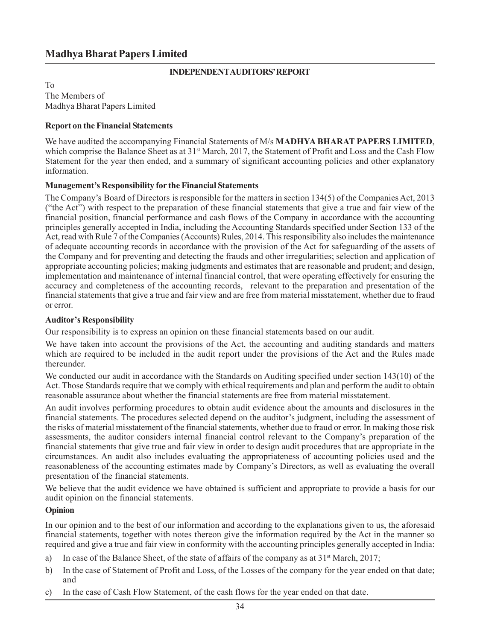#### **INDEPENDENT AUDITORS' REPORT**

To The Members of Madhya Bharat Papers Limited

#### **Report on the Financial Statements**

We have audited the accompanying Financial Statements of M/s **MADHYA BHARAT PAPERS LIMITED**, which comprise the Balance Sheet as at  $31<sup>st</sup>$  March, 2017, the Statement of Profit and Loss and the Cash Flow Statement for the year then ended, and a summary of significant accounting policies and other explanatory information.

#### **Management's Responsibility for the Financial Statements**

The Company's Board of Directors is responsible for the matters in section 134(5) of the Companies Act, 2013 ("the Act") with respect to the preparation of these financial statements that give a true and fair view of the financial position, financial performance and cash flows of the Company in accordance with the accounting principles generally accepted in India, including the Accounting Standards specified under Section 133 of the Act, read with Rule 7 of the Companies (Accounts) Rules, 2014. This responsibility also includes the maintenance of adequate accounting records in accordance with the provision of the Act for safeguarding of the assets of the Company and for preventing and detecting the frauds and other irregularities; selection and application of appropriate accounting policies; making judgments and estimates that are reasonable and prudent; and design, implementation and maintenance of internal financial control, that were operating effectively for ensuring the accuracy and completeness of the accounting records, relevant to the preparation and presentation of the financial statements that give a true and fair view and are free from material misstatement, whether due to fraud or error.

#### **Auditor's Responsibility**

Our responsibility is to express an opinion on these financial statements based on our audit.

We have taken into account the provisions of the Act, the accounting and auditing standards and matters which are required to be included in the audit report under the provisions of the Act and the Rules made thereunder.

We conducted our audit in accordance with the Standards on Auditing specified under section 143(10) of the Act. Those Standards require that we comply with ethical requirements and plan and perform the audit to obtain reasonable assurance about whether the financial statements are free from material misstatement.

An audit involves performing procedures to obtain audit evidence about the amounts and disclosures in the financial statements. The procedures selected depend on the auditor's judgment, including the assessment of the risks of material misstatement of the financial statements, whether due to fraud or error. In making those risk assessments, the auditor considers internal financial control relevant to the Company's preparation of the financial statements that give true and fair view in order to design audit procedures that are appropriate in the circumstances. An audit also includes evaluating the appropriateness of accounting policies used and the reasonableness of the accounting estimates made by Company's Directors, as well as evaluating the overall presentation of the financial statements.

We believe that the audit evidence we have obtained is sufficient and appropriate to provide a basis for our audit opinion on the financial statements.

#### **Opinion**

In our opinion and to the best of our information and according to the explanations given to us, the aforesaid financial statements, together with notes thereon give the information required by the Act in the manner so required and give a true and fair view in conformity with the accounting principles generally accepted in India:

- a) In case of the Balance Sheet, of the state of affairs of the company as at  $31<sup>st</sup>$  March, 2017;
- b) In the case of Statement of Profit and Loss, of the Losses of the company for the year ended on that date; and
- c) In the case of Cash Flow Statement, of the cash flows for the year ended on that date.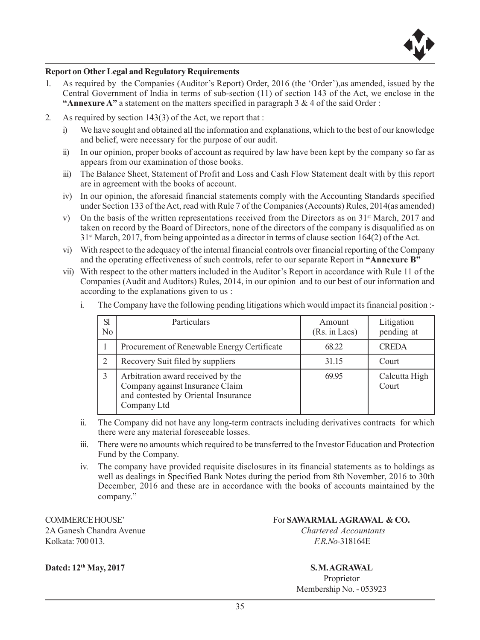

#### **Report on Other Legal and Regulatory Requirements**

- 1. As required by the Companies (Auditor's Report) Order, 2016 (the 'Order'),as amended, issued by the Central Government of India in terms of sub-section (11) of section 143 of the Act, we enclose in the **"Annexure A"** a statement on the matters specified in paragraph  $3 \& 4$  of the said Order :
- 2. As required by section 143(3) of the Act, we report that :
	- i) We have sought and obtained all the information and explanations, which to the best of our knowledge and belief, were necessary for the purpose of our audit.
	- ii) In our opinion, proper books of account as required by law have been kept by the company so far as appears from our examination of those books.
	- iii) The Balance Sheet, Statement of Profit and Loss and Cash Flow Statement dealt with by this report are in agreement with the books of account.
	- iv) In our opinion, the aforesaid financial statements comply with the Accounting Standards specified under Section 133 of the Act, read with Rule 7 of the Companies (Accounts) Rules, 2014(as amended)
	- v) On the basis of the written representations received from the Directors as on  $31<sup>st</sup>$  March, 2017 and taken on record by the Board of Directors, none of the directors of the company is disqualified as on 31st March, 2017, from being appointed as a director in terms of clause section 164(2) of the Act.
	- vi) With respect to the adequacy of the internal financial controls over financial reporting of the Company and the operating effectiveness of such controls, refer to our separate Report in **"Annexure B"**
	- vii) With respect to the other matters included in the Auditor's Report in accordance with Rule 11 of the Companies (Audit and Auditors) Rules, 2014, in our opinion and to our best of our information and according to the explanations given to us :

| <b>Sl</b><br>No | Particulars                                                                                                                | Amount<br>(Rs. in Lacs) | Litigation<br>pending at |
|-----------------|----------------------------------------------------------------------------------------------------------------------------|-------------------------|--------------------------|
|                 | Procurement of Renewable Energy Certificate                                                                                | 68.22                   | <b>CREDA</b>             |
| ↑               | Recovery Suit filed by suppliers                                                                                           | 31.15                   | Court                    |
| 3               | Arbitration award received by the<br>Company against Insurance Claim<br>and contested by Oriental Insurance<br>Company Ltd | 69.95                   | Calcutta High<br>Court   |

i. The Company have the following pending litigations which would impact its financial position :-

- ii. The Company did not have any long-term contracts including derivatives contracts for which there were any material foreseeable losses.
- iii. There were no amounts which required to be transferred to the Investor Education and Protection Fund by the Company.
- iv. The company have provided requisite disclosures in its financial statements as to holdings as well as dealings in Specified Bank Notes during the period from 8th November, 2016 to 30th December, 2016 and these are in accordance with the books of accounts maintained by the company."

2A Ganesh Chandra Avenue *Chartered Accountants* Kolkata: 700 013. *F.R.No-*318164E

COMMERCE HOUSE' For SAWARMAL AGRAWAL & CO.

Proprietor Membership No. - 053923

#### **Dated: 12th May, 2017 S.M. AGRAWAL**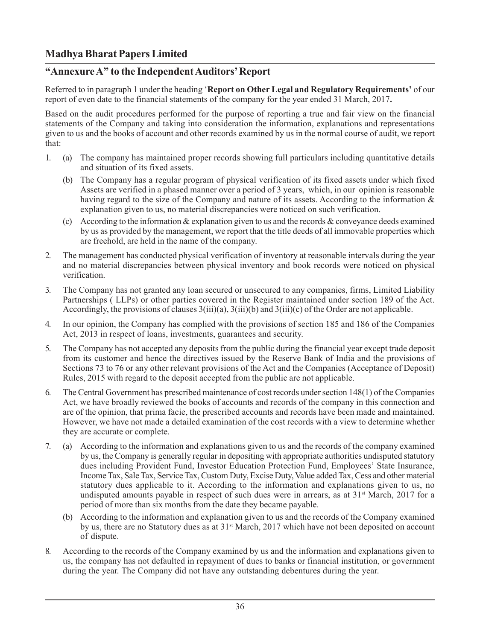# **"Annexure A" to the Independent Auditors' Report**

Referred to in paragraph 1 under the heading '**Report on Other Legal and Regulatory Requirements'** of our report of even date to the financial statements of the company for the year ended 31 March, 2017**.**

Based on the audit procedures performed for the purpose of reporting a true and fair view on the financial statements of the Company and taking into consideration the information, explanations and representations given to us and the books of account and other records examined by us in the normal course of audit, we report that:

- 1. (a) The company has maintained proper records showing full particulars including quantitative details and situation of its fixed assets.
	- (b) The Company has a regular program of physical verification of its fixed assets under which fixed Assets are verified in a phased manner over a period of 3 years, which, in our opinion is reasonable having regard to the size of the Company and nature of its assets. According to the information & explanation given to us, no material discrepancies were noticed on such verification.
	- (c) According to the information  $&$  explanation given to us and the records  $&$  conveyance deeds examined by us as provided by the management, we report that the title deeds of all immovable properties which are freehold, are held in the name of the company.
- 2. The management has conducted physical verification of inventory at reasonable intervals during the year and no material discrepancies between physical inventory and book records were noticed on physical verification.
- 3. The Company has not granted any loan secured or unsecured to any companies, firms, Limited Liability Partnerships ( LLPs) or other parties covered in the Register maintained under section 189 of the Act. Accordingly, the provisions of clauses  $3(iii)(a)$ ,  $3(iii)(b)$  and  $3(iii)(c)$  of the Order are not applicable.
- 4. In our opinion, the Company has complied with the provisions of section 185 and 186 of the Companies Act, 2013 in respect of loans, investments, guarantees and security.
- 5. The Company has not accepted any deposits from the public during the financial year except trade deposit from its customer and hence the directives issued by the Reserve Bank of India and the provisions of Sections 73 to 76 or any other relevant provisions of the Act and the Companies (Acceptance of Deposit) Rules, 2015 with regard to the deposit accepted from the public are not applicable.
- 6. The Central Government has prescribed maintenance of cost records under section 148(1) of the Companies Act, we have broadly reviewed the books of accounts and records of the company in this connection and are of the opinion, that prima facie, the prescribed accounts and records have been made and maintained. However, we have not made a detailed examination of the cost records with a view to determine whether they are accurate or complete.
- 7. (a) According to the information and explanations given to us and the records of the company examined by us, the Company is generally regular in depositing with appropriate authorities undisputed statutory dues including Provident Fund, Investor Education Protection Fund, Employees' State Insurance, Income Tax, Sale Tax, Service Tax, Custom Duty, Excise Duty, Value added Tax, Cess and other material statutory dues applicable to it. According to the information and explanations given to us, no undisputed amounts payable in respect of such dues were in arrears, as at  $31<sup>st</sup>$  March, 2017 for a period of more than six months from the date they became payable.
	- (b) According to the information and explanation given to us and the records of the Company examined by us, there are no Statutory dues as at  $31<sup>st</sup>$  March, 2017 which have not been deposited on account of dispute.
- 8. According to the records of the Company examined by us and the information and explanations given to us, the company has not defaulted in repayment of dues to banks or financial institution, or government during the year. The Company did not have any outstanding debentures during the year.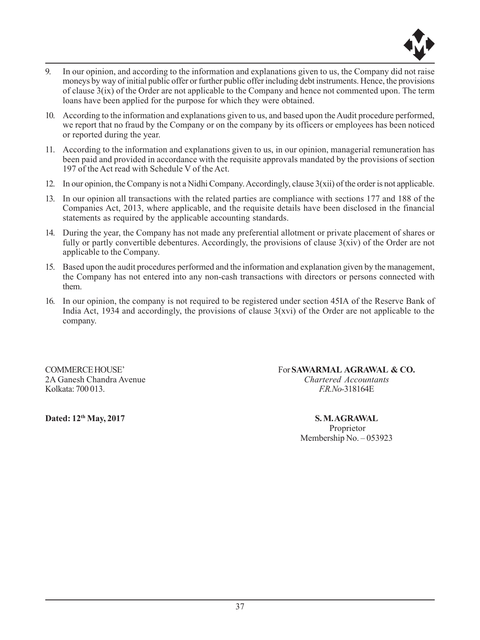

- 9. In our opinion, and according to the information and explanations given to us, the Company did not raise moneys by way of initial public offer or further public offer including debt instruments. Hence, the provisions of clause  $3(ix)$  of the Order are not applicable to the Company and hence not commented upon. The term loans have been applied for the purpose for which they were obtained.
- 10. According to the information and explanations given to us, and based upon the Audit procedure performed, we report that no fraud by the Company or on the company by its officers or employees has been noticed or reported during the year.
- 11. According to the information and explanations given to us, in our opinion, managerial remuneration has been paid and provided in accordance with the requisite approvals mandated by the provisions of section 197 of the Act read with Schedule V of the Act.
- 12. In our opinion, the Company is not a Nidhi Company. Accordingly, clause 3(xii) of the order is not applicable.
- 13. In our opinion all transactions with the related parties are compliance with sections 177 and 188 of the Companies Act, 2013, where applicable, and the requisite details have been disclosed in the financial statements as required by the applicable accounting standards.
- 14. During the year, the Company has not made any preferential allotment or private placement of shares or fully or partly convertible debentures. Accordingly, the provisions of clause 3(xiv) of the Order are not applicable to the Company.
- 15. Based upon the audit procedures performed and the information and explanation given by the management, the Company has not entered into any non-cash transactions with directors or persons connected with them.
- 16. In our opinion, the company is not required to be registered under section 45IA of the Reserve Bank of India Act, 1934 and accordingly, the provisions of clause  $3(xvi)$  of the Order are not applicable to the company.

Kolkata: 700 013. *F.R.No-*318164E

COMMERCE HOUSE' For **SAWARMAL AGRAWAL & CO.** 2A Ganesh Chandra Avenue *Chartered Accountants*

Dated:  $12<sup>th</sup>$  May, 2017 S. M. AGRAWAL

Proprietor Membership No. – 053923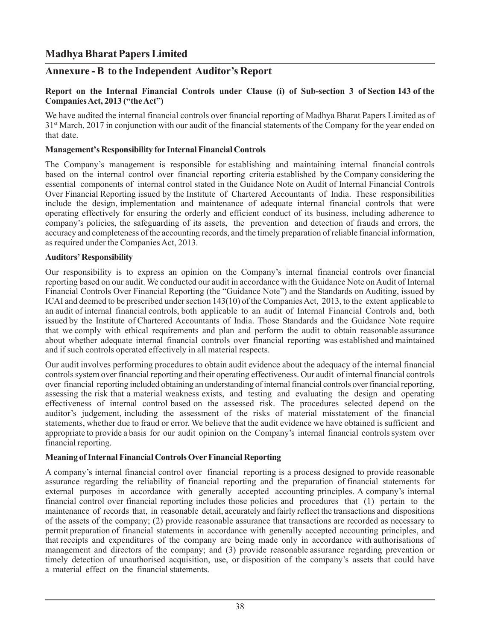# **Annexure - B to the Independent Auditor's Report**

#### **Report on the Internal Financial Controls under Clause (i) of Sub-section 3 of Section 143 of the Companies Act, 2013 ("the Act")**

We have audited the internal financial controls over financial reporting of Madhya Bharat Papers Limited as of 31st March, 2017 in conjunction with our audit of the financial statements of the Company for the year ended on that date.

#### **Management's Responsibility for Internal Financial Controls**

The Company's management is responsible for establishing and maintaining internal financial controls based on the internal control over financial reporting criteria established by the Company considering the essential components of internal control stated in the Guidance Note on Audit of Internal Financial Controls Over Financial Reporting issued by the Institute of Chartered Accountants of India. These responsibilities include the design, implementation and maintenance of adequate internal financial controls that were operating effectively for ensuring the orderly and efficient conduct of its business, including adherence to company's policies, the safeguarding of its assets, the prevention and detection of frauds and errors, the accuracy and completeness of the accounting records, and the timely preparation of reliable financial information, as required under the Companies Act, 2013.

#### **Auditors' Responsibility**

Our responsibility is to express an opinion on the Company's internal financial controls over financial reporting based on our audit. We conducted our audit in accordance with the Guidance Note on Audit of Internal Financial Controls Over Financial Reporting (the "Guidance Note") and the Standards on Auditing, issued by ICAI and deemed to be prescribed under section 143(10) of the Companies Act, 2013, to the extent applicable to an audit of internal financial controls, both applicable to an audit of Internal Financial Controls and, both issued by the Institute of Chartered Accountants of India. Those Standards and the Guidance Note require that we comply with ethical requirements and plan and perform the audit to obtain reasonable assurance about whether adequate internal financial controls over financial reporting was established and maintained and if such controls operated effectively in all material respects.

Our audit involves performing procedures to obtain audit evidence about the adequacy of the internal financial controls system over financial reporting and their operating effectiveness. Our audit of internal financial controls over financial reporting included obtaining an understanding of internal financial controls over financial reporting, assessing the risk that a material weakness exists, and testing and evaluating the design and operating effectiveness of internal control based on the assessed risk. The procedures selected depend on the auditor's judgement, including the assessment of the risks of material misstatement of the financial statements, whether due to fraud or error. We believe that the audit evidence we have obtained is sufficient and appropriate to provide a basis for our audit opinion on the Company's internal financial controls system over financial reporting.

#### **Meaning of Internal Financial Controls Over Financial Reporting**

A company's internal financial control over financial reporting is a process designed to provide reasonable assurance regarding the reliability of financial reporting and the preparation of financial statements for external purposes in accordance with generally accepted accounting principles. A company's internal financial control over financial reporting includes those policies and procedures that (1) pertain to the maintenance of records that, in reasonable detail, accurately and fairly reflect the transactions and dispositions of the assets of the company; (2) provide reasonable assurance that transactions are recorded as necessary to permit preparation of financial statements in accordance with generally accepted accounting principles, and that receipts and expenditures of the company are being made only in accordance with authorisations of management and directors of the company; and (3) provide reasonable assurance regarding prevention or timely detection of unauthorised acquisition, use, or disposition of the company's assets that could have a material effect on the financial statements.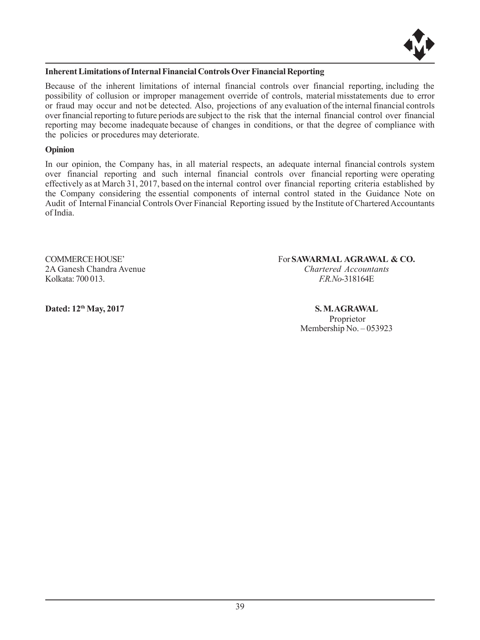

#### **Inherent Limitations of Internal Financial Controls Over Financial Reporting**

Because of the inherent limitations of internal financial controls over financial reporting, including the possibility of collusion or improper management override of controls, material misstatements due to error or fraud may occur and not be detected. Also, projections of any evaluation of the internal financial controls over financial reporting to future periods are subject to the risk that the internal financial control over financial reporting may become inadequate because of changes in conditions, or that the degree of compliance with the policies or procedures may deteriorate.

#### **Opinion**

In our opinion, the Company has, in all material respects, an adequate internal financial controls system over financial reporting and such internal financial controls over financial reporting were operating effectively as at March 31, 2017, based on the internal control over financial reporting criteria established by the Company considering the essential components of internal control stated in the Guidance Note on Audit of Internal Financial Controls Over Financial Reporting issued by the Institute of Chartered Accountants of India.

Kolkata: 700 013. *F.R.No-*318164E

#### COMMERCE HOUSE' For **SAWARMAL AGRAWAL & CO.** 2A Ganesh Chandra Avenue *Chartered Accountants*

**Dated: 12th May, 2017 S. M. AGRAWAL** Proprietor Membership No. – 053923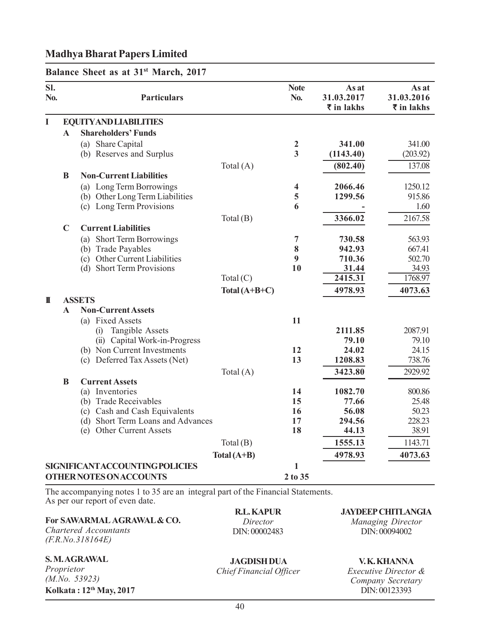# **Balance Sheet as at 31st March, 2017**

| SI.<br>No.   |              | <b>Particulars</b>                   |                 | <b>Note</b><br>No. | As at<br>31.03.2017<br>$\overline{\tau}$ in lakhs | As at<br>31.03.2016<br>₹ in lakhs |
|--------------|--------------|--------------------------------------|-----------------|--------------------|---------------------------------------------------|-----------------------------------|
| $\mathbf{I}$ |              | <b>EQUITYAND LIABILITIES</b>         |                 |                    |                                                   |                                   |
|              | $\mathbf{A}$ | <b>Shareholders' Funds</b>           |                 |                    |                                                   |                                   |
|              |              | (a) Share Capital                    |                 | $\boldsymbol{2}$   | 341.00                                            | 341.00                            |
|              |              | (b) Reserves and Surplus             |                 | $\overline{3}$     | (1143.40)                                         | (203.92)                          |
|              |              |                                      | Total (A)       |                    | (802.40)                                          | 137.08                            |
|              | B            | <b>Non-Current Liabilities</b>       |                 |                    |                                                   |                                   |
|              |              | (a) Long Term Borrowings             |                 | 4                  | 2066.46                                           | 1250.12                           |
|              |              | (b) Other Long Term Liabilities      |                 | 5                  | 1299.56                                           | 915.86                            |
|              |              | (c) Long Term Provisions             |                 | 6                  |                                                   | 1.60                              |
|              |              |                                      | Total $(B)$     |                    | 3366.02                                           | 2167.58                           |
|              | $\mathbf C$  | <b>Current Liabilities</b>           |                 |                    |                                                   |                                   |
|              |              | (a) Short Term Borrowings            |                 | 7                  | 730.58                                            | 563.93                            |
|              |              | (b) Trade Payables                   |                 | 8                  | 942.93                                            | 667.41                            |
|              |              | (c) Other Current Liabilities        |                 | 9                  | 710.36                                            | 502.70                            |
|              |              | (d) Short Term Provisions            |                 | 10                 | 31.44                                             | 34.93                             |
|              |              |                                      | Total $(C)$     |                    | 2415.31                                           | 1768.97                           |
|              |              |                                      | Total $(A+B+C)$ |                    | 4978.93                                           | 4073.63                           |
| П            |              | <b>ASSETS</b>                        |                 |                    |                                                   |                                   |
|              | $\mathbf{A}$ | <b>Non-Current Assets</b>            |                 |                    |                                                   |                                   |
|              |              | (a) Fixed Assets                     |                 | 11                 |                                                   |                                   |
|              |              | Tangible Assets<br>(i)               |                 |                    | 2111.85                                           | 2087.91                           |
|              |              | (ii) Capital Work-in-Progress        |                 |                    | 79.10                                             | 79.10                             |
|              |              | (b) Non Current Investments          |                 | 12                 | 24.02                                             | 24.15                             |
|              |              | (c) Deferred Tax Assets (Net)        |                 | 13                 | 1208.83                                           | 738.76                            |
|              |              |                                      | Total $(A)$     |                    | 3423.80                                           | 2929.92                           |
|              | $\bf{B}$     | <b>Current Assets</b>                |                 |                    |                                                   |                                   |
|              |              | (a) Inventories                      |                 | 14                 | 1082.70                                           | 800.86                            |
|              |              | (b) Trade Receivables                |                 | 15                 | 77.66                                             | 25.48                             |
|              |              | (c) Cash and Cash Equivalents        |                 | 16                 | 56.08                                             | 50.23                             |
|              |              | (d) Short Term Loans and Advances    |                 | 17<br>18           | 294.56<br>44.13                                   | 228.23<br>38.91                   |
|              |              | (e) Other Current Assets             |                 |                    |                                                   |                                   |
|              |              |                                      | Total $(B)$     |                    | 1555.13                                           | 1143.71                           |
|              |              |                                      | Total (A+B)     |                    | 4978.93                                           | 4073.63                           |
|              |              | <b>SIGNIFICANTACCOUNTINGPOLICIES</b> |                 | $\mathbf{1}$       |                                                   |                                   |
|              |              | <b>OTHER NOTES ON ACCOUNTS</b>       |                 | 2 to 35            |                                                   |                                   |

The accompanying notes 1 to 35 are an integral part of the Financial Statements. As per our report of even date.

#### **For SAWARMAL AGRAWAL & CO.**

*Chartered Accountants (F.R.No.318164E)*

# **S. M. AGRAWAL**

*Proprietor (M.No. 53923)* **Kolkata : 12th May, 2017**

**R.L. KAPUR** *Director* DIN: 00002483

#### **JAYDEEP CHITLANGIA**

*Managing Director* DIN: 00094002

# **JAGDISH DUA**

*Chief Financial Officer*

**V. K. KHANNA**

*Executive Director & Company Secretary* DIN: 00123393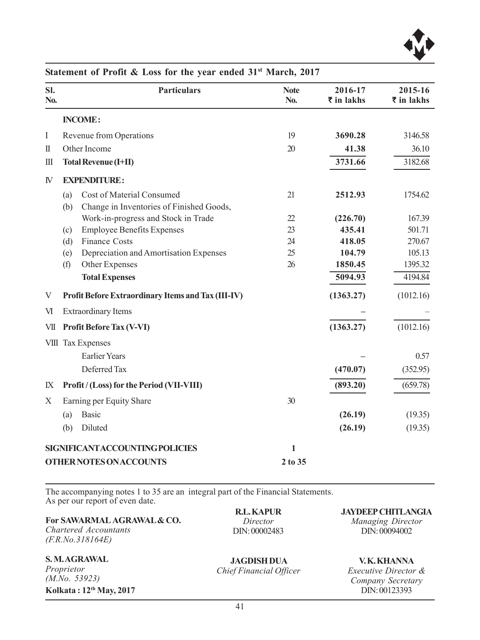

| SI.<br>No.     | <b>Particulars</b>                                                                  | <b>Note</b><br>No. | 2016-17<br>₹ in lakhs | 2015-16<br>$\overline{\tau}$ in lakhs |
|----------------|-------------------------------------------------------------------------------------|--------------------|-----------------------|---------------------------------------|
|                | <b>INCOME:</b>                                                                      |                    |                       |                                       |
| Ι              | Revenue from Operations                                                             | 19                 | 3690.28               | 3146.58                               |
| $\mathbb{I}$   | Other Income                                                                        | 20                 | 41.38                 | 36.10                                 |
| Ш              | <b>Total Revenue (I+II)</b>                                                         |                    | 3731.66               | 3182.68                               |
| IV             | <b>EXPENDITURE:</b>                                                                 |                    |                       |                                       |
|                | Cost of Material Consumed<br>(a)<br>Change in Inventories of Finished Goods,<br>(b) | 21                 | 2512.93               | 1754.62                               |
|                | Work-in-progress and Stock in Trade                                                 | 22                 | (226.70)              | 167.39                                |
|                | <b>Employee Benefits Expenses</b><br>(c)                                            | 23                 | 435.41                | 501.71                                |
|                | Finance Costs<br>(d)                                                                | 24                 | 418.05                | 270.67                                |
|                | Depreciation and Amortisation Expenses<br>(e)                                       | 25                 | 104.79                | 105.13                                |
|                | (f)<br>Other Expenses                                                               | 26                 | 1850.45               | 1395.32                               |
|                | <b>Total Expenses</b>                                                               |                    | 5094.93               | 4194.84                               |
| V              | <b>Profit Before Extraordinary Items and Tax (III-IV)</b>                           |                    | (1363.27)             | (1012.16)                             |
| VI             | <b>Extraordinary Items</b>                                                          |                    |                       |                                       |
| VІІ            | <b>Profit Before Tax (V-VI)</b>                                                     |                    | (1363.27)             | (1012.16)                             |
|                | VIII Tax Expenses                                                                   |                    |                       |                                       |
|                | <b>Earlier Years</b>                                                                |                    |                       | 0.57                                  |
|                | Deferred Tax                                                                        |                    | (470.07)              | (352.95)                              |
| $\mathbf{I}$ X | Profit / (Loss) for the Period (VII-VIII)                                           |                    | (893.20)              | (659.78)                              |
| X              | Earning per Equity Share                                                            | 30                 |                       |                                       |
|                | Basic<br>(a)                                                                        |                    | (26.19)               | (19.35)                               |
|                | Diluted<br>(b)                                                                      |                    | (26.19)               | (19.35)                               |
|                | <b>SIGNIFICANTACCOUNTING POLICIES</b>                                               | 1                  |                       |                                       |
|                | <b>OTHER NOTES ON ACCOUNTS</b>                                                      | 2 to 35            |                       |                                       |

# Statement of Profit & Loss for the year ended 31<sup>st</sup> March, 2017

The accompanying notes 1 to 35 are an integral part of the Financial Statements. As per our report of even date. **R.L. KAPUR**

**Kolkata : 12th May, 2017**

| For SAWARMAL AGRAWAL & CO.                   | <b>R.L. KAPUR</b>                             | <b>JAYDEEP CHITLANGIA</b>                                           |
|----------------------------------------------|-----------------------------------------------|---------------------------------------------------------------------|
| Chartered Accountants                        | Director                                      | <b>Managing Director</b>                                            |
| (F.R.No.318164E)                             | DIN: 00002483                                 | DIN: 00094002                                                       |
| S. M. AGRAWAL<br>Proprietor<br>(M.No. 53923) | <b>JAGDISH DUA</b><br>Chief Financial Officer | V.K. KHANNA<br><i>Executive Director &amp;</i><br>Company Secretary |

*Company Secretary* DIN: 00123393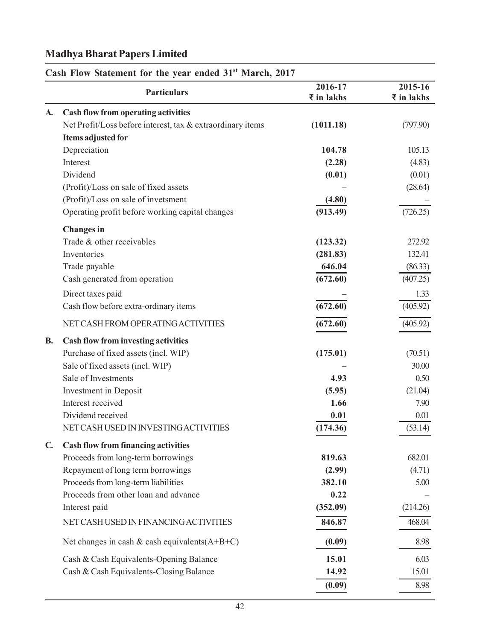# **Cash Flow Statement for the year ended 31st March, 2017**

|              |                                                            | 2016-17    | 2015-16                    |
|--------------|------------------------------------------------------------|------------|----------------------------|
|              | <b>Particulars</b>                                         | ₹ in lakhs | $\overline{\tau}$ in lakhs |
| A.           | <b>Cash flow from operating activities</b>                 |            |                            |
|              | Net Profit/Loss before interest, tax & extraordinary items | (1011.18)  | (797.90)                   |
|              | Items adjusted for                                         |            |                            |
|              | Depreciation                                               | 104.78     | 105.13                     |
|              | Interest                                                   | (2.28)     | (4.83)                     |
|              | Dividend                                                   | (0.01)     | (0.01)                     |
|              | (Profit)/Loss on sale of fixed assets                      |            | (28.64)                    |
|              | (Profit)/Loss on sale of invetsment                        | (4.80)     |                            |
|              | Operating profit before working capital changes            | (913.49)   | (726.25)                   |
|              | <b>Changes</b> in                                          |            |                            |
|              | Trade & other receivables                                  | (123.32)   | 272.92                     |
|              | Inventories                                                | (281.83)   | 132.41                     |
|              | Trade payable                                              | 646.04     | (86.33)                    |
|              | Cash generated from operation                              | (672.60)   | (407.25)                   |
|              | Direct taxes paid                                          |            | 1.33                       |
|              | Cash flow before extra-ordinary items                      | (672.60)   | (405.92)                   |
|              | NET CASH FROM OPERATING ACTIVITIES                         | (672.60)   | (405.92)                   |
| В.           | <b>Cash flow from investing activities</b>                 |            |                            |
|              | Purchase of fixed assets (incl. WIP)                       | (175.01)   | (70.51)                    |
|              | Sale of fixed assets (incl. WIP)                           |            | 30.00                      |
|              | Sale of Investments                                        | 4.93       | 0.50                       |
|              | Investment in Deposit                                      | (5.95)     | (21.04)                    |
|              | Interest received                                          | 1.66       | 7.90                       |
|              | Dividend received                                          | 0.01       | 0.01                       |
|              | NET CASH USED IN INVESTING ACTIVITIES                      | (174.36)   | (53.14)                    |
| $\mathbf{C}$ | <b>Cash flow from financing activities</b>                 |            |                            |
|              | Proceeds from long-term borrowings                         | 819.63     | 682.01                     |
|              | Repayment of long term borrowings                          | (2.99)     | (4.71)                     |
|              | Proceeds from long-term liabilities                        | 382.10     | 5.00                       |
|              | Proceeds from other loan and advance                       | 0.22       |                            |
|              | Interest paid                                              | (352.09)   | (214.26)                   |
|              | NET CASH USED IN FINANCING ACTIVITIES                      | 846.87     | 468.04                     |
|              | Net changes in cash & cash equivalents $(A+B+C)$           | (0.09)     | 8.98                       |
|              | Cash & Cash Equivalents-Opening Balance                    | 15.01      | 6.03                       |
|              | Cash & Cash Equivalents-Closing Balance                    | 14.92      | 15.01                      |
|              |                                                            | (0.09)     | 8.98                       |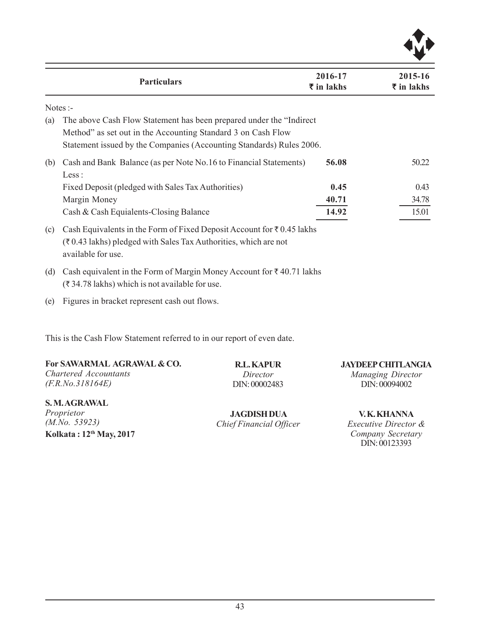|     | <b>Particulars</b>                                                                                                                                                                                           | 2016-17<br>₹ in lakhs | 2015-16<br>$\overline{\tau}$ in lakhs |
|-----|--------------------------------------------------------------------------------------------------------------------------------------------------------------------------------------------------------------|-----------------------|---------------------------------------|
|     | Notes $:$                                                                                                                                                                                                    |                       |                                       |
| (a) | The above Cash Flow Statement has been prepared under the "Indirect"<br>Method" as set out in the Accounting Standard 3 on Cash Flow<br>Statement issued by the Companies (Accounting Standards) Rules 2006. |                       |                                       |
| (b) | Cash and Bank Balance (as per Note No.16 to Financial Statements)<br>Less:                                                                                                                                   | 56.08                 | 50.22                                 |
|     | Fixed Deposit (pledged with Sales Tax Authorities)                                                                                                                                                           | 0.45                  | 0.43                                  |
|     | Margin Money                                                                                                                                                                                                 | 40.71                 | 34.78                                 |
|     | Cash & Cash Equialents-Closing Balance                                                                                                                                                                       | 14.92                 | 15.01                                 |
| (c) | Cash Equivalents in the Form of Fixed Deposit Account for $\bar{\tau}$ 0.45 lakhs<br>(₹0.43 lakhs) pledged with Sales Tax Authorities, which are not<br>available for use.                                   |                       |                                       |
| (d) | Cash equivalent in the Form of Margin Money Account for $\bar{\tau}$ 40.71 lakhs<br>$(34.78 \text{ lakhs})$ which is not available for use.                                                                  |                       |                                       |
| (e) | Figures in bracket represent cash out flows.                                                                                                                                                                 |                       |                                       |

This is the Cash Flow Statement referred to in our report of even date.

| For SAWARMAL AGRAWAL & CO.<br><b>R.L.KAPUR</b>                         |                                    |
|------------------------------------------------------------------------|------------------------------------|
| Chartered Accountants<br>Director<br>(F.R.No.318164E)<br>DIN: 00002483 | Managing Director<br>DIN: 00094002 |

**S. M. AGRAWAL** *Proprietor (M.No. 53923)* **Kolkata : 12th May, 2017**

 **JAGDISH DUA** *Chief Financial Officer*

**V. K. KHANNA** *Executive Director & Company Secretary* DIN: 00123393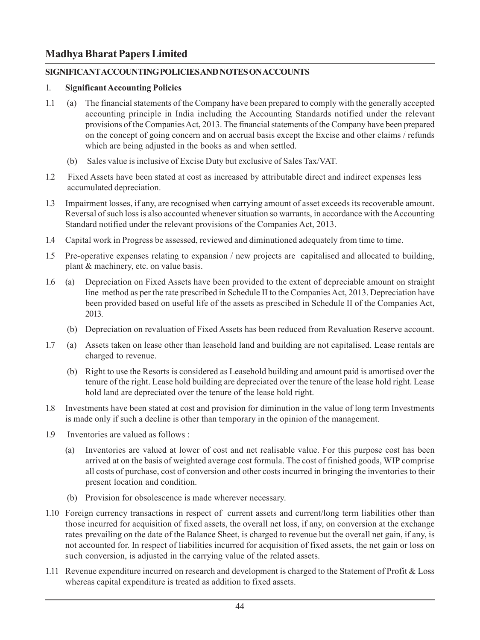# **SIGNIFICANT ACCOUNTING POLICIES AND NOTES ON ACCOUNTS**

## 1. **Significant Accounting Policies**

- 1.1 (a) The financial statements of the Company have been prepared to comply with the generally accepted accounting principle in India including the Accounting Standards notified under the relevant provisions of the Companies Act, 2013. The financial statements of the Company have been prepared on the concept of going concern and on accrual basis except the Excise and other claims / refunds which are being adjusted in the books as and when settled.
	- (b) Sales value is inclusive of Excise Duty but exclusive of Sales Tax/VAT.
- 1.2 Fixed Assets have been stated at cost as increased by attributable direct and indirect expenses less accumulated depreciation.
- 1.3 Impairment losses, if any, are recognised when carrying amount of asset exceeds its recoverable amount. Reversal of such loss is also accounted whenever situation so warrants, in accordance with the Accounting Standard notified under the relevant provisions of the Companies Act, 2013.
- 1.4 Capital work in Progress be assessed, reviewed and diminutioned adequately from time to time.
- 1.5 Pre-operative expenses relating to expansion / new projects are capitalised and allocated to building, plant & machinery, etc. on value basis.
- 1.6 (a) Depreciation on Fixed Assets have been provided to the extent of depreciable amount on straight line method as per the rate prescribed in Schedule II to the Companies Act, 2013. Depreciation have been provided based on useful life of the assets as prescibed in Schedule II of the Companies Act, 2013.
	- (b) Depreciation on revaluation of Fixed Assets has been reduced from Revaluation Reserve account.
- 1.7 (a) Assets taken on lease other than leasehold land and building are not capitalised. Lease rentals are charged to revenue.
	- (b) Right to use the Resorts is considered as Leasehold building and amount paid is amortised over the tenure of the right. Lease hold building are depreciated over the tenure of the lease hold right. Lease hold land are depreciated over the tenure of the lease hold right.
- 1.8 Investments have been stated at cost and provision for diminution in the value of long term Investments is made only if such a decline is other than temporary in the opinion of the management.
- 1.9 Inventories are valued as follows :
	- (a) Inventories are valued at lower of cost and net realisable value. For this purpose cost has been arrived at on the basis of weighted average cost formula. The cost of finished goods, WIP comprise all costs of purchase, cost of conversion and other costs incurred in bringing the inventories to their present location and condition.
	- (b) Provision for obsolescence is made wherever necessary.
- 1.10 Foreign currency transactions in respect of current assets and current/long term liabilities other than those incurred for acquisition of fixed assets, the overall net loss, if any, on conversion at the exchange rates prevailing on the date of the Balance Sheet, is charged to revenue but the overall net gain, if any, is not accounted for. In respect of liabilities incurred for acquisition of fixed assets, the net gain or loss on such conversion, is adjusted in the carrying value of the related assets.
- 1.11 Revenue expenditure incurred on research and development is charged to the Statement of Profit & Loss whereas capital expenditure is treated as addition to fixed assets.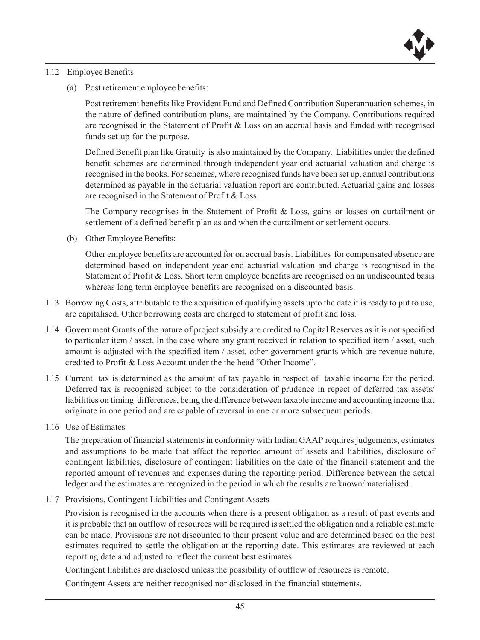

#### 1.12 Employee Benefits

(a) Post retirement employee benefits:

Post retirement benefits like Provident Fund and Defined Contribution Superannuation schemes, in the nature of defined contribution plans, are maintained by the Company. Contributions required are recognised in the Statement of Profit & Loss on an accrual basis and funded with recognised funds set up for the purpose.

Defined Benefit plan like Gratuity is also maintained by the Company. Liabilities under the defined benefit schemes are determined through independent year end actuarial valuation and charge is recognised in the books. For schemes, where recognised funds have been set up, annual contributions determined as payable in the actuarial valuation report are contributed. Actuarial gains and losses are recognised in the Statement of Profit & Loss.

The Company recognises in the Statement of Profit & Loss, gains or losses on curtailment or settlement of a defined benefit plan as and when the curtailment or settlement occurs.

(b) Other Employee Benefits:

Other employee benefits are accounted for on accrual basis. Liabilities for compensated absence are determined based on independent year end actuarial valuation and charge is recognised in the Statement of Profit & Loss. Short term employee benefits are recognised on an undiscounted basis whereas long term employee benefits are recognised on a discounted basis.

- 1.13 Borrowing Costs, attributable to the acquisition of qualifying assets upto the date it is ready to put to use, are capitalised. Other borrowing costs are charged to statement of profit and loss.
- 1.14 Government Grants of the nature of project subsidy are credited to Capital Reserves as it is not specified to particular item / asset. In the case where any grant received in relation to specified item / asset, such amount is adjusted with the specified item / asset, other government grants which are revenue nature, credited to Profit & Loss Account under the the head "Other Income".
- 1.15 Current tax is determined as the amount of tax payable in respect of taxable income for the period. Deferred tax is recognised subject to the consideration of prudence in repect of deferred tax assets/ liabilities on timing differences, being the difference between taxable income and accounting income that originate in one period and are capable of reversal in one or more subsequent periods.
- 1.16 Use of Estimates

The preparation of financial statements in conformity with Indian GAAP requires judgements, estimates and assumptions to be made that affect the reported amount of assets and liabilities, disclosure of contingent liabilities, disclosure of contingent liabilities on the date of the financil statement and the reported amount of revenues and expenses during the reporting period. Difference between the actual ledger and the estimates are recognized in the period in which the results are known/materialised.

1.17 Provisions, Contingent Liabilities and Contingent Assets

Provision is recognised in the accounts when there is a present obligation as a result of past events and it is probable that an outflow of resources will be required is settled the obligation and a reliable estimate can be made. Provisions are not discounted to their present value and are determined based on the best estimates required to settle the obligation at the reporting date. This estimates are reviewed at each reporting date and adjusted to reflect the current best estimates.

Contingent liabilities are disclosed unless the possibility of outflow of resources is remote.

Contingent Assets are neither recognised nor disclosed in the financial statements.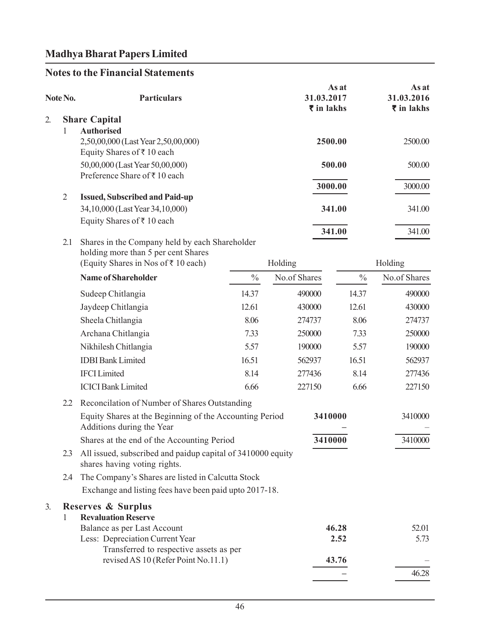# **Notes to the Financial Statements**

| Note No.       | <b>Particulars</b>                                                                          |               | 31.03.2017<br>₹ in lakhs | As at            | As at<br>31.03.2016<br>$\overline{\tau}$ in lakhs |
|----------------|---------------------------------------------------------------------------------------------|---------------|--------------------------|------------------|---------------------------------------------------|
| 2.             | <b>Share Capital</b>                                                                        |               |                          |                  |                                                   |
| 1              | <b>Authorised</b><br>2,50,00,000 (Last Year 2,50,00,000)<br>Equity Shares of ₹10 each       |               | 2500.00                  |                  | 2500.00                                           |
|                | 50,00,000 (Last Year 50,00,000)<br>Preference Share of ₹10 each                             |               |                          | 500.00           | 500.00                                            |
| $\overline{2}$ | <b>Issued, Subscribed and Paid-up</b>                                                       |               | 3000.00                  |                  | 3000.00                                           |
|                | 34,10,000 (Last Year 34,10,000)<br>Equity Shares of ₹ 10 each                               |               |                          | 341.00<br>341.00 | 341.00<br>341.00                                  |
| 2.1            | Shares in the Company held by each Shareholder<br>holding more than 5 per cent Shares       |               |                          |                  |                                                   |
|                | (Equity Shares in Nos of ₹ 10 each)                                                         |               | Holding                  |                  | Holding                                           |
|                | <b>Name of Shareholder</b>                                                                  | $\frac{0}{0}$ | No.of Shares             | $\frac{0}{0}$    | No.of Shares                                      |
|                | Sudeep Chitlangia                                                                           | 14.37         | 490000                   | 14.37            | 490000                                            |
|                | Jaydeep Chitlangia                                                                          | 12.61         | 430000                   | 12.61            | 430000                                            |
|                | Sheela Chitlangia                                                                           | 8.06          | 274737                   | 8.06             | 274737                                            |
|                | Archana Chitlangia                                                                          | 7.33          | 250000                   | 7.33             | 250000                                            |
|                | Nikhilesh Chitlangia                                                                        | 5.57          | 190000                   | 5.57             | 190000                                            |
|                | <b>IDBI</b> Bank Limited                                                                    | 16.51         | 562937                   | 16.51            | 562937                                            |
|                | <b>IFCI</b> Limited                                                                         | 8.14          | 277436                   | 8.14             | 277436                                            |
|                | <b>ICICI Bank Limited</b>                                                                   | 6.66          | 227150                   | 6.66             | 227150                                            |
| 2.2            | Reconcilation of Number of Shares Outstanding                                               |               |                          |                  |                                                   |
|                | Equity Shares at the Beginning of the Accounting Period<br>Additions during the Year        |               | 3410000                  |                  | 3410000                                           |
|                | Shares at the end of the Accounting Period                                                  |               | 3410000                  |                  | 3410000                                           |
| 2.3            | All issued, subscribed and paidup capital of 3410000 equity<br>shares having voting rights. |               |                          |                  |                                                   |
| 2.4            | The Company's Shares are listed in Calcutta Stock                                           |               |                          |                  |                                                   |
|                | Exchange and listing fees have been paid upto 2017-18.                                      |               |                          |                  |                                                   |
| 3.             | Reserves & Surplus                                                                          |               |                          |                  |                                                   |
| 1              | <b>Revaluation Reserve</b><br>Balance as per Last Account                                   |               |                          | 46.28            | 52.01                                             |
|                | Less: Depreciation Current Year                                                             |               |                          | 2.52             | 5.73                                              |
|                | Transferred to respective assets as per                                                     |               |                          |                  |                                                   |
|                | revised AS 10 (Refer Point No.11.1)                                                         |               |                          | 43.76            |                                                   |
|                |                                                                                             |               |                          |                  | 46.28                                             |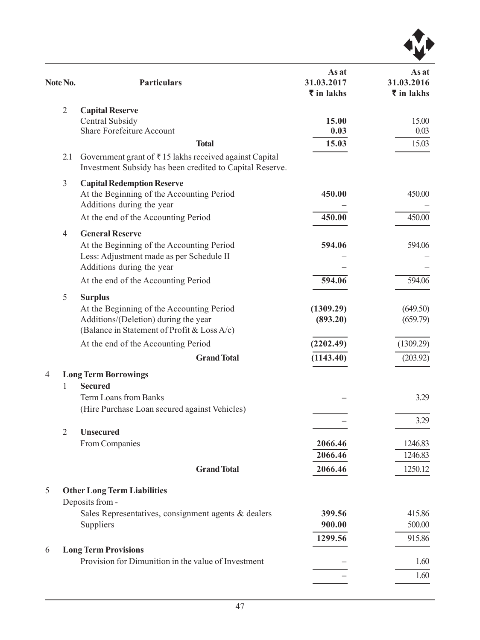

| Note No.          | <b>Particulars</b>                                                                                                                                 | As at<br>31.03.2017<br>$\overline{\tau}$ in lakhs | As at<br>31.03.2016<br>₹ in lakhs |
|-------------------|----------------------------------------------------------------------------------------------------------------------------------------------------|---------------------------------------------------|-----------------------------------|
| $\overline{2}$    | <b>Capital Reserve</b><br>Central Subsidy<br><b>Share Forefeiture Account</b><br><b>Total</b>                                                      | 15.00<br>0.03<br>15.03                            | 15.00<br>0.03<br>15.03            |
| 2.1               | Government grant of $\bar{\tau}$ 15 lakhs received against Capital<br>Investment Subsidy has been credited to Capital Reserve.                     |                                                   |                                   |
| 3                 | <b>Capital Redemption Reserve</b><br>At the Beginning of the Accounting Period<br>Additions during the year<br>At the end of the Accounting Period | 450.00<br>450.00                                  | 450.00<br>450.00                  |
| $\overline{4}$    | <b>General Reserve</b><br>At the Beginning of the Accounting Period<br>Less: Adjustment made as per Schedule II<br>Additions during the year       | 594.06                                            | 594.06                            |
|                   | At the end of the Accounting Period                                                                                                                | 594.06                                            | 594.06                            |
| 5                 | <b>Surplus</b><br>At the Beginning of the Accounting Period<br>Additions/(Deletion) during the year<br>(Balance in Statement of Profit & Loss A/c) | (1309.29)<br>(893.20)                             | (649.50)<br>(659.79)              |
|                   | At the end of the Accounting Period                                                                                                                | (2202.49)                                         | (1309.29)                         |
|                   | <b>Grand Total</b>                                                                                                                                 | (1143.40)                                         | (203.92)                          |
| 4<br>$\mathbf{1}$ | <b>Long Term Borrowings</b><br><b>Secured</b><br>Term Loans from Banks<br>(Hire Purchase Loan secured against Vehicles)                            |                                                   | 3.29<br>3.29                      |
| $\overline{2}$    | <b>Unsecured</b><br>From Companies                                                                                                                 | 2066.46<br>2066.46                                | 1246.83<br>1246.83                |
|                   | <b>Grand Total</b>                                                                                                                                 | 2066.46                                           | 1250.12                           |
| 5                 | <b>Other Long Term Liabilities</b><br>Deposits from -                                                                                              |                                                   |                                   |
|                   | Sales Representatives, consignment agents & dealers<br>Suppliers                                                                                   | 399.56<br>900.00<br>1299.56                       | 415.86<br>500.00<br>915.86        |
| 6                 | <b>Long Term Provisions</b><br>Provision for Dimunition in the value of Investment                                                                 |                                                   | 1.60<br>1.60                      |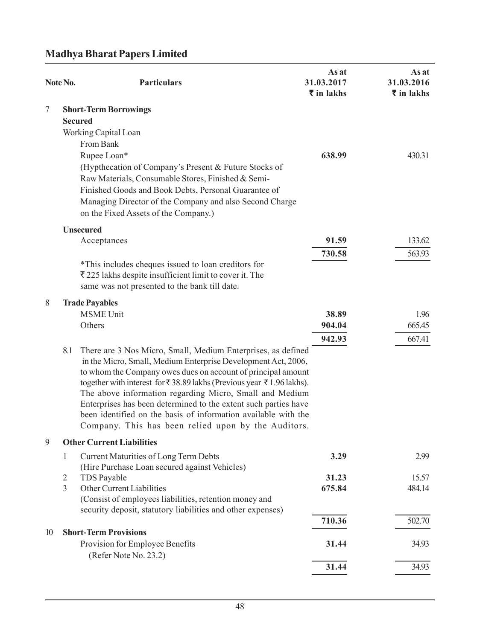| Note No.                                   | <b>Particulars</b>                                                                                                                                                                                                                                                                                                                                                                                                                                                                                                                                                                      | As at<br>31.03.2017<br>$\overline{\tau}$ in lakhs | As at<br>31.03.2016<br>$\bar{z}$ in lakhs |
|--------------------------------------------|-----------------------------------------------------------------------------------------------------------------------------------------------------------------------------------------------------------------------------------------------------------------------------------------------------------------------------------------------------------------------------------------------------------------------------------------------------------------------------------------------------------------------------------------------------------------------------------------|---------------------------------------------------|-------------------------------------------|
| 7                                          | <b>Short-Term Borrowings</b><br><b>Secured</b><br>Working Capital Loan<br>From Bank<br>Rupee Loan*<br>(Hypthecation of Company's Present & Future Stocks of<br>Raw Materials, Consumable Stores, Finished & Semi-<br>Finished Goods and Book Debts, Personal Guarantee of<br>Managing Director of the Company and also Second Charge<br>on the Fixed Assets of the Company.)                                                                                                                                                                                                            | 638.99                                            | 430.31                                    |
|                                            | <b>Unsecured</b><br>Acceptances<br>*This includes cheques issued to loan creditors for<br>₹ 225 lakhs despite insufficient limit to cover it. The<br>same was not presented to the bank till date.                                                                                                                                                                                                                                                                                                                                                                                      | 91.59<br>730.58                                   | 133.62<br>563.93                          |
| 8                                          | <b>Trade Payables</b><br><b>MSME Unit</b><br>Others<br>8.1 There are 3 Nos Micro, Small, Medium Enterprises, as defined<br>in the Micro, Small, Medium Enterprise Development Act, 2006,<br>to whom the Company owes dues on account of principal amount<br>together with interest for ₹38.89 lakhs (Previous year ₹1.96 lakhs).<br>The above information regarding Micro, Small and Medium<br>Enterprises has been determined to the extent such parties have<br>been identified on the basis of information available with the<br>Company. This has been relied upon by the Auditors. | 38.89<br>904.04<br>942.93                         | 1.96<br>665.45<br>667.41                  |
| 9<br>1<br>$\overline{2}$<br>$\overline{3}$ | <b>Other Current Liabilities</b><br>Current Maturities of Long Term Debts<br>(Hire Purchase Loan secured against Vehicles)<br>TDS Payable<br>Other Current Liabilities<br>(Consist of employees liabilities, retention money and<br>security deposit, statutory liabilities and other expenses)                                                                                                                                                                                                                                                                                         | 3.29<br>31.23<br>675.84<br>710.36                 | 2.99<br>15.57<br>484.14<br>502.70         |
| 10                                         | <b>Short-Term Provisions</b><br>Provision for Employee Benefits<br>(Refer Note No. 23.2)                                                                                                                                                                                                                                                                                                                                                                                                                                                                                                | 31.44<br>31.44                                    | 34.93<br>34.93                            |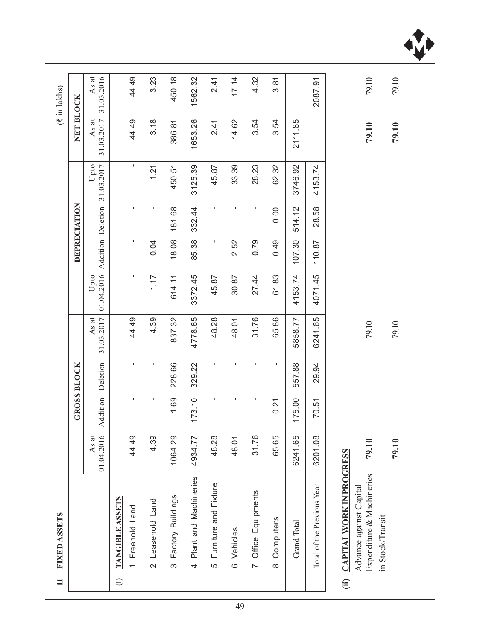$(3 \times 1)$  akhs

| $\equiv$        | <b>FIXED ASSETS</b>                                                      |                     |          |                    |                     |                    |        |              |                                      |                     | $(\bar{x}$ in lakhs) |
|-----------------|--------------------------------------------------------------------------|---------------------|----------|--------------------|---------------------|--------------------|--------|--------------|--------------------------------------|---------------------|----------------------|
|                 |                                                                          |                     |          | <b>GROSS BLOCK</b> |                     |                    |        | DEPRECIATION |                                      | NET BLOCK           |                      |
|                 |                                                                          | 01.04.2016<br>As at | Addition | Deletion           | As at<br>31.03.2017 | 01.04.2016<br>Upto |        |              | Addition Deletion 31.03.2017<br>Upto | 31.03.2017<br>As at | 31.03.2016<br>As at  |
| $\widehat{\Xi}$ | TANGIBLE ASSETS                                                          |                     |          |                    |                     |                    |        |              |                                      |                     |                      |
|                 | Freehold Land                                                            | 44.49               | ı        | ı                  | 44.49               | ı                  | ı      | ı            | $\mathbf{I}$                         | 44.49               | 44.49                |
|                 | 2 Leasehold Land                                                         | 4.39                |          | J,                 | 4.39                | 1.17               | 0.04   | ı            | 1.21                                 | 3.18                | 3.23                 |
|                 | Factory Buildings<br>က                                                   | 1064.29             | 1.69     | 228.66             | 837.32              | 614.11             | 18.08  | 181.68       | 450.51                               | 386.81              | 450.18               |
|                 | Plant and Machineries<br>$\overline{a}$                                  | 4934.77             | 173.10   | 329.22             | 4778.65             | 3372.45            | 85.38  | 332.44       | 3125.39                              | 1653.26             | 1562.32              |
|                 | Furniture and Fixture<br>ဖ                                               | 48.28               |          |                    | 48.28               | 45.87              |        |              | 45.87                                | 2.41                | 2.41                 |
|                 | 6 Vehicles                                                               | 48.01               | I        | $\blacksquare$     | 48.01               | 30.87              | 2.52   | $\mathbf I$  | 33.39                                | 14.62               | 17.14                |
|                 | 7 Office Equipments                                                      | 31.76               | ı        | ı                  | 31.76               | 27.44              | 0.79   |              | 28.23                                | 3.54                | 4.32                 |
|                 | Computers<br>$\infty$                                                    | 65.65               | 0.21     | ı                  | 65.86               | 61.83              | 0.49   | 0.00         | 62.32                                | 3.54                | 3.81                 |
|                 | Grand Total                                                              | 6241.65             | 175.00   | 557.88             | 5858.77             | 4153.74            | 107.30 | 514.12       | 3746.92                              | 2111.85             |                      |
|                 | Total of the Previous Year                                               | 6201.08             | 70.51    | 29.94              | 6241.65             | 4071.45            | 110.87 | 28.58        | 4153.74                              |                     | 2087.91              |
|                 | (ii) CAPITAL WORK IN PROG                                                | <b>RESS</b>         |          |                    |                     |                    |        |              |                                      |                     |                      |
|                 | Expenditure & Machineries<br>Advance against Capital<br>in Stock/Transit | 79.10               |          |                    | 79.10               |                    |        |              |                                      | 79.10               | 79.10                |
|                 |                                                                          |                     |          |                    |                     |                    |        |              |                                      |                     |                      |



 $\frac{79.10}{ }$ 

79.10

**9.10.10 <b>79.10** 79.10 *79.10* 79.10 *79.10* 79.10 *79.10* 79.10 *79.10* 79.10 *79.10* 79.10 *79.10* 

79.10

79.10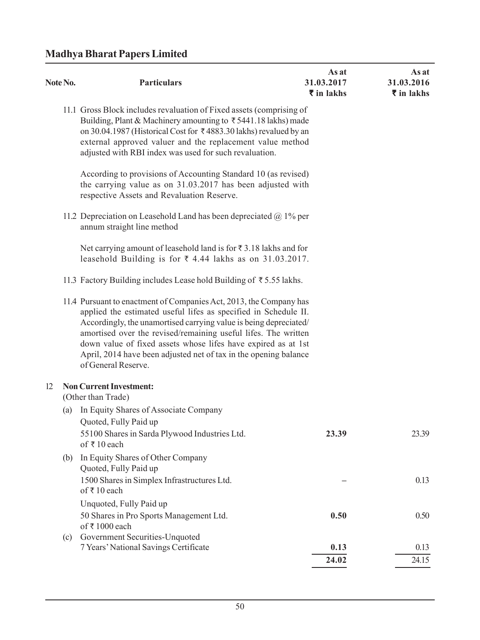| Note No. | <b>Particulars</b>                                                                                                                                                                                                                                                                                                                                                                                                                       | As at<br>31.03.2017<br>$\overline{\tau}$ in lakhs | As at<br>31.03.2016<br>$\overline{\tau}$ in lakhs |
|----------|------------------------------------------------------------------------------------------------------------------------------------------------------------------------------------------------------------------------------------------------------------------------------------------------------------------------------------------------------------------------------------------------------------------------------------------|---------------------------------------------------|---------------------------------------------------|
|          | 11.1 Gross Block includes revaluation of Fixed assets (comprising of<br>Building, Plant & Machinery amounting to ₹5441.18 lakhs) made<br>on 30.04.1987 (Historical Cost for ₹4883.30 lakhs) revalued by an<br>external approved valuer and the replacement value method<br>adjusted with RBI index was used for such revaluation.                                                                                                        |                                                   |                                                   |
|          | According to provisions of Accounting Standard 10 (as revised)<br>the carrying value as on 31.03.2017 has been adjusted with<br>respective Assets and Revaluation Reserve.                                                                                                                                                                                                                                                               |                                                   |                                                   |
|          | 11.2 Depreciation on Leasehold Land has been depreciated $@$ 1% per<br>annum straight line method                                                                                                                                                                                                                                                                                                                                        |                                                   |                                                   |
|          | Net carrying amount of leasehold land is for $\overline{\xi}$ 3.18 lakhs and for<br>leasehold Building is for $\overline{\zeta}$ 4.44 lakhs as on 31.03.2017.                                                                                                                                                                                                                                                                            |                                                   |                                                   |
|          | 11.3 Factory Building includes Lease hold Building of ₹5.55 lakhs.                                                                                                                                                                                                                                                                                                                                                                       |                                                   |                                                   |
|          | 11.4 Pursuant to enactment of Companies Act, 2013, the Company has<br>applied the estimated useful lifes as specified in Schedule II.<br>Accordingly, the unamortised carrying value is being depreciated/<br>amortised over the revised/remaining useful lifes. The written<br>down value of fixed assets whose lifes have expired as at 1st<br>April, 2014 have been adjusted net of tax in the opening balance<br>of General Reserve. |                                                   |                                                   |
| 12       | <b>Non Current Investment:</b><br>(Other than Trade)                                                                                                                                                                                                                                                                                                                                                                                     |                                                   |                                                   |
| (a)      | In Equity Shares of Associate Company<br>Quoted, Fully Paid up                                                                                                                                                                                                                                                                                                                                                                           |                                                   |                                                   |
|          | 55100 Shares in Sarda Plywood Industries Ltd.<br>of ₹10 each                                                                                                                                                                                                                                                                                                                                                                             | 23.39                                             | 23.39                                             |
|          | (b) In Equity Shares of Other Company<br>Quoted, Fully Paid up                                                                                                                                                                                                                                                                                                                                                                           |                                                   |                                                   |
|          | 1500 Shares in Simplex Infrastructures Ltd.<br>of ₹10 each                                                                                                                                                                                                                                                                                                                                                                               |                                                   | 0.13                                              |
|          | Unquoted, Fully Paid up<br>50 Shares in Pro Sports Management Ltd.<br>of ₹1000 each                                                                                                                                                                                                                                                                                                                                                      | 0.50                                              | 0.50                                              |
| (c)      | Government Securities-Unquoted<br>7 Years' National Savings Certificate                                                                                                                                                                                                                                                                                                                                                                  | 0.13                                              | 0.13                                              |
|          |                                                                                                                                                                                                                                                                                                                                                                                                                                          | 24.02                                             | 24.15                                             |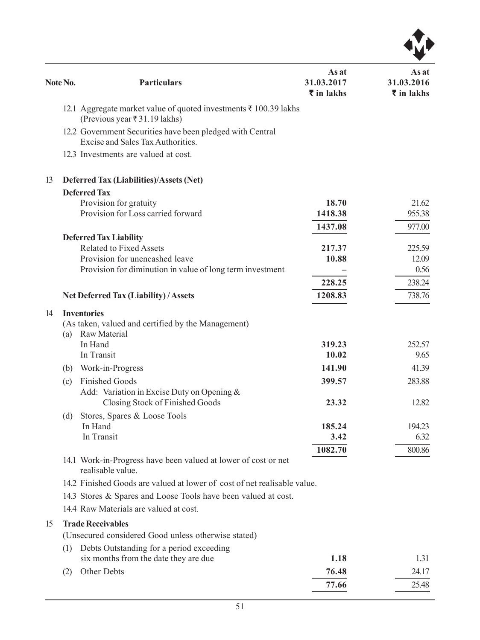

| Note No. | <b>Particulars</b>                                                                               | As at<br>31.03.2017<br>$\overline{\tau}$ in lakhs | As at<br>31.03.2016<br>$\overline{\tau}$ in lakhs |
|----------|--------------------------------------------------------------------------------------------------|---------------------------------------------------|---------------------------------------------------|
|          | 12.1 Aggregate market value of quoted investments ₹ 100.39 lakhs<br>(Previous year ₹31.19 lakhs) |                                                   |                                                   |
|          | 12.2 Government Securities have been pledged with Central<br>Excise and Sales Tax Authorities.   |                                                   |                                                   |
|          | 12.3 Investments are valued at cost.                                                             |                                                   |                                                   |
| 13       | <b>Deferred Tax (Liabilities)/Assets (Net)</b>                                                   |                                                   |                                                   |
|          | <b>Deferred Tax</b>                                                                              |                                                   |                                                   |
|          | Provision for gratuity                                                                           | 18.70                                             | 21.62                                             |
|          | Provision for Loss carried forward                                                               | 1418.38                                           | 955.38                                            |
|          |                                                                                                  | 1437.08                                           | 977.00                                            |
|          | <b>Deferred Tax Liability</b>                                                                    |                                                   |                                                   |
|          | <b>Related to Fixed Assets</b><br>Provision for unencashed leave                                 | 217.37                                            | 225.59                                            |
|          | Provision for diminution in value of long term investment                                        | 10.88                                             | 12.09<br>0.56                                     |
|          |                                                                                                  |                                                   |                                                   |
|          |                                                                                                  | 228.25                                            | 238.24                                            |
|          | <b>Net Deferred Tax (Liability) / Assets</b>                                                     | 1208.83                                           | 738.76                                            |
| 14       | <b>Inventories</b>                                                                               |                                                   |                                                   |
|          | (As taken, valued and certified by the Management)<br>Raw Material<br>(a)                        |                                                   |                                                   |
|          | In Hand                                                                                          | 319.23                                            | 252.57                                            |
|          | In Transit                                                                                       | 10.02                                             | 9.65                                              |
|          | (b) Work-in-Progress                                                                             | 141.90                                            | 41.39                                             |
|          | <b>Finished Goods</b><br>(c)                                                                     | 399.57                                            | 283.88                                            |
|          | Add: Variation in Excise Duty on Opening &                                                       |                                                   |                                                   |
|          | Closing Stock of Finished Goods                                                                  | 23.32                                             | 12.82                                             |
|          | Stores, Spares & Loose Tools<br>(d)                                                              |                                                   |                                                   |
|          | In Hand                                                                                          | 185.24                                            | 194.23                                            |
|          | In Transit                                                                                       | 3.42                                              | 6.32                                              |
|          |                                                                                                  | 1082.70                                           | 800.86                                            |
|          | 14.1 Work-in-Progress have been valued at lower of cost or net<br>realisable value.              |                                                   |                                                   |
|          | 14.2 Finished Goods are valued at lower of cost of net realisable value.                         |                                                   |                                                   |
|          | 14.3 Stores & Spares and Loose Tools have been valued at cost.                                   |                                                   |                                                   |
|          | 14.4 Raw Materials are valued at cost.                                                           |                                                   |                                                   |
| 15       | <b>Trade Receivables</b>                                                                         |                                                   |                                                   |
|          | (Unsecured considered Good unless otherwise stated)                                              |                                                   |                                                   |
|          | Debts Outstanding for a period exceeding<br>(1)                                                  |                                                   |                                                   |
|          | six months from the date they are due                                                            | 1.18                                              | 1.31                                              |
|          | Other Debts<br>(2)                                                                               | 76.48                                             | 24.17                                             |
|          |                                                                                                  |                                                   |                                                   |
|          |                                                                                                  | 77.66                                             | 25.48                                             |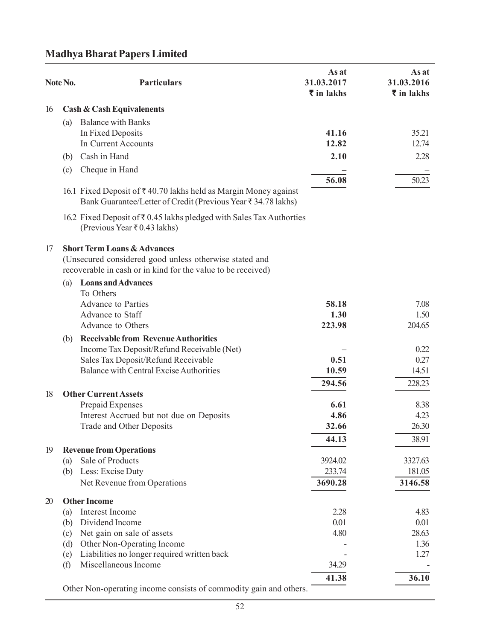| Note No.  | <b>Particulars</b>                                                                                                                                               | As at<br>31.03.2017<br>₹ in lakhs | As at<br>31.03.2016<br>$\bar{\tau}$ in lakhs |
|-----------|------------------------------------------------------------------------------------------------------------------------------------------------------------------|-----------------------------------|----------------------------------------------|
| 16        | <b>Cash &amp; Cash Equivalenents</b>                                                                                                                             |                                   |                                              |
|           | (a) Balance with Banks                                                                                                                                           |                                   |                                              |
|           | In Fixed Deposits                                                                                                                                                | 41.16                             | 35.21                                        |
|           | In Current Accounts                                                                                                                                              | 12.82                             | 12.74                                        |
| (b)       | Cash in Hand                                                                                                                                                     | 2.10                              | 2.28                                         |
| (c)       | Cheque in Hand                                                                                                                                                   |                                   |                                              |
|           | 16.1 Fixed Deposit of ₹40.70 lakhs held as Margin Money against<br>Bank Guarantee/Letter of Credit (Previous Year ₹ 34.78 lakhs)                                 | 56.08                             | 50.23                                        |
|           | 16.2 Fixed Deposit of ₹0.45 lakhs pledged with Sales Tax Authorties<br>(Previous Year ₹0.43 lakhs)                                                               |                                   |                                              |
| 17        | <b>Short Term Loans &amp; Advances</b><br>(Unsecured considered good unless otherwise stated and<br>recoverable in cash or in kind for the value to be received) |                                   |                                              |
| (a)       | <b>Loans and Advances</b>                                                                                                                                        |                                   |                                              |
|           | To Others                                                                                                                                                        |                                   |                                              |
|           | <b>Advance to Parties</b>                                                                                                                                        | 58.18                             | 7.08                                         |
|           | Advance to Staff<br>Advance to Others                                                                                                                            | 1.30<br>223.98                    | 1.50<br>204.65                               |
| (b)       | <b>Receivable from Revenue Authorities</b>                                                                                                                       |                                   |                                              |
|           | Income Tax Deposit/Refund Receivable (Net)                                                                                                                       |                                   | 0.22                                         |
|           | Sales Tax Deposit/Refund Receivable                                                                                                                              | 0.51                              | 0.27                                         |
|           | Balance with Central Excise Authorities                                                                                                                          | 10.59                             | 14.51                                        |
|           |                                                                                                                                                                  | 294.56                            | 228.23                                       |
| 18        | <b>Other Current Assets</b>                                                                                                                                      |                                   |                                              |
|           | Prepaid Expenses                                                                                                                                                 | 6.61                              | 8.38                                         |
|           | Interest Accrued but not due on Deposits                                                                                                                         | 4.86                              | 4.23                                         |
|           | Trade and Other Deposits                                                                                                                                         | 32.66                             | 26.30                                        |
|           |                                                                                                                                                                  | 44.13                             | 38.91                                        |
| 19<br>(a) | <b>Revenue from Operations</b><br>Sale of Products                                                                                                               | 3924.02                           | 3327.63                                      |
|           | (b) Less: Excise Duty                                                                                                                                            | 233.74                            | 181.05                                       |
|           | Net Revenue from Operations                                                                                                                                      | 3690.28                           | 3146.58                                      |
|           |                                                                                                                                                                  |                                   |                                              |
| 20<br>(a) | <b>Other Income</b><br>Interest Income                                                                                                                           | 2.28                              | 4.83                                         |
| (b)       | Dividend Income                                                                                                                                                  | 0.01                              | 0.01                                         |
| (c)       | Net gain on sale of assets                                                                                                                                       | 4.80                              | 28.63                                        |
| (d)       | Other Non-Operating Income                                                                                                                                       |                                   | 1.36                                         |
| (e)       | Liabilities no longer required written back                                                                                                                      |                                   | 1.27                                         |
| (f)       | Miscellaneous Income                                                                                                                                             | 34.29                             |                                              |
|           |                                                                                                                                                                  | 41.38                             | 36.10                                        |

Other Non-operating income consists of commodity gain and others.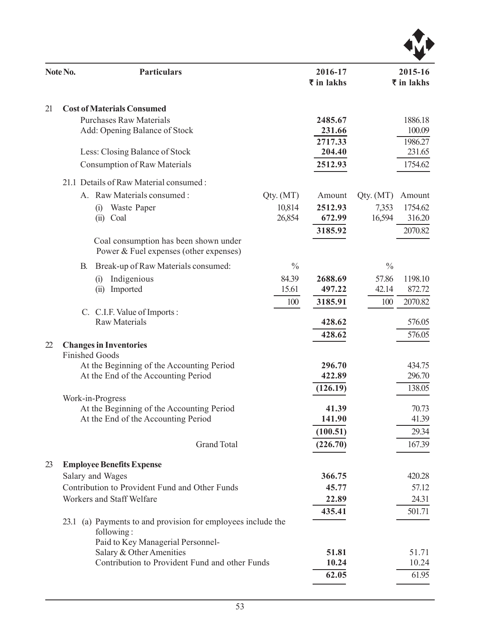| Note No. | <b>Particulars</b>                                                                                                                                                                                                                                                                                                                   |                                        | 2016-17<br>$\overline{\tau}$ in lakhs                                             | 2015-16<br>$\overline{\tau}$ in lakhs                                                                            |
|----------|--------------------------------------------------------------------------------------------------------------------------------------------------------------------------------------------------------------------------------------------------------------------------------------------------------------------------------------|----------------------------------------|-----------------------------------------------------------------------------------|------------------------------------------------------------------------------------------------------------------|
| 21       | <b>Cost of Materials Consumed</b><br><b>Purchases Raw Materials</b><br>Add: Opening Balance of Stock<br>Less: Closing Balance of Stock<br>Consumption of Raw Materials<br>21.1 Details of Raw Material consumed:<br>A. Raw Materials consumed:<br>Waste Paper<br>(i)<br>(ii) Coal                                                    | Qty. (MT)<br>10,814<br>26,854          | 2485.67<br>231.66<br>2717.33<br>204.40<br>2512.93<br>Amount<br>2512.93<br>672.99  | 1886.18<br>100.09<br>1986.27<br>231.65<br>1754.62<br>Qty. (MT)<br>Amount<br>1754.62<br>7,353<br>16,594<br>316.20 |
|          | Coal consumption has been shown under<br>Power & Fuel expenses (other expenses)<br>Break-up of Raw Materials consumed:<br>В.<br>Indigenious<br>(i)<br>Imported<br>(ii)<br>C. C.I.F. Value of Imports :<br><b>Raw Materials</b>                                                                                                       | $\frac{0}{0}$<br>84.39<br>15.61<br>100 | 3185.92<br>2688.69<br>497.22<br>3185.91<br>428.62                                 | 2070.82<br>$\frac{0}{0}$<br>1198.10<br>57.86<br>872.72<br>42.14<br>2070.82<br>100<br>576.05                      |
| 22       | <b>Changes in Inventories</b><br><b>Finished Goods</b><br>At the Beginning of the Accounting Period<br>At the End of the Accounting Period<br>Work-in-Progress<br>At the Beginning of the Accounting Period<br>At the End of the Accounting Period<br><b>Grand Total</b>                                                             |                                        | 428.62<br>296.70<br>422.89<br>(126.19)<br>41.39<br>141.90<br>(100.51)<br>(226.70) | 576.05<br>434.75<br>296.70<br>138.05<br>70.73<br>41.39<br>29.34<br>167.39                                        |
| 23       | <b>Employee Benefits Expense</b><br>Salary and Wages<br>Contribution to Provident Fund and Other Funds<br>Workers and Staff Welfare<br>23.1 (a) Payments to and provision for employees include the<br>following:<br>Paid to Key Managerial Personnel-<br>Salary & Other Amenities<br>Contribution to Provident Fund and other Funds |                                        | 366.75<br>45.77<br>22.89<br>435.41<br>51.81<br>10.24<br>62.05                     | 420.28<br>57.12<br>24.31<br>501.71<br>51.71<br>10.24<br>61.95                                                    |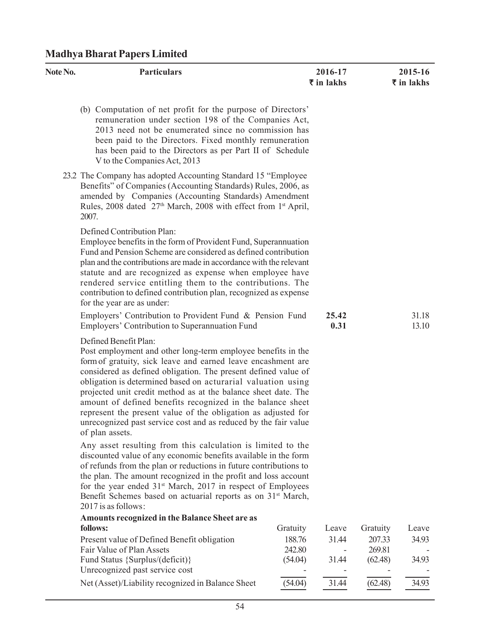|  |  | <b>Madhya Bharat Papers Limited</b> |  |
|--|--|-------------------------------------|--|
|  |  |                                     |  |

| Note No. | <b>Particulars</b>                                                                                                                                                                                                                                                                                                                                                                                                                                                                                                                                                                                                              |          | 2016-17<br>$\overline{\tau}$ in lakhs |          | 2015-16<br>$\overline{\tau}$ in lakhs |
|----------|---------------------------------------------------------------------------------------------------------------------------------------------------------------------------------------------------------------------------------------------------------------------------------------------------------------------------------------------------------------------------------------------------------------------------------------------------------------------------------------------------------------------------------------------------------------------------------------------------------------------------------|----------|---------------------------------------|----------|---------------------------------------|
|          | (b) Computation of net profit for the purpose of Directors'<br>remuneration under section 198 of the Companies Act,<br>2013 need not be enumerated since no commission has<br>been paid to the Directors. Fixed monthly remuneration<br>has been paid to the Directors as per Part II of Schedule<br>V to the Companies Act, 2013<br>23.2 The Company has adopted Accounting Standard 15 "Employee<br>Benefits" of Companies (Accounting Standards) Rules, 2006, as<br>amended by Companies (Accounting Standards) Amendment<br>Rules, 2008 dated 27 <sup>th</sup> March, 2008 with effect from 1 <sup>st</sup> April,<br>2007. |          |                                       |          |                                       |
|          | Defined Contribution Plan:<br>Employee benefits in the form of Provident Fund, Superannuation<br>Fund and Pension Scheme are considered as defined contribution<br>plan and the contributions are made in accordance with the relevant<br>statute and are recognized as expense when employee have<br>rendered service entitling them to the contributions. The<br>contribution to defined contribution plan, recognized as expense<br>for the year are as under:<br>Employers' Contribution to Provident Fund & Pension Fund<br>Employers' Contribution to Superannuation Fund                                                 |          | 25.42<br>0.31                         |          | 31.18<br>13.10                        |
|          | Defined Benefit Plan:<br>Post employment and other long-term employee benefits in the<br>form of gratuity, sick leave and earned leave encashment are<br>considered as defined obligation. The present defined value of<br>obligation is determined based on acturarial valuation using<br>projected unit credit method as at the balance sheet date. The<br>amount of defined benefits recognized in the balance sheet<br>represent the present value of the obligation as adjusted for<br>unrecognized past service cost and as reduced by the fair value<br>of plan assets.                                                  |          |                                       |          |                                       |
|          | Any asset resulting from this calculation is limited to the<br>discounted value of any economic benefits available in the form<br>of refunds from the plan or reductions in future contributions to<br>the plan. The amount recognized in the profit and loss account<br>for the year ended 31 <sup>st</sup> March, 2017 in respect of Employees<br>Benefit Schemes based on actuarial reports as on 31 <sup>st</sup> March,<br>2017 is as follows:                                                                                                                                                                             |          |                                       |          |                                       |
|          | Amounts recognized in the Balance Sheet are as                                                                                                                                                                                                                                                                                                                                                                                                                                                                                                                                                                                  |          |                                       |          |                                       |
|          | follows:                                                                                                                                                                                                                                                                                                                                                                                                                                                                                                                                                                                                                        | Gratuity | Leave                                 | Gratuity | Leave                                 |
|          | Present value of Defined Benefit obligation                                                                                                                                                                                                                                                                                                                                                                                                                                                                                                                                                                                     | 188.76   | 31.44                                 | 207.33   | 34.93                                 |
|          | Fair Value of Plan Assets                                                                                                                                                                                                                                                                                                                                                                                                                                                                                                                                                                                                       | 242.80   |                                       | 269.81   |                                       |
|          | Fund Status {Surplus/(deficit)}<br>Unrecognized past service cost                                                                                                                                                                                                                                                                                                                                                                                                                                                                                                                                                               | (54.04)  | 31.44                                 | (62.48)  | 34.93                                 |
|          | Net (Asset)/Liability recognized in Balance Sheet                                                                                                                                                                                                                                                                                                                                                                                                                                                                                                                                                                               | (54.04)  | 31.44                                 | (62.48)  | 34.93                                 |
|          |                                                                                                                                                                                                                                                                                                                                                                                                                                                                                                                                                                                                                                 |          |                                       |          |                                       |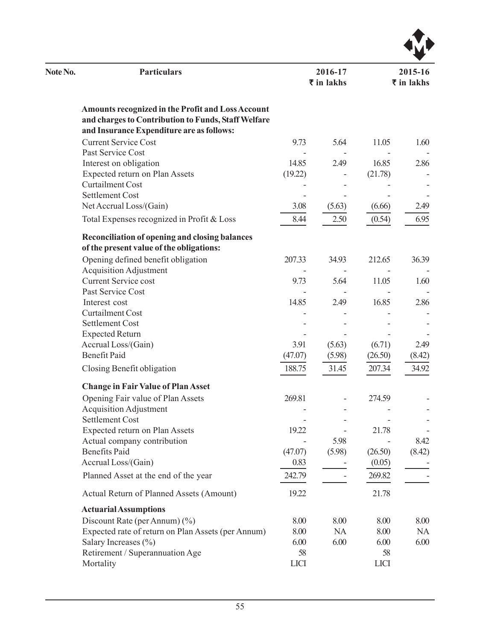| Note No. | <b>Particulars</b>                                                                                                                                    |                 | 2016-17<br>$\overline{\tau}$ in lakhs |         | 2015-16<br>$\overline{\tau}$ in lakhs |
|----------|-------------------------------------------------------------------------------------------------------------------------------------------------------|-----------------|---------------------------------------|---------|---------------------------------------|
|          | Amounts recognized in the Profit and Loss Account<br>and charges to Contribution to Funds, Staff Welfare<br>and Insurance Expenditure are as follows: |                 |                                       |         |                                       |
|          | <b>Current Service Cost</b>                                                                                                                           | 9.73            | 5.64                                  | 11.05   | 1.60                                  |
|          | Past Service Cost                                                                                                                                     |                 |                                       |         |                                       |
|          | Interest on obligation                                                                                                                                | 14.85           | 2.49                                  | 16.85   | 2.86                                  |
|          | Expected return on Plan Assets                                                                                                                        | (19.22)         |                                       | (21.78) |                                       |
|          | <b>Curtailment Cost</b>                                                                                                                               |                 |                                       |         |                                       |
|          | <b>Settlement Cost</b>                                                                                                                                |                 |                                       |         |                                       |
|          | Net Accrual Loss/(Gain)                                                                                                                               | 3.08            | (5.63)                                | (6.66)  | 2.49                                  |
|          | Total Expenses recognized in Profit & Loss                                                                                                            | 8.44            | 2.50                                  | (0.54)  | 6.95                                  |
|          | Reconciliation of opening and closing balances<br>of the present value of the obligations:                                                            |                 |                                       |         |                                       |
|          | Opening defined benefit obligation                                                                                                                    | 207.33          | 34.93                                 | 212.65  | 36.39                                 |
|          | <b>Acquisition Adjustment</b>                                                                                                                         |                 |                                       |         |                                       |
|          | <b>Current Service cost</b>                                                                                                                           | 9.73            | 5.64                                  | 11.05   | 1.60                                  |
|          | Past Service Cost                                                                                                                                     |                 |                                       |         |                                       |
|          | Interest cost                                                                                                                                         | 14.85           | 2.49                                  | 16.85   | 2.86                                  |
|          | <b>Curtailment Cost</b>                                                                                                                               |                 |                                       |         |                                       |
|          | Settlement Cost                                                                                                                                       |                 |                                       |         |                                       |
|          | <b>Expected Return</b>                                                                                                                                |                 |                                       |         |                                       |
|          | Accrual Loss/(Gain)<br><b>Benefit Paid</b>                                                                                                            | 3.91            | (5.63)                                | (6.71)  | 2.49<br>(8.42)                        |
|          |                                                                                                                                                       | (47.07)         | (5.98)                                | (26.50) |                                       |
|          | Closing Benefit obligation                                                                                                                            | 188.75          | 31.45                                 | 207.34  | 34.92                                 |
|          | <b>Change in Fair Value of Plan Asset</b>                                                                                                             |                 |                                       |         |                                       |
|          | Opening Fair value of Plan Assets                                                                                                                     | 269.81          | $\overline{\phantom{a}}$              | 274.59  |                                       |
|          | <b>Acquisition Adjustment</b>                                                                                                                         |                 |                                       |         |                                       |
|          | Settlement Cost                                                                                                                                       |                 |                                       |         |                                       |
|          | Expected return on Plan Assets                                                                                                                        | 19.22           |                                       | 21.78   |                                       |
|          | Actual company contribution                                                                                                                           |                 | 5.98                                  |         | 8.42                                  |
|          | <b>Benefits Paid</b>                                                                                                                                  | (47.07)<br>0.83 | (5.98)                                | (26.50) | (8.42)                                |
|          | Accrual Loss/(Gain)                                                                                                                                   |                 |                                       | (0.05)  |                                       |
|          | Planned Asset at the end of the year                                                                                                                  | 242.79          |                                       | 269.82  |                                       |
|          | Actual Return of Planned Assets (Amount)                                                                                                              | 19.22           |                                       | 21.78   |                                       |
|          | <b>Actuarial Assumptions</b>                                                                                                                          |                 |                                       |         |                                       |
|          | Discount Rate (per Annum) (%)                                                                                                                         | 8.00            | 8.00                                  | 8.00    | 8.00                                  |
|          | Expected rate of return on Plan Assets (per Annum)                                                                                                    | 8.00            | NA                                    | 8.00    | NA                                    |
|          | Salary Increases (%)                                                                                                                                  | 6.00            | 6.00                                  | 6.00    | 6.00                                  |
|          | Retirement / Superannuation Age                                                                                                                       | 58              |                                       | 58      |                                       |
|          | Mortality                                                                                                                                             | LICI            |                                       | LICI    |                                       |

 $\mathbf{A}$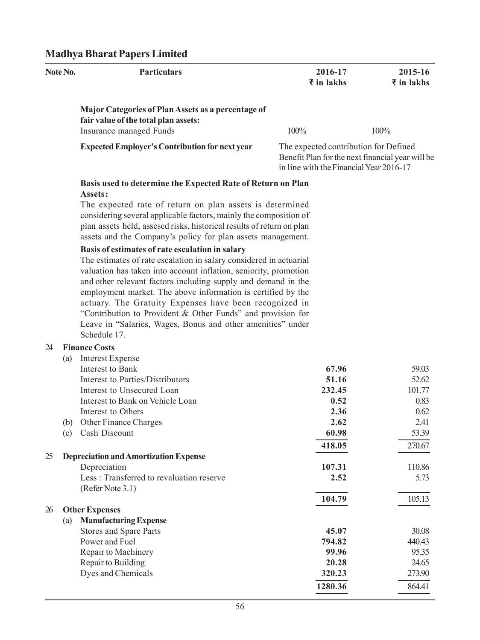| Note No. | <b>Particulars</b>                                                                                                                                                                                                                                                                                                                                                                                                                                                                                                                 | 2016-17<br>$\overline{\tau}$ in lakhs                                                                                                | 2015-16<br>$\overline{\tau}$ in lakhs |
|----------|------------------------------------------------------------------------------------------------------------------------------------------------------------------------------------------------------------------------------------------------------------------------------------------------------------------------------------------------------------------------------------------------------------------------------------------------------------------------------------------------------------------------------------|--------------------------------------------------------------------------------------------------------------------------------------|---------------------------------------|
|          | Major Categories of Plan Assets as a percentage of<br>fair value of the total plan assets:<br>Insurance managed Funds                                                                                                                                                                                                                                                                                                                                                                                                              | 100%                                                                                                                                 | 100%                                  |
|          | <b>Expected Employer's Contribution for next year</b>                                                                                                                                                                                                                                                                                                                                                                                                                                                                              | The expected contribution for Defined<br>Benefit Plan for the next financial year will be<br>in line with the Financial Year 2016-17 |                                       |
|          | Basis used to determine the Expected Rate of Return on Plan                                                                                                                                                                                                                                                                                                                                                                                                                                                                        |                                                                                                                                      |                                       |
|          | Assets:<br>The expected rate of return on plan assets is determined<br>considering several applicable factors, mainly the composition of<br>plan assets held, assesed risks, historical results of return on plan<br>assets and the Company's policy for plan assets management.                                                                                                                                                                                                                                                   |                                                                                                                                      |                                       |
|          | Basis of estimates of rate escalation in salary<br>The estimates of rate escalation in salary considered in actuarial<br>valuation has taken into account inflation, seniority, promotion<br>and other relevant factors including supply and demand in the<br>employment market. The above information is certified by the<br>actuary. The Gratuity Expenses have been recognized in<br>"Contribution to Provident & Other Funds" and provision for<br>Leave in "Salaries, Wages, Bonus and other amenities" under<br>Schedule 17. |                                                                                                                                      |                                       |
| 24       | <b>Finance Costs</b>                                                                                                                                                                                                                                                                                                                                                                                                                                                                                                               |                                                                                                                                      |                                       |
| (a)      | <b>Interest Expense</b>                                                                                                                                                                                                                                                                                                                                                                                                                                                                                                            |                                                                                                                                      |                                       |
|          | Interest to Bank                                                                                                                                                                                                                                                                                                                                                                                                                                                                                                                   | 67.96                                                                                                                                | 59.03                                 |
|          | Interest to Parties/Distributors                                                                                                                                                                                                                                                                                                                                                                                                                                                                                                   | 51.16                                                                                                                                | 52.62                                 |
|          | Interest to Unsecured Loan                                                                                                                                                                                                                                                                                                                                                                                                                                                                                                         | 232.45                                                                                                                               | 101.77                                |
|          | Interest to Bank on Vehicle Loan                                                                                                                                                                                                                                                                                                                                                                                                                                                                                                   | 0.52                                                                                                                                 | 0.83                                  |
|          | Interest to Others                                                                                                                                                                                                                                                                                                                                                                                                                                                                                                                 | 2.36                                                                                                                                 | 0.62                                  |
| (b)      | Other Finance Charges                                                                                                                                                                                                                                                                                                                                                                                                                                                                                                              | 2.62                                                                                                                                 | 2.41                                  |
| (c)      | Cash Discount                                                                                                                                                                                                                                                                                                                                                                                                                                                                                                                      | 60.98                                                                                                                                | 53.39                                 |
|          |                                                                                                                                                                                                                                                                                                                                                                                                                                                                                                                                    | 418.05                                                                                                                               | 270.67                                |
| 25       | <b>Depreciation and Amortization Expense</b>                                                                                                                                                                                                                                                                                                                                                                                                                                                                                       |                                                                                                                                      |                                       |
|          | Depreciation                                                                                                                                                                                                                                                                                                                                                                                                                                                                                                                       | 107.31                                                                                                                               | 110.86                                |
|          | Less: Transferred to revaluation reserve                                                                                                                                                                                                                                                                                                                                                                                                                                                                                           | 2.52                                                                                                                                 | 5.73                                  |
|          | (Refer Note 3.1)                                                                                                                                                                                                                                                                                                                                                                                                                                                                                                                   | 104.79                                                                                                                               |                                       |
| 26       |                                                                                                                                                                                                                                                                                                                                                                                                                                                                                                                                    |                                                                                                                                      | 105.13                                |
| (a)      | <b>Other Expenses</b><br><b>Manufacturing Expense</b>                                                                                                                                                                                                                                                                                                                                                                                                                                                                              |                                                                                                                                      |                                       |
|          | Stores and Spare Parts                                                                                                                                                                                                                                                                                                                                                                                                                                                                                                             | 45.07                                                                                                                                | 30.08                                 |
|          | Power and Fuel                                                                                                                                                                                                                                                                                                                                                                                                                                                                                                                     | 794.82                                                                                                                               | 440.43                                |
|          | Repair to Machinery                                                                                                                                                                                                                                                                                                                                                                                                                                                                                                                | 99.96                                                                                                                                | 95.35                                 |
|          | Repair to Building                                                                                                                                                                                                                                                                                                                                                                                                                                                                                                                 | 20.28                                                                                                                                | 24.65                                 |
|          | Dyes and Chemicals                                                                                                                                                                                                                                                                                                                                                                                                                                                                                                                 | 320.23                                                                                                                               | 273.90                                |
|          |                                                                                                                                                                                                                                                                                                                                                                                                                                                                                                                                    | 1280.36                                                                                                                              | 864.41                                |
|          |                                                                                                                                                                                                                                                                                                                                                                                                                                                                                                                                    |                                                                                                                                      |                                       |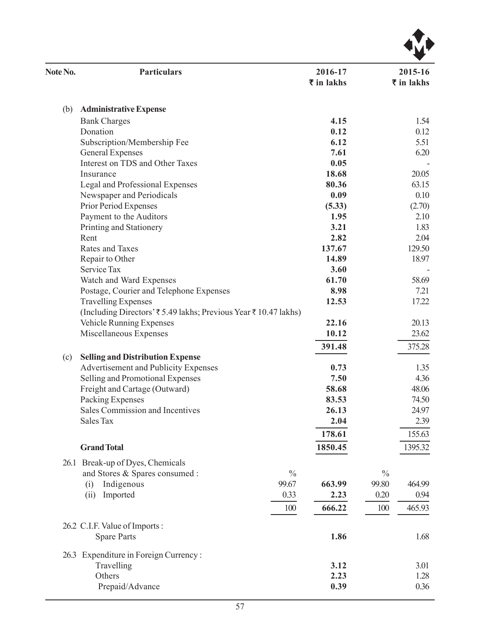| <b>Particulars</b><br>2016-17<br>2015-16<br>$\overline{\tau}$ in lakhs<br>$\overline{\tau}$ in lakhs<br>(b) Administrative Expense<br>4.15<br><b>Bank Charges</b><br>1.54<br>Donation<br>0.12<br>0.12<br>Subscription/Membership Fee<br>6.12<br>5.51<br>7.61<br>6.20<br>General Expenses<br>Interest on TDS and Other Taxes<br>0.05<br>20.05<br>Insurance<br>18.68<br>63.15<br>Legal and Professional Expenses<br>80.36<br>0.09<br>0.10<br>Newspaper and Periodicals<br>Prior Period Expenses<br>(2.70)<br>(5.33)<br>Payment to the Auditors<br>1.95<br>2.10<br>Printing and Stationery<br>3.21<br>1.83<br>2.82<br>2.04<br>Rent<br><b>Rates and Taxes</b><br>137.67<br>129.50<br>Repair to Other<br>14.89<br>18.97<br>Service Tax<br>3.60<br>58.69<br>Watch and Ward Expenses<br>61.70<br>Postage, Courier and Telephone Expenses<br>8.98<br>7.21<br>17.22<br><b>Travelling Expenses</b><br>12.53<br>(Including Directors' ₹5.49 lakhs; Previous Year ₹10.47 lakhs)<br>Vehicle Running Expenses<br>22.16<br>20.13<br>Miscellaneous Expenses<br>10.12<br>23.62<br>375.28<br>391.48<br><b>Selling and Distribution Expense</b><br>(c)<br>Advertisement and Publicity Expenses<br>0.73<br>1.35<br>Selling and Promotional Expenses<br>7.50<br>4.36<br>Freight and Cartage (Outward)<br>48.06<br>58.68<br>Packing Expenses<br>83.53<br>74.50<br>Sales Commission and Incentives<br>24.97<br>26.13<br>2.39<br>Sales Tax<br>2.04<br>178.61<br>155.63<br>1850.45<br>1395.32<br><b>Grand Total</b><br>26.1 Break-up of Dyes, Chemicals<br>$\frac{0}{0}$<br>$\frac{0}{0}$<br>and Stores & Spares consumed :<br>Indigenous<br>99.67<br>663.99<br>99.80<br>464.99<br>(i)<br>Imported<br>2.23<br>0.20<br>0.94<br>(ii)<br>0.33<br>666.22<br>100<br>100<br>465.93<br>26.2 C.I.F. Value of Imports :<br><b>Spare Parts</b><br>1.86<br>1.68<br>26.3 Expenditure in Foreign Currency:<br>Travelling<br>3.12<br>3.01<br>2.23<br>Others<br>1.28 |          |                 |      |      |
|------------------------------------------------------------------------------------------------------------------------------------------------------------------------------------------------------------------------------------------------------------------------------------------------------------------------------------------------------------------------------------------------------------------------------------------------------------------------------------------------------------------------------------------------------------------------------------------------------------------------------------------------------------------------------------------------------------------------------------------------------------------------------------------------------------------------------------------------------------------------------------------------------------------------------------------------------------------------------------------------------------------------------------------------------------------------------------------------------------------------------------------------------------------------------------------------------------------------------------------------------------------------------------------------------------------------------------------------------------------------------------------------------------------------------------------------------------------------------------------------------------------------------------------------------------------------------------------------------------------------------------------------------------------------------------------------------------------------------------------------------------------------------------------------------------------------------------------------------------------------------------------------------------------------------|----------|-----------------|------|------|
|                                                                                                                                                                                                                                                                                                                                                                                                                                                                                                                                                                                                                                                                                                                                                                                                                                                                                                                                                                                                                                                                                                                                                                                                                                                                                                                                                                                                                                                                                                                                                                                                                                                                                                                                                                                                                                                                                                                              | Note No. |                 |      |      |
|                                                                                                                                                                                                                                                                                                                                                                                                                                                                                                                                                                                                                                                                                                                                                                                                                                                                                                                                                                                                                                                                                                                                                                                                                                                                                                                                                                                                                                                                                                                                                                                                                                                                                                                                                                                                                                                                                                                              |          |                 |      |      |
|                                                                                                                                                                                                                                                                                                                                                                                                                                                                                                                                                                                                                                                                                                                                                                                                                                                                                                                                                                                                                                                                                                                                                                                                                                                                                                                                                                                                                                                                                                                                                                                                                                                                                                                                                                                                                                                                                                                              |          |                 |      |      |
|                                                                                                                                                                                                                                                                                                                                                                                                                                                                                                                                                                                                                                                                                                                                                                                                                                                                                                                                                                                                                                                                                                                                                                                                                                                                                                                                                                                                                                                                                                                                                                                                                                                                                                                                                                                                                                                                                                                              |          |                 |      |      |
|                                                                                                                                                                                                                                                                                                                                                                                                                                                                                                                                                                                                                                                                                                                                                                                                                                                                                                                                                                                                                                                                                                                                                                                                                                                                                                                                                                                                                                                                                                                                                                                                                                                                                                                                                                                                                                                                                                                              |          |                 |      |      |
|                                                                                                                                                                                                                                                                                                                                                                                                                                                                                                                                                                                                                                                                                                                                                                                                                                                                                                                                                                                                                                                                                                                                                                                                                                                                                                                                                                                                                                                                                                                                                                                                                                                                                                                                                                                                                                                                                                                              |          |                 |      |      |
|                                                                                                                                                                                                                                                                                                                                                                                                                                                                                                                                                                                                                                                                                                                                                                                                                                                                                                                                                                                                                                                                                                                                                                                                                                                                                                                                                                                                                                                                                                                                                                                                                                                                                                                                                                                                                                                                                                                              |          |                 |      |      |
|                                                                                                                                                                                                                                                                                                                                                                                                                                                                                                                                                                                                                                                                                                                                                                                                                                                                                                                                                                                                                                                                                                                                                                                                                                                                                                                                                                                                                                                                                                                                                                                                                                                                                                                                                                                                                                                                                                                              |          |                 |      |      |
|                                                                                                                                                                                                                                                                                                                                                                                                                                                                                                                                                                                                                                                                                                                                                                                                                                                                                                                                                                                                                                                                                                                                                                                                                                                                                                                                                                                                                                                                                                                                                                                                                                                                                                                                                                                                                                                                                                                              |          |                 |      |      |
|                                                                                                                                                                                                                                                                                                                                                                                                                                                                                                                                                                                                                                                                                                                                                                                                                                                                                                                                                                                                                                                                                                                                                                                                                                                                                                                                                                                                                                                                                                                                                                                                                                                                                                                                                                                                                                                                                                                              |          |                 |      |      |
|                                                                                                                                                                                                                                                                                                                                                                                                                                                                                                                                                                                                                                                                                                                                                                                                                                                                                                                                                                                                                                                                                                                                                                                                                                                                                                                                                                                                                                                                                                                                                                                                                                                                                                                                                                                                                                                                                                                              |          |                 |      |      |
|                                                                                                                                                                                                                                                                                                                                                                                                                                                                                                                                                                                                                                                                                                                                                                                                                                                                                                                                                                                                                                                                                                                                                                                                                                                                                                                                                                                                                                                                                                                                                                                                                                                                                                                                                                                                                                                                                                                              |          |                 |      |      |
|                                                                                                                                                                                                                                                                                                                                                                                                                                                                                                                                                                                                                                                                                                                                                                                                                                                                                                                                                                                                                                                                                                                                                                                                                                                                                                                                                                                                                                                                                                                                                                                                                                                                                                                                                                                                                                                                                                                              |          |                 |      |      |
|                                                                                                                                                                                                                                                                                                                                                                                                                                                                                                                                                                                                                                                                                                                                                                                                                                                                                                                                                                                                                                                                                                                                                                                                                                                                                                                                                                                                                                                                                                                                                                                                                                                                                                                                                                                                                                                                                                                              |          |                 |      |      |
|                                                                                                                                                                                                                                                                                                                                                                                                                                                                                                                                                                                                                                                                                                                                                                                                                                                                                                                                                                                                                                                                                                                                                                                                                                                                                                                                                                                                                                                                                                                                                                                                                                                                                                                                                                                                                                                                                                                              |          |                 |      |      |
|                                                                                                                                                                                                                                                                                                                                                                                                                                                                                                                                                                                                                                                                                                                                                                                                                                                                                                                                                                                                                                                                                                                                                                                                                                                                                                                                                                                                                                                                                                                                                                                                                                                                                                                                                                                                                                                                                                                              |          |                 |      |      |
|                                                                                                                                                                                                                                                                                                                                                                                                                                                                                                                                                                                                                                                                                                                                                                                                                                                                                                                                                                                                                                                                                                                                                                                                                                                                                                                                                                                                                                                                                                                                                                                                                                                                                                                                                                                                                                                                                                                              |          |                 |      |      |
|                                                                                                                                                                                                                                                                                                                                                                                                                                                                                                                                                                                                                                                                                                                                                                                                                                                                                                                                                                                                                                                                                                                                                                                                                                                                                                                                                                                                                                                                                                                                                                                                                                                                                                                                                                                                                                                                                                                              |          |                 |      |      |
|                                                                                                                                                                                                                                                                                                                                                                                                                                                                                                                                                                                                                                                                                                                                                                                                                                                                                                                                                                                                                                                                                                                                                                                                                                                                                                                                                                                                                                                                                                                                                                                                                                                                                                                                                                                                                                                                                                                              |          |                 |      |      |
|                                                                                                                                                                                                                                                                                                                                                                                                                                                                                                                                                                                                                                                                                                                                                                                                                                                                                                                                                                                                                                                                                                                                                                                                                                                                                                                                                                                                                                                                                                                                                                                                                                                                                                                                                                                                                                                                                                                              |          |                 |      |      |
|                                                                                                                                                                                                                                                                                                                                                                                                                                                                                                                                                                                                                                                                                                                                                                                                                                                                                                                                                                                                                                                                                                                                                                                                                                                                                                                                                                                                                                                                                                                                                                                                                                                                                                                                                                                                                                                                                                                              |          |                 |      |      |
|                                                                                                                                                                                                                                                                                                                                                                                                                                                                                                                                                                                                                                                                                                                                                                                                                                                                                                                                                                                                                                                                                                                                                                                                                                                                                                                                                                                                                                                                                                                                                                                                                                                                                                                                                                                                                                                                                                                              |          |                 |      |      |
|                                                                                                                                                                                                                                                                                                                                                                                                                                                                                                                                                                                                                                                                                                                                                                                                                                                                                                                                                                                                                                                                                                                                                                                                                                                                                                                                                                                                                                                                                                                                                                                                                                                                                                                                                                                                                                                                                                                              |          |                 |      |      |
|                                                                                                                                                                                                                                                                                                                                                                                                                                                                                                                                                                                                                                                                                                                                                                                                                                                                                                                                                                                                                                                                                                                                                                                                                                                                                                                                                                                                                                                                                                                                                                                                                                                                                                                                                                                                                                                                                                                              |          |                 |      |      |
|                                                                                                                                                                                                                                                                                                                                                                                                                                                                                                                                                                                                                                                                                                                                                                                                                                                                                                                                                                                                                                                                                                                                                                                                                                                                                                                                                                                                                                                                                                                                                                                                                                                                                                                                                                                                                                                                                                                              |          |                 |      |      |
|                                                                                                                                                                                                                                                                                                                                                                                                                                                                                                                                                                                                                                                                                                                                                                                                                                                                                                                                                                                                                                                                                                                                                                                                                                                                                                                                                                                                                                                                                                                                                                                                                                                                                                                                                                                                                                                                                                                              |          |                 |      |      |
|                                                                                                                                                                                                                                                                                                                                                                                                                                                                                                                                                                                                                                                                                                                                                                                                                                                                                                                                                                                                                                                                                                                                                                                                                                                                                                                                                                                                                                                                                                                                                                                                                                                                                                                                                                                                                                                                                                                              |          |                 |      |      |
|                                                                                                                                                                                                                                                                                                                                                                                                                                                                                                                                                                                                                                                                                                                                                                                                                                                                                                                                                                                                                                                                                                                                                                                                                                                                                                                                                                                                                                                                                                                                                                                                                                                                                                                                                                                                                                                                                                                              |          |                 |      |      |
|                                                                                                                                                                                                                                                                                                                                                                                                                                                                                                                                                                                                                                                                                                                                                                                                                                                                                                                                                                                                                                                                                                                                                                                                                                                                                                                                                                                                                                                                                                                                                                                                                                                                                                                                                                                                                                                                                                                              |          |                 |      |      |
|                                                                                                                                                                                                                                                                                                                                                                                                                                                                                                                                                                                                                                                                                                                                                                                                                                                                                                                                                                                                                                                                                                                                                                                                                                                                                                                                                                                                                                                                                                                                                                                                                                                                                                                                                                                                                                                                                                                              |          |                 |      |      |
|                                                                                                                                                                                                                                                                                                                                                                                                                                                                                                                                                                                                                                                                                                                                                                                                                                                                                                                                                                                                                                                                                                                                                                                                                                                                                                                                                                                                                                                                                                                                                                                                                                                                                                                                                                                                                                                                                                                              |          |                 |      |      |
|                                                                                                                                                                                                                                                                                                                                                                                                                                                                                                                                                                                                                                                                                                                                                                                                                                                                                                                                                                                                                                                                                                                                                                                                                                                                                                                                                                                                                                                                                                                                                                                                                                                                                                                                                                                                                                                                                                                              |          |                 |      |      |
|                                                                                                                                                                                                                                                                                                                                                                                                                                                                                                                                                                                                                                                                                                                                                                                                                                                                                                                                                                                                                                                                                                                                                                                                                                                                                                                                                                                                                                                                                                                                                                                                                                                                                                                                                                                                                                                                                                                              |          |                 |      |      |
|                                                                                                                                                                                                                                                                                                                                                                                                                                                                                                                                                                                                                                                                                                                                                                                                                                                                                                                                                                                                                                                                                                                                                                                                                                                                                                                                                                                                                                                                                                                                                                                                                                                                                                                                                                                                                                                                                                                              |          |                 |      |      |
|                                                                                                                                                                                                                                                                                                                                                                                                                                                                                                                                                                                                                                                                                                                                                                                                                                                                                                                                                                                                                                                                                                                                                                                                                                                                                                                                                                                                                                                                                                                                                                                                                                                                                                                                                                                                                                                                                                                              |          |                 |      |      |
|                                                                                                                                                                                                                                                                                                                                                                                                                                                                                                                                                                                                                                                                                                                                                                                                                                                                                                                                                                                                                                                                                                                                                                                                                                                                                                                                                                                                                                                                                                                                                                                                                                                                                                                                                                                                                                                                                                                              |          |                 |      |      |
|                                                                                                                                                                                                                                                                                                                                                                                                                                                                                                                                                                                                                                                                                                                                                                                                                                                                                                                                                                                                                                                                                                                                                                                                                                                                                                                                                                                                                                                                                                                                                                                                                                                                                                                                                                                                                                                                                                                              |          |                 |      |      |
|                                                                                                                                                                                                                                                                                                                                                                                                                                                                                                                                                                                                                                                                                                                                                                                                                                                                                                                                                                                                                                                                                                                                                                                                                                                                                                                                                                                                                                                                                                                                                                                                                                                                                                                                                                                                                                                                                                                              |          |                 |      |      |
|                                                                                                                                                                                                                                                                                                                                                                                                                                                                                                                                                                                                                                                                                                                                                                                                                                                                                                                                                                                                                                                                                                                                                                                                                                                                                                                                                                                                                                                                                                                                                                                                                                                                                                                                                                                                                                                                                                                              |          |                 |      |      |
|                                                                                                                                                                                                                                                                                                                                                                                                                                                                                                                                                                                                                                                                                                                                                                                                                                                                                                                                                                                                                                                                                                                                                                                                                                                                                                                                                                                                                                                                                                                                                                                                                                                                                                                                                                                                                                                                                                                              |          |                 |      |      |
|                                                                                                                                                                                                                                                                                                                                                                                                                                                                                                                                                                                                                                                                                                                                                                                                                                                                                                                                                                                                                                                                                                                                                                                                                                                                                                                                                                                                                                                                                                                                                                                                                                                                                                                                                                                                                                                                                                                              |          |                 |      |      |
|                                                                                                                                                                                                                                                                                                                                                                                                                                                                                                                                                                                                                                                                                                                                                                                                                                                                                                                                                                                                                                                                                                                                                                                                                                                                                                                                                                                                                                                                                                                                                                                                                                                                                                                                                                                                                                                                                                                              |          |                 |      |      |
|                                                                                                                                                                                                                                                                                                                                                                                                                                                                                                                                                                                                                                                                                                                                                                                                                                                                                                                                                                                                                                                                                                                                                                                                                                                                                                                                                                                                                                                                                                                                                                                                                                                                                                                                                                                                                                                                                                                              |          | Prepaid/Advance | 0.39 | 0.36 |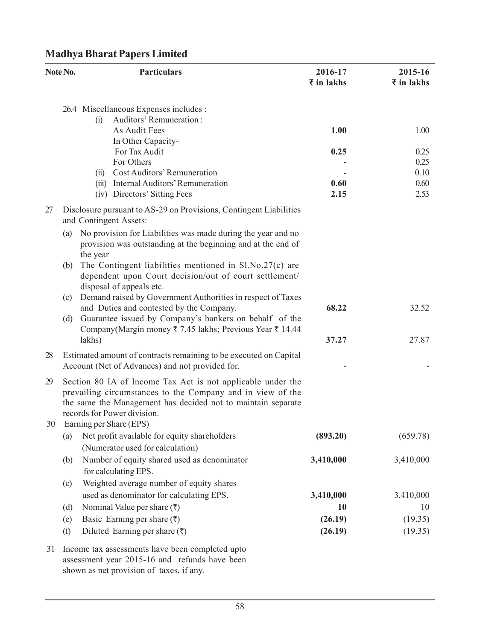# **Note No. Particulars 2016-17 2015-16** ` **in lakhs** ` **in lakhs** 26.4 Miscellaneous Expenses includes : (i) Auditors' Remuneration : As Audit Fees **1.00** 1.00 In Other Capacity- For Tax Audit **0.25** 0.25 For Others **6.25 -** 0.25 (ii) Cost Auditors' Remuneration **-** 0.10 (iii) Internal Auditors' Remuneration **0.60** 0.60 0.60 (iv) Directors' Sitting Fees **2.15** 2.53 27 Disclosure pursuant to AS-29 on Provisions, Contingent Liabilities and Contingent Assets: (a) No provision for Liabilities was made during the year and no provision was outstanding at the beginning and at the end of the year (b) The Contingent liabilities mentioned in Sl.No.27(c) are dependent upon Court decision/out of court settlement/ disposal of appeals etc. (c) Demand raised by Government Authorities in respect of Taxes and Duties and contested by the Company. **68.22** 32.52 (d) Guarantee issued by Company's bankers on behalf of the Company(Margin money  $\overline{\zeta}$  7.45 lakhs; Previous Year  $\overline{\zeta}$  14.44 lakhs) **37.27** 27.87 28 Estimated amount of contracts remaining to be executed on Capital Account (Net of Advances) and not provided for. 29 Section 80 IA of Income Tax Act is not applicable under the prevailing circumstances to the Company and in view of the the same the Management has decided not to maintain separate records for Power division. 30 Earning per Share (EPS) (a) Net profit available for equity shareholders **(893.20)** (659.78) (Numerator used for calculation) (b) Number of equity shared used as denominator **3,410,000** 3,410,000 for calculating EPS. (c) Weighted average number of equity shares used as denominator for calculating EPS. **3,410,000** 3,410,000 (d) Nominal Value per share  $(\bar{\tau})$  **10** 10 (e) Basic Earning per share (`) **(26.19)** (19.35) (f) Diluted Earning per share (`) **(26.19)** (19.35) 31 Income tax assessments have been completed upto assessment year 2015-16 and refunds have been shown as net provision of taxes, if any.

# **Madhya Bharat Papers Limited**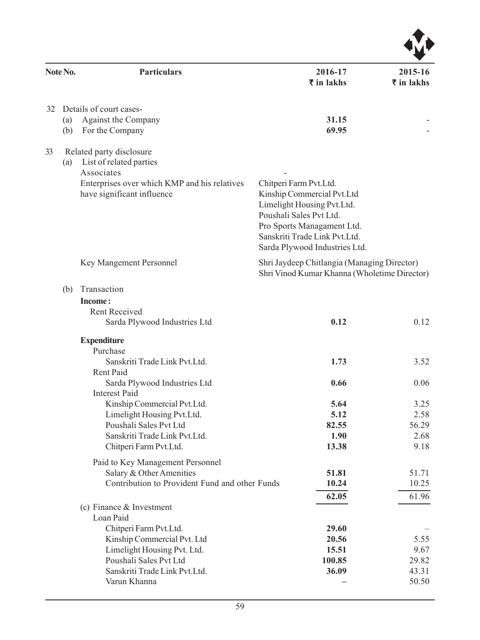| Note No. |            | <b>Particulars</b>                                                                                                                                                                                       | 2016-17<br>$\overline{\tau}$ in lakhs                                                                         | 2015-16<br>$\overline{\tau}$ in lakhs            |
|----------|------------|----------------------------------------------------------------------------------------------------------------------------------------------------------------------------------------------------------|---------------------------------------------------------------------------------------------------------------|--------------------------------------------------|
| 32       | (a)<br>(b) | Details of court cases-<br>Against the Company<br>For the Company                                                                                                                                        | 31.15<br>69.95                                                                                                |                                                  |
| 33       | (a)        | Related party disclosure<br>List of related parties<br>Associates<br>Enterprises over which KMP and his relatives<br>have significant influence                                                          | Chitperi Farm Pvt.Ltd.<br>Kinship Commercial Pvt.Ltd<br>Limelight Housing Pvt.Ltd.<br>Poushali Sales Pvt Ltd. |                                                  |
|          |            |                                                                                                                                                                                                          | Pro Sports Managament Ltd.<br>Sanskriti Trade Link Pvt. Ltd.<br>Sarda Plywood Industries Ltd.                 |                                                  |
|          |            | Key Mangement Personnel                                                                                                                                                                                  | Shri Jaydeep Chitlangia (Managing Director)<br>Shri Vinod Kumar Khanna (Wholetime Director)                   |                                                  |
|          | (b)        | Transaction<br>Income:<br><b>Rent Received</b><br>Sarda Plywood Industries Ltd                                                                                                                           | 0.12                                                                                                          | 0.12                                             |
|          |            | <b>Expenditure</b>                                                                                                                                                                                       |                                                                                                               |                                                  |
|          |            | Purchase<br>Sanskriti Trade Link Pvt. Ltd.<br>Rent Paid                                                                                                                                                  | 1.73                                                                                                          | 3.52                                             |
|          |            | Sarda Plywood Industries Ltd<br><b>Interest Paid</b>                                                                                                                                                     | 0.66                                                                                                          | 0.06                                             |
|          |            | Kinship Commercial Pvt.Ltd.<br>Limelight Housing Pvt. Ltd.<br>Poushali Sales Pvt Ltd<br>Sanskriti Trade Link Pvt. Ltd.<br>Chitperi Farm Pvt.Ltd.                                                         | 5.64<br>5.12<br>82.55<br>1.90<br>13.38                                                                        | 3.25<br>2.58<br>56.29<br>2.68<br>9.18            |
|          |            | Paid to Key Management Personnel<br>Salary & Other Amenities<br>Contribution to Provident Fund and other Funds                                                                                           | 51.81<br>10.24                                                                                                | 51.71<br>10.25                                   |
|          |            | (c) Finance & Investment<br>Loan Paid<br>Chitperi Farm Pvt.Ltd.<br>Kinship Commercial Pvt. Ltd<br>Limelight Housing Pvt. Ltd.<br>Poushali Sales Pvt Ltd<br>Sanskriti Trade Link Pvt.Ltd.<br>Varun Khanna | 62.05<br>29.60<br>20.56<br>15.51<br>100.85<br>36.09                                                           | 61.96<br>5.55<br>9.67<br>29.82<br>43.31<br>50.50 |

 $\mathbf{A}$